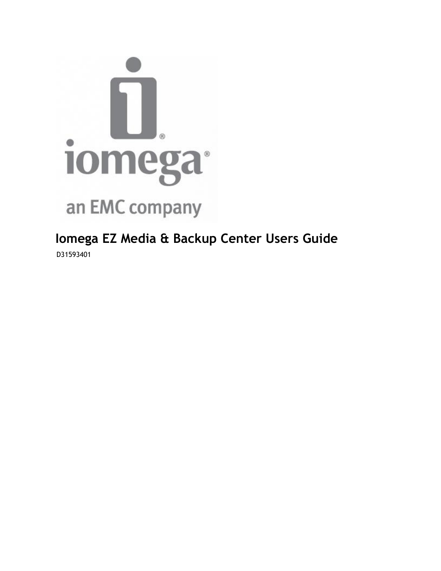

**Iomega EZ Media & Backup Center Users Guide** D31593401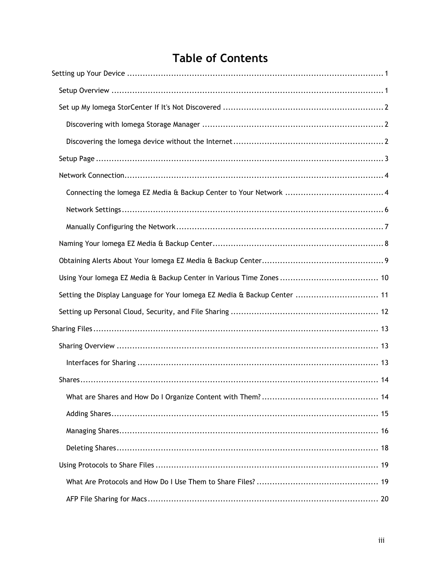# **Table of Contents**

| Setting the Display Language for Your lomega EZ Media & Backup Center  11 |
|---------------------------------------------------------------------------|
|                                                                           |
|                                                                           |
|                                                                           |
|                                                                           |
|                                                                           |
|                                                                           |
|                                                                           |
|                                                                           |
|                                                                           |
|                                                                           |
|                                                                           |
|                                                                           |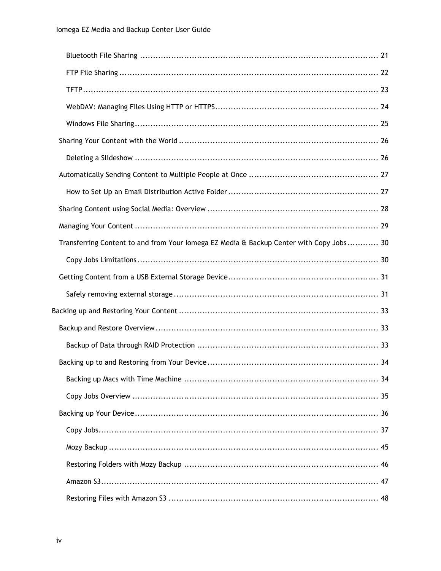| Transferring Content to and from Your lomega EZ Media & Backup Center with Copy Jobs 30 |  |
|-----------------------------------------------------------------------------------------|--|
|                                                                                         |  |
|                                                                                         |  |
|                                                                                         |  |
|                                                                                         |  |
|                                                                                         |  |
|                                                                                         |  |
|                                                                                         |  |
|                                                                                         |  |
|                                                                                         |  |
|                                                                                         |  |
|                                                                                         |  |
|                                                                                         |  |
|                                                                                         |  |
|                                                                                         |  |
|                                                                                         |  |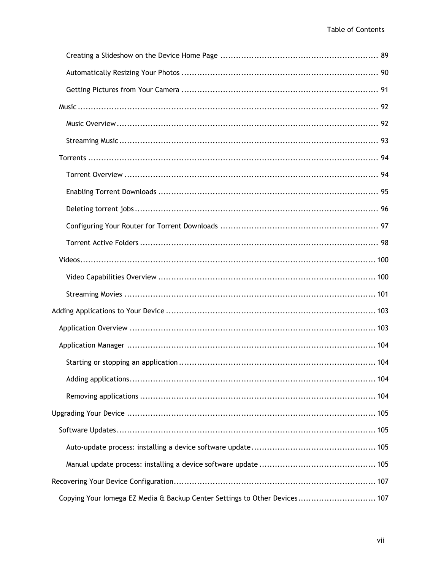| Copying Your lomega EZ Media & Backup Center Settings to Other Devices 107 |
|----------------------------------------------------------------------------|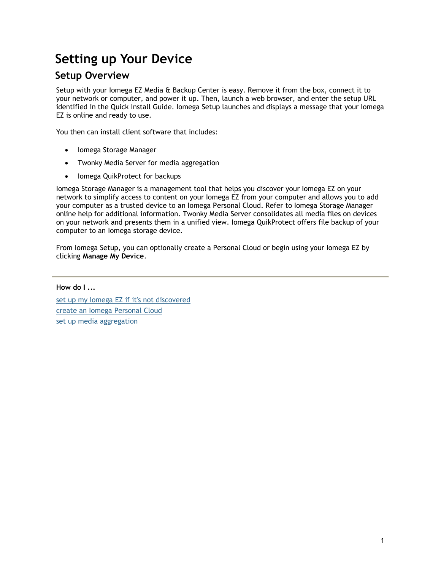# <span id="page-10-0"></span>**Setting up Your Device**

# <span id="page-10-1"></span>**Setup Overview**

Setup with your Iomega EZ Media & Backup Center is easy. Remove it from the box, connect it to your network or computer, and power it up. Then, launch a web browser, and enter the setup URL identified in the Quick Install Guide. Iomega Setup launches and displays a message that your Iomega EZ is online and ready to use.

You then can install client software that includes:

- Iomega Storage Manager
- Twonky Media Server for media aggregation
- Iomega QuikProtect for backups

Iomega Storage Manager is a management tool that helps you discover your Iomega EZ on your network to simplify access to content on your Iomega EZ from your computer and allows you to add your computer as a trusted device to an Iomega Personal Cloud. Refer to Iomega Storage Manager online help for additional information. Twonky Media Server consolidates all media files on devices on your network and presents them in a unified view. Iomega QuikProtect offers file backup of your computer to an Iomega storage device.

From Iomega Setup, you can optionally create a Personal Cloud or begin using your Iomega EZ by clicking **Manage My Device**.

**How do I ...**

[set up my Iomega EZ if it's not discovered](#page-11-0) [create an Iomega Personal Cloud](#page-73-0)  [set up media aggregation](#page-93-0)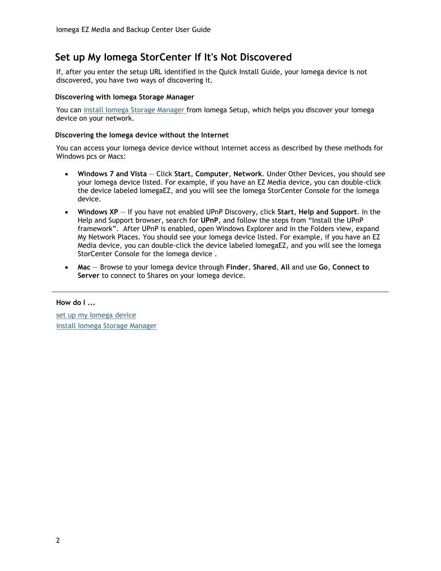# <span id="page-11-0"></span>**Set up My Iomega StorCenter If It's Not Discovered**

If, after you enter the setup URL identified in the Quick Install Guide, your Iomega device is not discovered, you have two ways of discovering it.

#### <span id="page-11-1"></span>**Discovering with Iomega Storage Manager**

You can [install Iomega Storage Manager f](#page-10-1)rom Iomega Setup, which helps you discover your Iomega device on your network.

#### <span id="page-11-2"></span>**Discovering the Iomega device without the Internet**

You can access your Iomega device device without internet access as described by these methods for Windows pcs or Macs:

- **Windows 7 and Vista** Click **Start**, **Computer**, **Network**. Under Other Devices, you should see your Iomega device listed. For example, if you have an EZ Media device, you can double-click the device labeled IomegaEZ, and you will see the Iomega StorCenter Console for the Iomega device.
- **Windows XP** If you have not enabled UPnP Discovery, click **Start**, **Help and Support**. In the Help and Support browser, search for **UPnP**, and follow the steps from "Install the UPnP framework". After UPnP is enabled, open Windows Explorer and in the Folders view, expand My Network Places. You should see your Iomega device listed. For example, if you have an EZ Media device, you can double-click the device labeled IomegaEZ, and you will see the Iomega StorCenter Console for the Iomega device .
- **Mac** Browse to your Iomega device through **Finder**, **Shared**, **All** and use **Go**, **Connect to Server** to connect to Shares on your Iomega device.

#### **How do I ...**

[set up my Iomega device](#page-10-1)  [install Iomega Storage Manager](#page-10-1)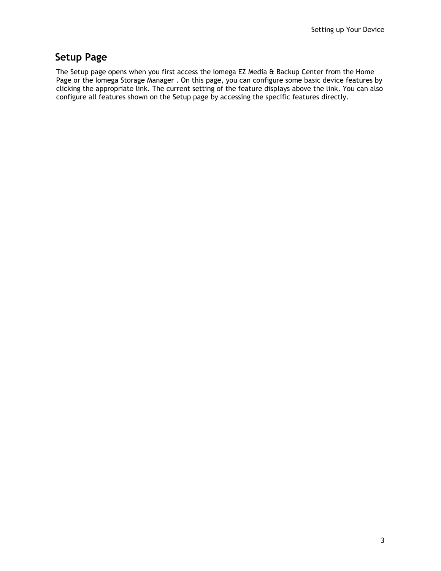# <span id="page-12-0"></span>**Setup Page**

The Setup page opens when you first access the Iomega EZ Media & Backup Center from the Home Page or the Iomega Storage Manager . On this page, you can configure some basic device features by clicking the appropriate link. The current setting of the feature displays above the link. You can also configure all features shown on the Setup page by accessing the specific features directly.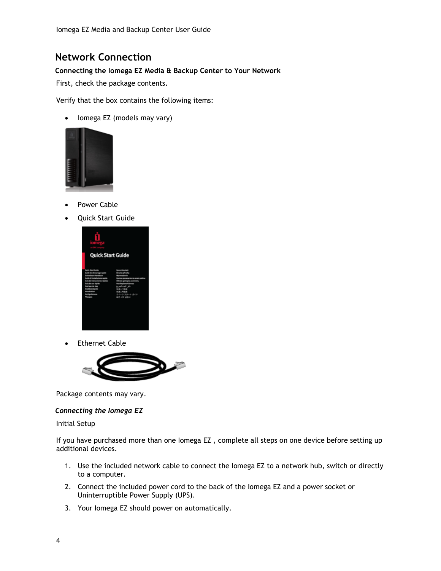# <span id="page-13-0"></span>**Network Connection**

### <span id="page-13-1"></span>**Connecting the Iomega EZ Media & Backup Center to Your Network**

First, check the package contents.

Verify that the box contains the following items:

• lomega EZ (models may vary)



- Power Cable
- Quick Start Guide



Ethernet Cable



Package contents may vary.

### *Connecting the Iomega EZ*

#### Initial Setup

If you have purchased more than one Iomega EZ , complete all steps on one device before setting up additional devices.

- 1. Use the included network cable to connect the Iomega EZ to a network hub, switch or directly to a computer.
- 2. Connect the included power cord to the back of the Iomega EZ and a power socket or Uninterruptible Power Supply (UPS).
- 3. Your Iomega EZ should power on automatically.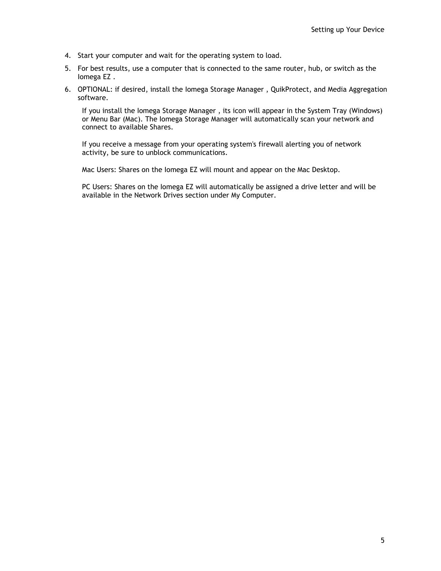- 4. Start your computer and wait for the operating system to load.
- 5. For best results, use a computer that is connected to the same router, hub, or switch as the Iomega EZ .
- 6. OPTIONAL: if desired, install the Iomega Storage Manager , QuikProtect, and Media Aggregation software.

If you install the Iomega Storage Manager , its icon will appear in the System Tray (Windows) or Menu Bar (Mac). The Iomega Storage Manager will automatically scan your network and connect to available Shares.

If you receive a message from your operating system's firewall alerting you of network activity, be sure to unblock communications.

Mac Users: Shares on the Iomega EZ will mount and appear on the Mac Desktop.

PC Users: Shares on the Iomega EZ will automatically be assigned a drive letter and will be available in the Network Drives section under My Computer.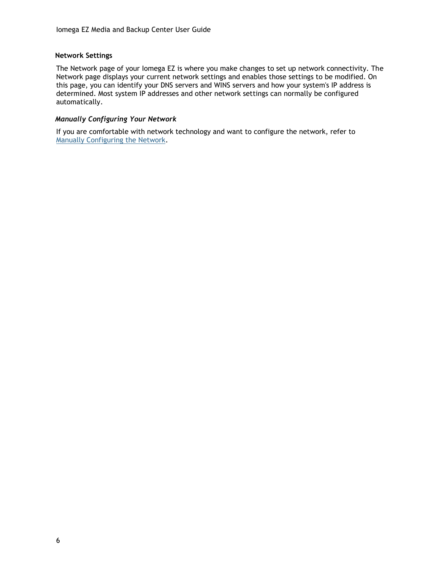### <span id="page-15-0"></span>**Network Settings**

The Network page of your Iomega EZ is where you make changes to set up network connectivity. The Network page displays your current network settings and enables those settings to be modified. On this page, you can identify your DNS servers and WINS servers and how your system's IP address is determined. Most system IP addresses and other network settings can normally be configured automatically.

## *Manually Configuring Your Network*

If you are comfortable with network technology and want to configure the network, refer to [Manually Configuring the Network.](#page-16-0)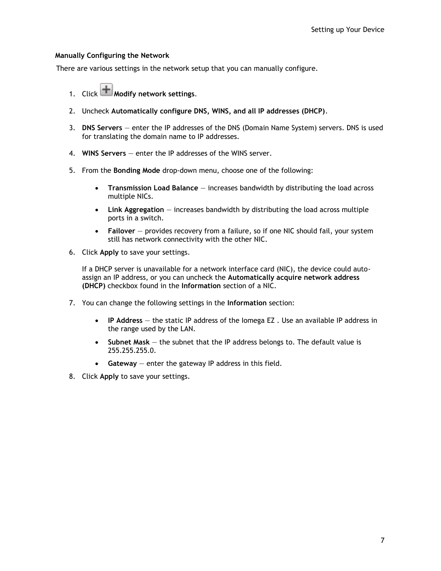### <span id="page-16-0"></span>**Manually Configuring the Network**

There are various settings in the network setup that you can manually configure.

- 1. Click **H** Modify network settings.
- 2. Uncheck **Automatically configure DNS, WINS, and all IP addresses (DHCP)**.
- 3. **DNS Servers** enter the IP addresses of the DNS (Domain Name System) servers. DNS is used for translating the domain name to IP addresses.
- 4. **WINS Servers** enter the IP addresses of the WINS server.
- 5. From the **Bonding Mode** drop-down menu, choose one of the following:
	- **Transmission Load Balance** increases bandwidth by distributing the load across multiple NICs.
	- **Link Aggregation** increases bandwidth by distributing the load across multiple ports in a switch.
	- **Failover** provides recovery from a failure, so if one NIC should fail, your system still has network connectivity with the other NIC.
- 6. Click **Apply** to save your settings.

If a DHCP server is unavailable for a network interface card (NIC), the device could autoassign an IP address, or you can uncheck the **Automatically acquire network address (DHCP)** checkbox found in the **Information** section of a NIC.

- 7. You can change the following settings in the **Information** section:
	- **IP Address** the static IP address of the Iomega EZ . Use an available IP address in the range used by the LAN.
	- **Subnet Mask** the subnet that the IP address belongs to. The default value is 255.255.255.0.
	- **Gateway** enter the gateway IP address in this field.
- 8. Click **Apply** to save your settings.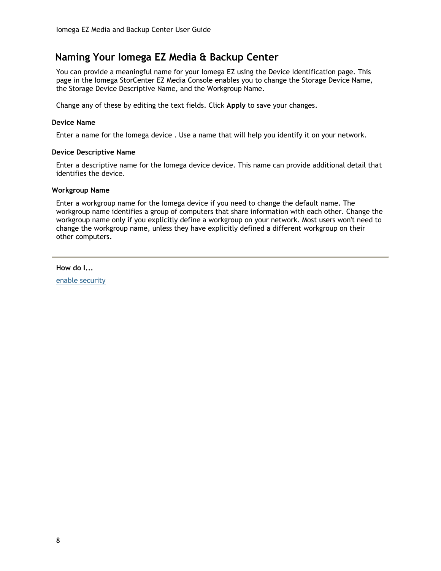# <span id="page-17-0"></span>**Naming Your Iomega EZ Media & Backup Center**

You can provide a meaningful name for your Iomega EZ using the Device Identification page. This page in the Iomega StorCenter EZ Media Console enables you to change the Storage Device Name, the Storage Device Descriptive Name, and the Workgroup Name.

Change any of these by editing the text fields. Click **Apply** to save your changes.

#### **Device Name**

Enter a name for the Iomega device . Use a name that will help you identify it on your network.

#### **Device Descriptive Name**

Enter a descriptive name for the Iomega device device. This name can provide additional detail that identifies the device.

#### **Workgroup Name**

Enter a workgroup name for the Iomega device if you need to change the default name. The workgroup name identifies a group of computers that share information with each other. Change the workgroup name only if you explicitly define a workgroup on your network. Most users won't need to change the workgroup name, unless they have explicitly defined a different workgroup on their other computers.

**How do I...**

[enable security](#page-61-0)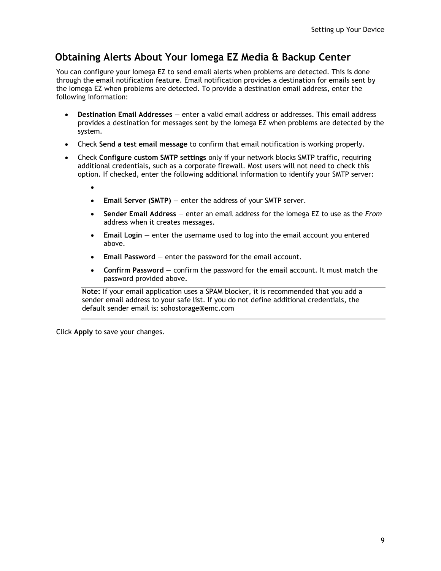# <span id="page-18-0"></span>**Obtaining Alerts About Your Iomega EZ Media & Backup Center**

You can configure your Iomega EZ to send email alerts when problems are detected. This is done through the email notification feature. Email notification provides a destination for emails sent by the Iomega EZ when problems are detected. To provide a destination email address, enter the following information:

- **Destination Email Addresses** enter a valid email address or addresses. This email address provides a destination for messages sent by the Iomega EZ when problems are detected by the system.
- Check **Send a test email message** to confirm that email notification is working properly.
- Check **Configure custom SMTP settings** only if your network blocks SMTP traffic, requiring additional credentials, such as a corporate firewall. Most users will not need to check this option. If checked, enter the following additional information to identify your SMTP server:
	- $\bullet$ 
		- **Email Server (SMTP)** enter the address of your SMTP server.
	- **Sender Email Address** enter an email address for the Iomega EZ to use as the *From* address when it creates messages.
	- **Email Login** enter the username used to log into the email account you entered above.
	- **Email Password** enter the password for the email account.
	- **Confirm Password** confirm the password for the email account. It must match the password provided above.

**Note:** If your email application uses a SPAM blocker, it is recommended that you add a sender email address to your safe list. If you do not define additional credentials, the default sender email is: sohostorage@emc.com

Click **Apply** to save your changes.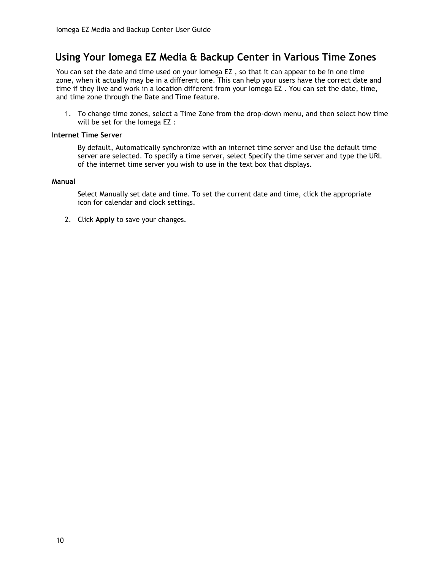# <span id="page-19-0"></span>**Using Your Iomega EZ Media & Backup Center in Various Time Zones**

You can set the date and time used on your Iomega EZ , so that it can appear to be in one time zone, when it actually may be in a different one. This can help your users have the correct date and time if they live and work in a location different from your Iomega EZ . You can set the date, time, and time zone through the Date and Time feature.

1. To change time zones, select a Time Zone from the drop-down menu, and then select how time will be set for the Iomega EZ :

#### **Internet Time Server**

By default, Automatically synchronize with an internet time server and Use the default time server are selected. To specify a time server, select Specify the time server and type the URL of the internet time server you wish to use in the text box that displays.

#### **Manual**

Select Manually set date and time. To set the current date and time, click the appropriate icon for calendar and clock settings.

2. Click **Apply** to save your changes.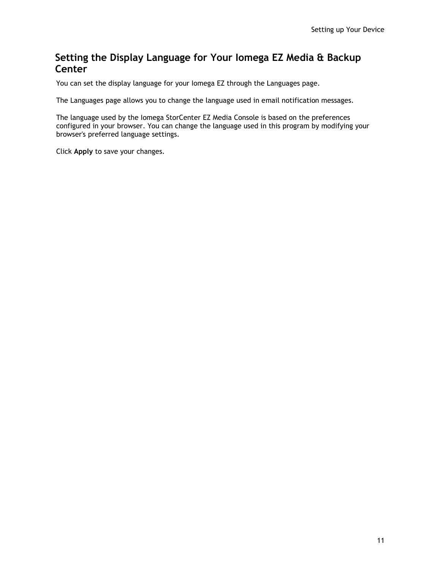# <span id="page-20-0"></span>**Setting the Display Language for Your Iomega EZ Media & Backup Center**

You can set the display language for your Iomega EZ through the Languages page.

The Languages page allows you to change the language used in email notification messages.

The language used by the Iomega StorCenter EZ Media Console is based on the preferences configured in your browser. You can change the language used in this program by modifying your browser's preferred language settings.

Click **Apply** to save your changes.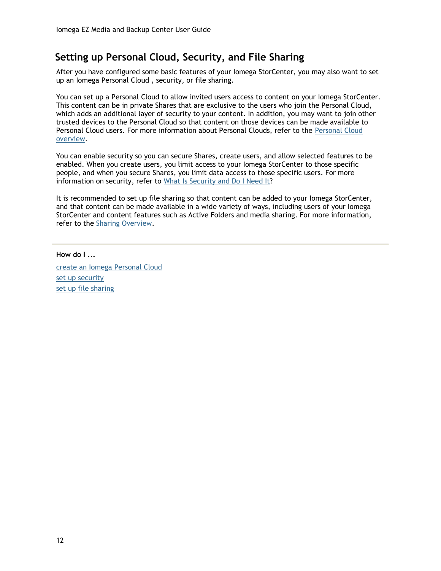# <span id="page-21-0"></span>**Setting up Personal Cloud, Security, and File Sharing**

After you have configured some basic features of your Iomega StorCenter, you may also want to set up an Iomega Personal Cloud , security, or file sharing.

You can set up a Personal Cloud to allow invited users access to content on your Iomega StorCenter. This content can be in private Shares that are exclusive to the users who join the Personal Cloud, which adds an additional layer of security to your content. In addition, you may want to join other trusted devices to the Personal Cloud so that content on those devices can be made available to Personal Cloud users. For more information about Personal Clouds, refer to the [Personal Cloud](#page-70-1)  [overview.](#page-70-1)

You can enable security so you can secure Shares, create users, and allow selected features to be enabled. When you create users, you limit access to your Iomega StorCenter to those specific people, and when you secure Shares, you limit data access to those specific users. For more information on security, refer to [What Is Security and Do I Need It?](#page-60-1)

It is recommended to set up file sharing so that content can be added to your Iomega StorCenter, and that content can be made available in a wide variety of ways, including users of your Iomega StorCenter and content features such as Active Folders and media sharing. For more information, refer to the [Sharing Overview.](#page-22-1)

**How do I ...**

[create an Iomega Personal Cloud](#page-70-1)  [set up security](#page-60-1) [set up file sharing](#page-22-1)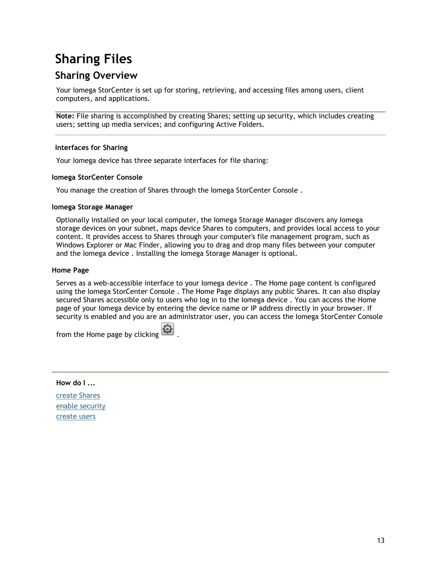# <span id="page-22-0"></span>**Sharing Files**

# <span id="page-22-1"></span>**Sharing Overview**

Your Iomega StorCenter is set up for storing, retrieving, and accessing files among users, client computers, and applications.

**Note:** File sharing is accomplished by creating Shares; setting up security, which includes creating users; setting up media services; and configuring Active Folders.

### <span id="page-22-2"></span>**Interfaces for Sharing**

Your Iomega device has three separate interfaces for file sharing:

#### **Iomega StorCenter Console**

You manage the creation of Shares through the Iomega StorCenter Console .

#### **Iomega Storage Manager**

Optionally installed on your local computer, the Iomega Storage Manager discovers any Iomega storage devices on your subnet, maps device Shares to computers, and provides local access to your content. It provides access to Shares through your computer's file management program, such as Windows Explorer or Mac Finder, allowing you to drag and drop many files between your computer and the Iomega device . Installing the Iomega Storage Manager is optional.

#### **Home Page**

Serves as a web-accessible interface to your Iomega device . The Home page content is configured using the Iomega StorCenter Console . The Home Page displays any public Shares. It can also display secured Shares accessible only to users who log in to the Iomega device . You can access the Home page of your Iomega device by entering the device name or IP address directly in your browser. If security is enabled and you are an administrator user, you can access the Iomega StorCenter Console

from the Home page by clicking  $\left| \Omega \right|$ .

#### **How do I ...**

[create Shares](#page-24-0) [enable security](#page-61-0) [create users](#page-64-0)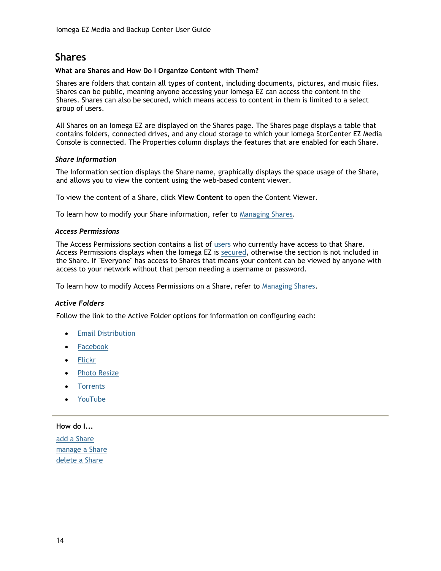# <span id="page-23-0"></span>**Shares**

#### <span id="page-23-1"></span>**What are Shares and How Do I Organize Content with Them?**

Shares are folders that contain all types of content, including documents, pictures, and music files. Shares can be public, meaning anyone accessing your Iomega EZ can access the content in the Shares. Shares can also be secured, which means access to content in them is limited to a select group of users.

All Shares on an Iomega EZ are displayed on the Shares page. The Shares page displays a table that contains folders, connected drives, and any cloud storage to which your Iomega StorCenter EZ Media Console is connected. The Properties column displays the features that are enabled for each Share.

### *Share Information*

The Information section displays the Share name, graphically displays the space usage of the Share, and allows you to view the content using the web-based content viewer.

To view the content of a Share, click **View Content** to open the Content Viewer.

To learn how to modify your Share information, refer to [Managing Shares.](#page-25-0)

#### *Access Permissions*

The Access Permissions section contains a list of [users](#page-63-1) who currently have access to that Share. Access Permissions displays when the Iomega EZ is [secured,](#page-61-0) otherwise the section is not included in the Share. If "Everyone" has access to Shares that means your content can be viewed by anyone with access to your network without that person needing a username or password.

To learn how to modify Access Permissions on a Share, refer to [Managing Shares.](#page-25-0)

### *Active Folders*

Follow the link to the Active Folder options for information on configuring each:

- **•** [Email Distribution](#page-36-0)
- [Facebook](#page-85-0)
- [Flickr](#page-86-0)
- [Photo Resize](#page-99-0)
- **[Torrents](#page-107-1)**
- [YouTube](#page-87-0)

#### **How do I...**

[add a Share](#page-24-0) [manage a Share](#page-25-0) [delete a Share](#page-27-0)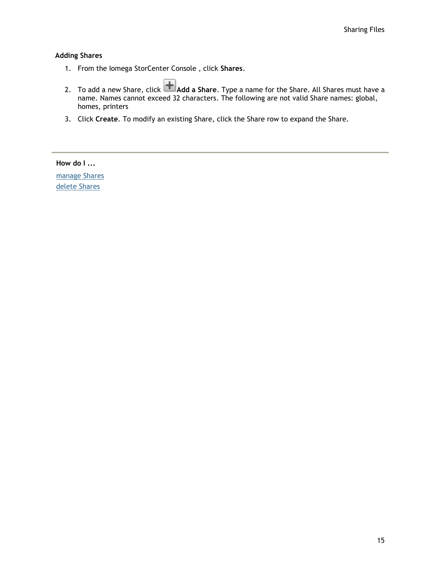#### <span id="page-24-0"></span>**Adding Shares**

- 1. From the Iomega StorCenter Console , click **Shares**.
- 2. To add a new Share, click **Add a Share**. Type a name for the Share. All Shares must have a name. Names cannot exceed 32 characters. The following are not valid Share names: global, homes, printers
- 3. Click **Create**. To modify an existing Share, click the Share row to expand the Share.

**How do I ...**

[manage Shares](#page-25-0) [delete Shares](#page-27-0)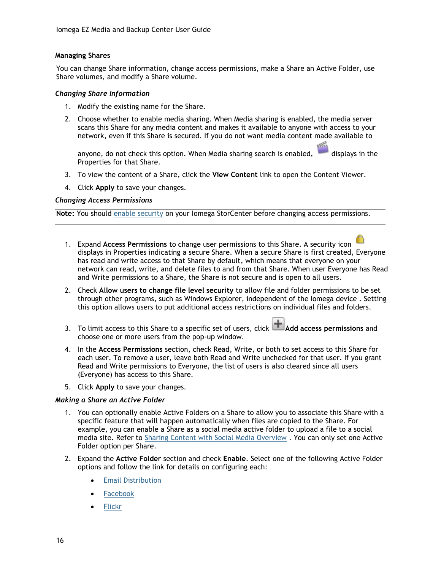#### <span id="page-25-0"></span>**Managing Shares**

You can change Share information, change access permissions, make a Share an Active Folder, use Share volumes, and modify a Share volume.

#### *Changing Share Information*

- 1. Modify the existing name for the Share.
- 2. Choose whether to enable media sharing. When Media sharing is enabled, the media server scans this Share for any media content and makes it available to anyone with access to your network, even if this Share is secured. If you do not want media content made available to

anyone, do not check this option. When Media sharing search is enabled,  $\Box$  displays in the Properties for that Share.

- 3. To view the content of a Share, click the **View Content** link to open the Content Viewer.
- 4. Click **Apply** to save your changes.

#### *Changing Access Permissions*

**Note:** You should [enable security](#page-61-0) on your Iomega StorCenter before changing access permissions.

- 1. Expand **Access Permissions** to change user permissions to this Share. A security icon displays in Properties indicating a secure Share. When a secure Share is first created, Everyone has read and write access to that Share by default, which means that everyone on your network can read, write, and delete files to and from that Share. When user Everyone has Read and Write permissions to a Share, the Share is not secure and is open to all users.
- 2. Check **Allow users to change file level security** to allow file and folder permissions to be set through other programs, such as Windows Explorer, independent of the Iomega device . Setting this option allows users to put additional access restrictions on individual files and folders.
- 3. To limit access to this Share to a specific set of users, click **Add access permissions** and choose one or more users from the pop-up window.
- 4. In the **Access Permissions** section, check Read, Write, or both to set access to this Share for each user. To remove a user, leave both Read and Write unchecked for that user. If you grant Read and Write permissions to Everyone, the list of users is also cleared since all users (Everyone) has access to this Share.
- 5. Click **Apply** to save your changes.

#### *Making a Share an Active Folder*

- 1. You can optionally enable Active Folders on a Share to allow you to associate this Share with a specific feature that will happen automatically when files are copied to the Share. For example, you can enable a Share as a social media active folder to upload a file to a social media site. Refer to [Sharing Content with Social Media Overview](#page-37-0) . You can only set one Active Folder option per Share.
- 2. Expand the **Active Folder** section and check **Enable**. Select one of the following Active Folder options and follow the link for details on configuring each:
	- [Email Distribution](http://192.168.171.158/help/active_folder_email.html)
	- [Facebook](http://192.168.171.158/help/active_folder_facebook.html)
	- [Flickr](http://192.168.171.158/help/active_folder_flickr.html)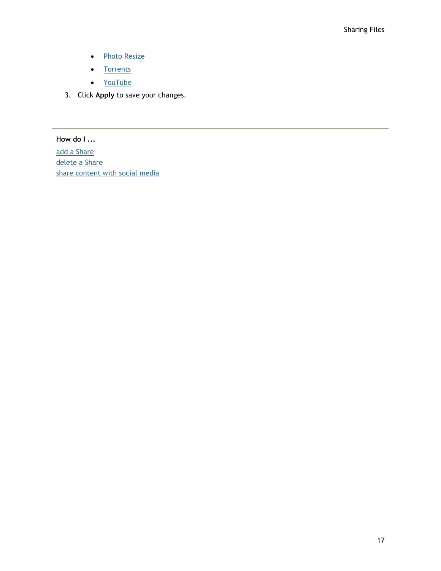- [Photo Resize](http://192.168.171.158/help/active_folder_photo_resize.html)
- [Torrents](http://192.168.171.158/help/active_folder_torrent.html)
- <u>[YouTube](http://192.168.171.158/help/active_folder_youtube.html)</u>
- 3. Click **Apply** to save your changes.

**How do I ...**

[add a Share](#page-24-0) [delete a Share](#page-27-0) [share content with social media](#page-37-0)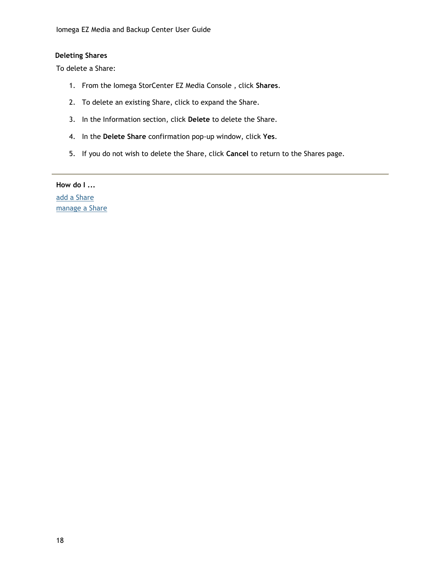### <span id="page-27-0"></span>**Deleting Shares**

To delete a Share:

- 1. From the Iomega StorCenter EZ Media Console , click **Shares**.
- 2. To delete an existing Share, click to expand the Share.
- 3. In the Information section, click **Delete** to delete the Share.
- 4. In the **Delete Share** confirmation pop-up window, click **Yes**.
- 5. If you do not wish to delete the Share, click **Cancel** to return to the Shares page.

**How do I ...** [add a Share](#page-24-0) [manage a Share](#page-25-0)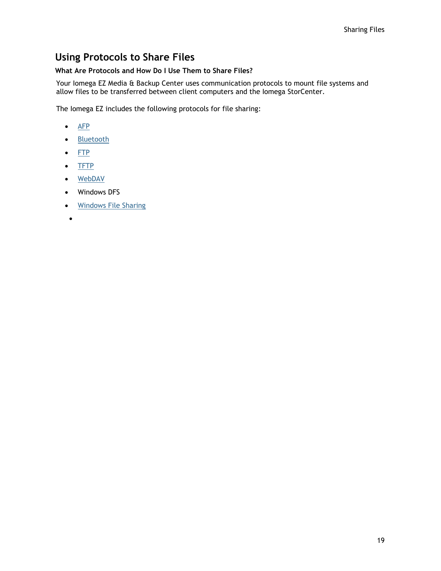# <span id="page-28-0"></span>**Using Protocols to Share Files**

## <span id="page-28-1"></span>**What Are Protocols and How Do I Use Them to Share Files?**

Your Iomega EZ Media & Backup Center uses communication protocols to mount file systems and allow files to be transferred between client computers and the Iomega StorCenter.

The Iomega EZ includes the following protocols for file sharing:

- $\bullet$  [AFP](#page-29-0)
- [Bluetooth](#page-30-0)
- $\bullet$  [FTP](#page-31-0)
- [TFTP](#page-31-0)
- [WebDAV](#page-33-0)
- Windows DFS
- [Windows File Sharing](#page-34-0)
- $\bullet$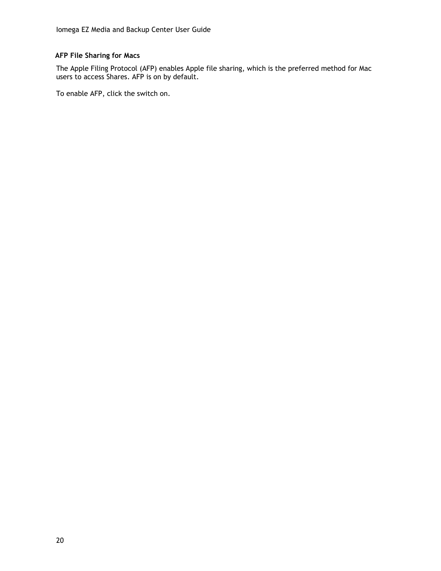### <span id="page-29-0"></span>**AFP File Sharing for Macs**

The Apple Filing Protocol (AFP) enables Apple file sharing, which is the preferred method for Mac users to access Shares. AFP is on by default.

To enable AFP, click the switch on.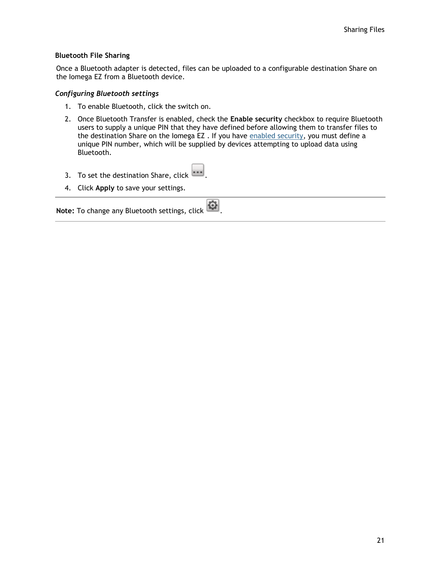#### <span id="page-30-0"></span>**Bluetooth File Sharing**

Once a Bluetooth adapter is detected, files can be uploaded to a configurable destination Share on the Iomega EZ from a Bluetooth device.

#### *Configuring Bluetooth settings*

- 1. To enable Bluetooth, click the switch on.
- 2. Once Bluetooth Transfer is enabled, check the **Enable security** checkbox to require Bluetooth users to supply a unique PIN that they have defined before allowing them to transfer files to the destination Share on the Iomega EZ. If you have [enabled security,](#page-61-0) you must define a unique PIN number, which will be supplied by devices attempting to upload data using Bluetooth.
- 3. To set the destination Share, click
- 4. Click **Apply** to save your settings.

**Note:** To change any Bluetooth settings, click  $\left| \bigoplus_{i=1}^{n} \right|$ .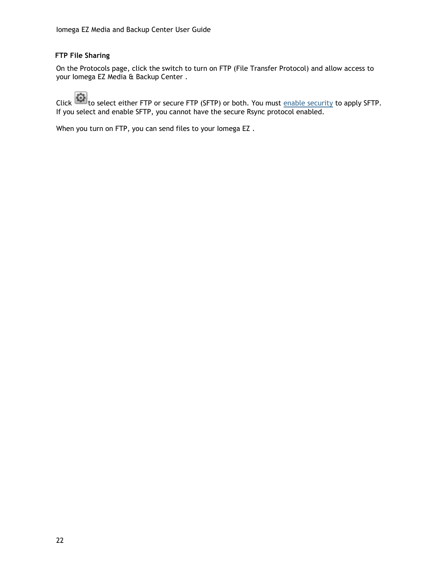### <span id="page-31-0"></span>**FTP File Sharing**

On the Protocols page, click the switch to turn on FTP (File Transfer Protocol) and allow access to your Iomega EZ Media & Backup Center .

Click  $\blacksquare$  to select either FTP or secure FTP (SFTP) or both. You must [enable security](#page-61-0) to apply SFTP. If you select and enable SFTP, you cannot have the secure Rsync protocol enabled.

When you turn on FTP, you can send files to your Iomega EZ .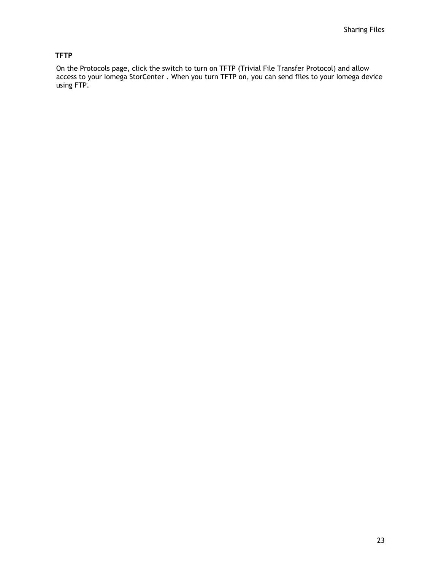## <span id="page-32-0"></span>**TFTP**

On the Protocols page, click the switch to turn on TFTP (Trivial File Transfer Protocol) and allow access to your Iomega StorCenter . When you turn TFTP on, you can send files to your Iomega device using FTP.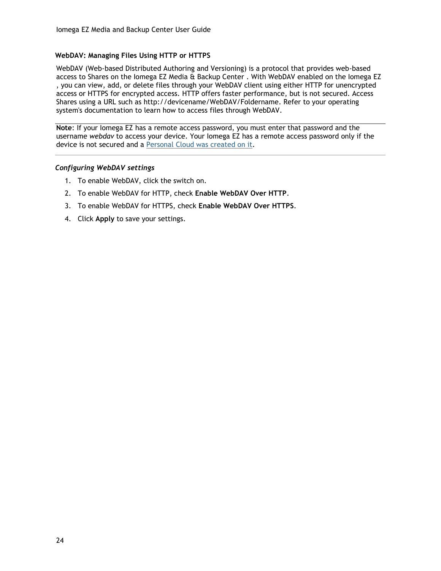#### <span id="page-33-0"></span>**WebDAV: Managing Files Using HTTP or HTTPS**

WebDAV (Web-based Distributed Authoring and Versioning) is a protocol that provides web-based access to Shares on the Iomega EZ Media & Backup Center . With WebDAV enabled on the Iomega EZ , you can view, add, or delete files through your WebDAV client using either HTTP for unencrypted access or HTTPS for encrypted access. HTTP offers faster performance, but is not secured. Access Shares using a URL such as http://devicename/WebDAV/Foldername. Refer to your operating system's documentation to learn how to access files through WebDAV.

**Note**: If your Iomega EZ has a remote access password, you must enter that password and the username *webdav* to access your device. Your Iomega EZ has a remote access password only if the device is not secured and a [Personal Cloud was created on it.](#page-73-0)

#### *Configuring WebDAV settings*

- 1. To enable WebDAV, click the switch on.
- 2. To enable WebDAV for HTTP, check **Enable WebDAV Over HTTP**.
- 3. To enable WebDAV for HTTPS, check **Enable WebDAV Over HTTPS**.
- 4. Click **Apply** to save your settings.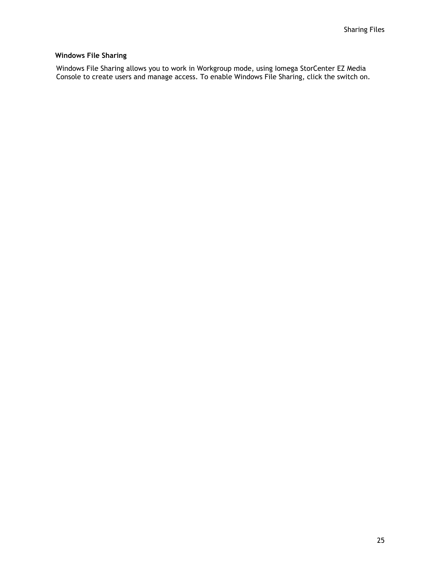### <span id="page-34-0"></span>**Windows File Sharing**

Windows File Sharing allows you to work in Workgroup mode, using Iomega StorCenter EZ Media Console to create users and manage access. To enable Windows File Sharing, click the switch on.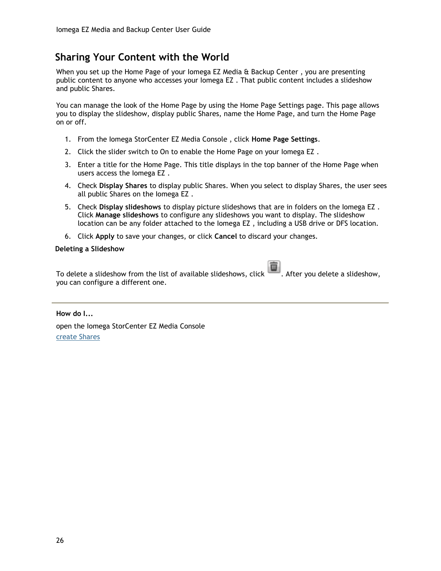# <span id="page-35-0"></span>**Sharing Your Content with the World**

When you set up the Home Page of your Iomega EZ Media & Backup Center , you are presenting public content to anyone who accesses your Iomega EZ . That public content includes a slideshow and public Shares.

You can manage the look of the Home Page by using the Home Page Settings page. This page allows you to display the slideshow, display public Shares, name the Home Page, and turn the Home Page on or off.

- 1. From the Iomega StorCenter EZ Media Console , click **Home Page Settings**.
- 2. Click the slider switch to On to enable the Home Page on your Iomega EZ .
- 3. Enter a title for the Home Page. This title displays in the top banner of the Home Page when users access the Iomega EZ .
- 4. Check **Display Shares** to display public Shares. When you select to display Shares, the user sees all public Shares on the Iomega EZ .
- 5. Check **Display slideshows** to display picture slideshows that are in folders on the Iomega EZ . Click **Manage slideshows** to configure any slideshows you want to display. The slideshow location can be any folder attached to the Iomega EZ , including a USB drive or DFS location.
- 6. Click **Apply** to save your changes, or click **Cancel** to discard your changes.

#### <span id="page-35-1"></span>**Deleting a Slideshow**

To delete a slideshow from the list of available slideshows, click  $\Box$ . After you delete a slideshow, you can configure a different one.

**How do I...**

open the Iomega StorCenter EZ Media Console [create Shares](#page-24-0)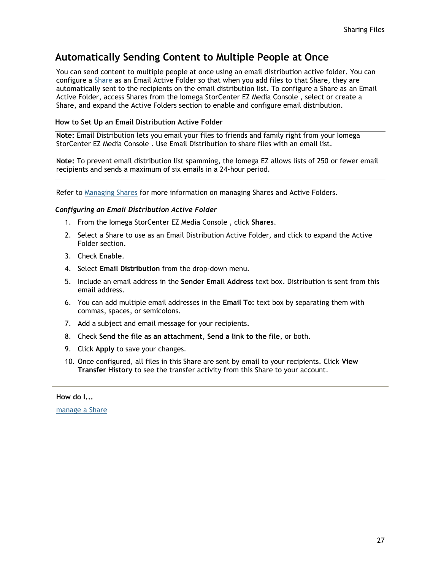# **Automatically Sending Content to Multiple People at Once**

You can send content to multiple people at once using an email distribution active folder. You can configure a [Share](#page-23-0) as an Email Active Folder so that when you add files to that Share, they are automatically sent to the recipients on the email distribution list. To configure a Share as an Email Active Folder, access Shares from the Iomega StorCenter EZ Media Console , select or create a Share, and expand the Active Folders section to enable and configure email distribution.

#### **How to Set Up an Email Distribution Active Folder**

**Note:** Email Distribution lets you email your files to friends and family right from your Iomega StorCenter EZ Media Console . Use Email Distribution to share files with an email list.

**Note:** To prevent email distribution list spamming, the Iomega EZ allows lists of 250 or fewer email recipients and sends a maximum of six emails in a 24-hour period.

Refer to [Managing Shares](#page-25-0) for more information on managing Shares and Active Folders.

#### *Configuring an Email Distribution Active Folder*

- 1. From the Iomega StorCenter EZ Media Console , click **Shares**.
- 2. Select a Share to use as an Email Distribution Active Folder, and click to expand the Active Folder section.
- 3. Check **Enable**.
- 4. Select **Email Distribution** from the drop-down menu.
- 5. Include an email address in the **Sender Email Address** text box. Distribution is sent from this email address.
- 6. You can add multiple email addresses in the **Email To:** text box by separating them with commas, spaces, or semicolons.
- 7. Add a subject and email message for your recipients.
- 8. Check **Send the file as an attachment**, **Send a link to the file**, or both.
- 9. Click **Apply** to save your changes.
- 10. Once configured, all files in this Share are sent by email to your recipients. Click **View Transfer History** to see the transfer activity from this Share to your account.

**How do I...**

[manage a Share](#page-25-0)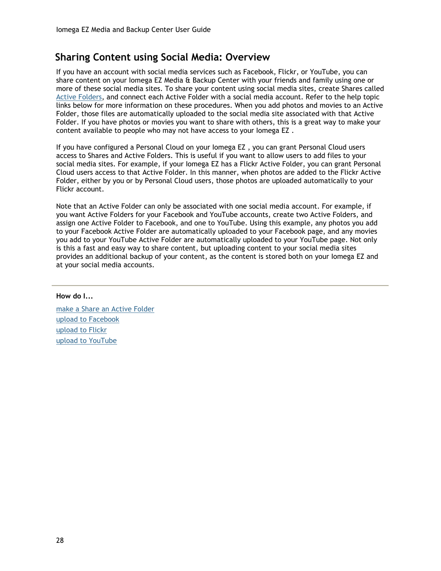# **Sharing Content using Social Media: Overview**

If you have an account with social media services such as Facebook, Flickr, or YouTube, you can share content on your Iomega EZ Media & Backup Center with your friends and family using one or more of these social media sites. To share your content using social media sites, create Shares called [Active Folders,](#page-25-1) and connect each Active Folder with a social media account. Refer to the help topic links below for more information on these procedures. When you add photos and movies to an Active Folder, those files are automatically uploaded to the social media site associated with that Active Folder. If you have photos or movies you want to share with others, this is a great way to make your content available to people who may not have access to your Iomega EZ .

If you have configured a Personal Cloud on your Iomega EZ , you can grant Personal Cloud users access to Shares and Active Folders. This is useful if you want to allow users to add files to your social media sites. For example, if your Iomega EZ has a Flickr Active Folder, you can grant Personal Cloud users access to that Active Folder. In this manner, when photos are added to the Flickr Active Folder, either by you or by Personal Cloud users, those photos are uploaded automatically to your Flickr account.

Note that an Active Folder can only be associated with one social media account. For example, if you want Active Folders for your Facebook and YouTube accounts, create two Active Folders, and assign one Active Folder to Facebook, and one to YouTube. Using this example, any photos you add to your Facebook Active Folder are automatically uploaded to your Facebook page, and any movies you add to your YouTube Active Folder are automatically uploaded to your YouTube page. Not only is this a fast and easy way to share content, but uploading content to your social media sites provides an additional backup of your content, as the content is stored both on your Iomega EZ and at your social media accounts.

#### **How do I...**

[make a Share an Active Folder](#page-25-1) [upload to Facebook](#page-85-0) [upload to Flickr](#page-86-0) [upload to YouTube](#page-87-0)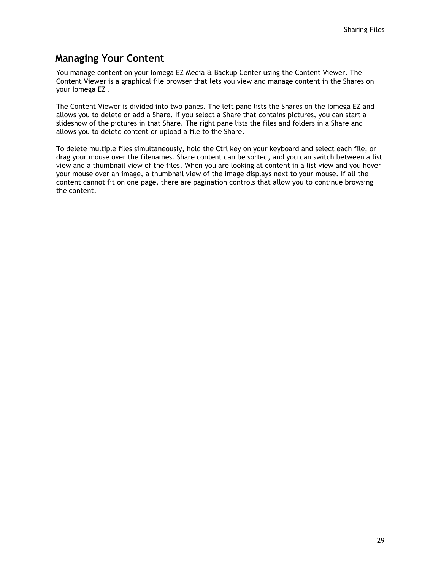# **Managing Your Content**

You manage content on your Iomega EZ Media & Backup Center using the Content Viewer. The Content Viewer is a graphical file browser that lets you view and manage content in the Shares on your Iomega EZ .

The Content Viewer is divided into two panes. The left pane lists the Shares on the Iomega EZ and allows you to delete or add a Share. If you select a Share that contains pictures, you can start a slideshow of the pictures in that Share. The right pane lists the files and folders in a Share and allows you to delete content or upload a file to the Share.

To delete multiple files simultaneously, hold the Ctrl key on your keyboard and select each file, or drag your mouse over the filenames. Share content can be sorted, and you can switch between a list view and a thumbnail view of the files. When you are looking at content in a list view and you hover your mouse over an image, a thumbnail view of the image displays next to your mouse. If all the content cannot fit on one page, there are pagination controls that allow you to continue browsing the content.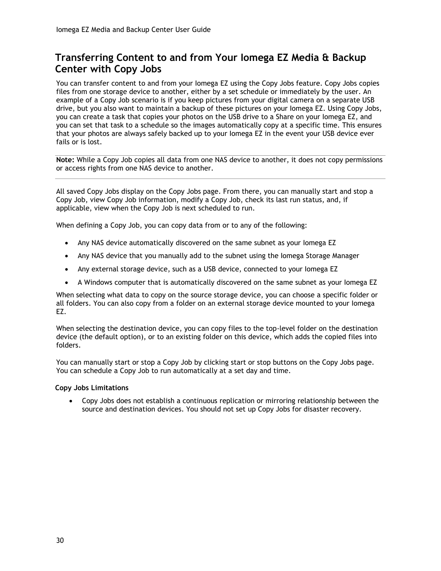# <span id="page-39-0"></span>**Transferring Content to and from Your Iomega EZ Media & Backup Center with Copy Jobs**

You can transfer content to and from your Iomega EZ using the Copy Jobs feature. Copy Jobs copies files from one storage device to another, either by a set schedule or immediately by the user. An example of a Copy Job scenario is if you keep pictures from your digital camera on a separate USB drive, but you also want to maintain a backup of these pictures on your Iomega EZ. Using Copy Jobs, you can create a task that copies your photos on the USB drive to a Share on your Iomega EZ, and you can set that task to a schedule so the images automatically copy at a specific time. This ensures that your photos are always safely backed up to your Iomega EZ in the event your USB device ever fails or is lost.

**Note:** While a Copy Job copies all data from one NAS device to another, it does not copy permissions or access rights from one NAS device to another.

All saved Copy Jobs display on the Copy Jobs page. From there, you can manually start and stop a Copy Job, view Copy Job information, modify a Copy Job, check its last run status, and, if applicable, view when the Copy Job is next scheduled to run.

When defining a Copy Job, you can copy data from or to any of the following:

- Any NAS device automatically discovered on the same subnet as your Iomega EZ
- Any NAS device that you manually add to the subnet using the Iomega Storage Manager
- Any external storage device, such as a USB device, connected to your Iomega EZ
- A Windows computer that is automatically discovered on the same subnet as your Iomega EZ

When selecting what data to copy on the source storage device, you can choose a specific folder or all folders. You can also copy from a folder on an external storage device mounted to your Iomega EZ.

When selecting the destination device, you can copy files to the top-level folder on the destination device (the default option), or to an existing folder on this device, which adds the copied files into folders.

You can manually start or stop a Copy Job by clicking start or stop buttons on the Copy Jobs page. You can schedule a Copy Job to run automatically at a set day and time.

#### **Copy Jobs Limitations**

 Copy Jobs does not establish a continuous replication or mirroring relationship between the source and destination devices. You should not set up Copy Jobs for disaster recovery.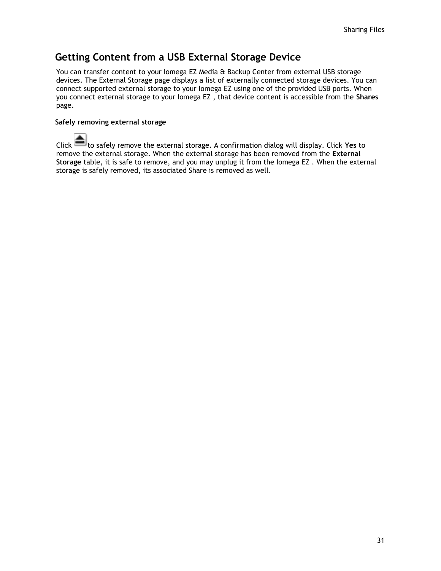# **Getting Content from a USB External Storage Device**

You can transfer content to your lomega EZ Media & Backup Center from external USB storage devices. The External Storage page displays a list of externally connected storage devices. You can connect supported external storage to your Iomega EZ using one of the provided USB ports. When you connect external storage to your Iomega EZ , that device content is accessible from the **Shares** page.

#### **Safely removing external storage**

Click **the safely remove the external storage.** A confirmation dialog will display. Click Yes to remove the external storage. When the external storage has been removed from the **External Storage** table, it is safe to remove, and you may unplug it from the Iomega EZ . When the external storage is safely removed, its associated Share is removed as well.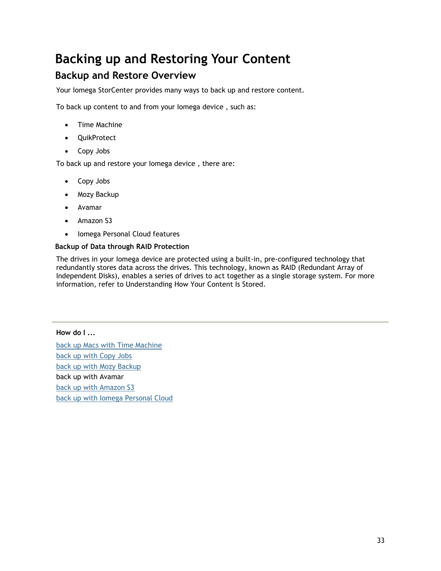# **Backing up and Restoring Your Content**

# **Backup and Restore Overview**

Your Iomega StorCenter provides many ways to back up and restore content.

To back up content to and from your Iomega device , such as:

- Time Machine
- QuikProtect
- Copy Jobs

To back up and restore your Iomega device , there are:

- Copy Jobs
- Mozy Backup
- Avamar
- Amazon S3
- Iomega Personal Cloud features

#### **Backup of Data through RAID Protection**

The drives in your Iomega device are protected using a built-in, pre-configured technology that redundantly stores data across the drives. This technology, known as RAID (Redundant Array of Independent Disks), enables a series of drives to act together as a single storage system. For more information, refer to Understanding How Your Content Is Stored.

**How do I ...** [back up Macs with Time Machine](#page-43-0) [back up with Copy Jobs](#page-39-0) [back up with Mozy Backup](#page-54-0) back up with Avamar [back up with Amazon S3](#page-56-0) [back up with Iomega Personal Cloud](#page-58-0)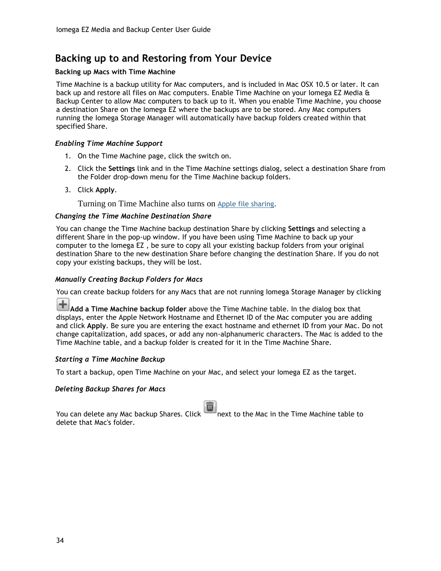# **Backing up to and Restoring from Your Device**

#### <span id="page-43-0"></span>**Backing up Macs with Time Machine**

Time Machine is a backup utility for Mac computers, and is included in Mac OSX 10.5 or later. It can back up and restore all files on Mac computers. Enable Time Machine on your Iomega EZ Media & Backup Center to allow Mac computers to back up to it. When you enable Time Machine, you choose a destination Share on the Iomega EZ where the backups are to be stored. Any Mac computers running the Iomega Storage Manager will automatically have backup folders created within that specified Share.

#### *Enabling Time Machine Support*

- 1. On the Time Machine page, click the switch on.
- 2. Click the **Settings** link and in the Time Machine settings dialog, select a destination Share from the Folder drop-down menu for the Time Machine backup folders.
- 3. Click **Apply**.

Turning on Time Machine also turns on [Apple file sharing](#page-29-0).

#### *Changing the Time Machine Destination Share*

You can change the Time Machine backup destination Share by clicking **Settings** and selecting a different Share in the pop-up window. If you have been using Time Machine to back up your computer to the Iomega EZ , be sure to copy all your existing backup folders from your original destination Share to the new destination Share before changing the destination Share. If you do not copy your existing backups, they will be lost.

#### *Manually Creating Backup Folders for Macs*

You can create backup folders for any Macs that are not running Iomega Storage Manager by clicking

**Add a Time Machine backup folder** above the Time Machine table. In the dialog box that displays, enter the Apple Network Hostname and Ethernet ID of the Mac computer you are adding and click **Apply**. Be sure you are entering the exact hostname and ethernet ID from your Mac. Do not change capitalization, add spaces, or add any non-alphanumeric characters. The Mac is added to the Time Machine table, and a backup folder is created for it in the Time Machine Share.

#### *Starting a Time Machine Backup*

To start a backup, open Time Machine on your Mac, and select your Iomega EZ as the target.

#### *Deleting Backup Shares for Macs*

You can delete any Mac backup Shares. Click next to the Mac in the Time Machine table to delete that Mac's folder.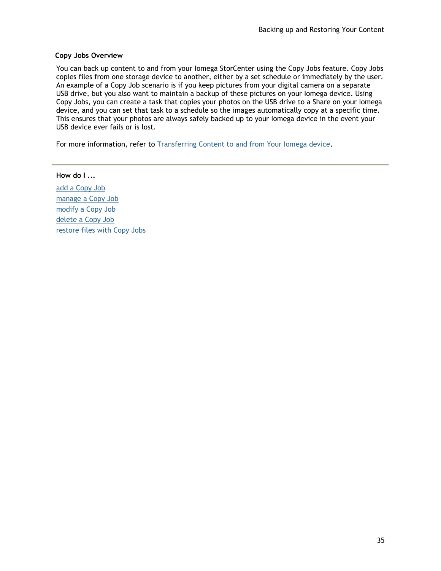#### **Copy Jobs Overview**

You can back up content to and from your Iomega StorCenter using the Copy Jobs feature. Copy Jobs copies files from one storage device to another, either by a set schedule or immediately by the user. An example of a Copy Job scenario is if you keep pictures from your digital camera on a separate USB drive, but you also want to maintain a backup of these pictures on your Iomega device. Using Copy Jobs, you can create a task that copies your photos on the USB drive to a Share on your Iomega device, and you can set that task to a schedule so the images automatically copy at a specific time. This ensures that your photos are always safely backed up to your Iomega device in the event your USB device ever fails or is lost.

For more information, refer to [Transferring Content to and from Your Iomega device.](#page-39-0)

**How do I ...** [add a Copy Job](#page-47-0) [manage a Copy Job](#page-50-0) [modify a Copy Job](#page-51-0) [delete a Copy Job](#page-52-0) [restore files with Copy Jobs](#page-53-0)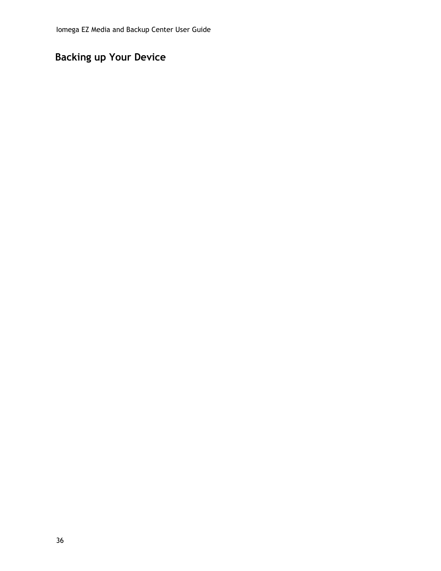# **Backing up Your Device**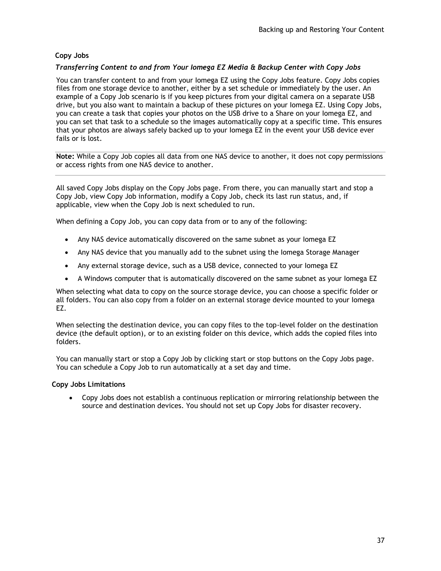### **Copy Jobs**

#### *Transferring Content to and from Your Iomega EZ Media & Backup Center with Copy Jobs*

You can transfer content to and from your Iomega EZ using the Copy Jobs feature. Copy Jobs copies files from one storage device to another, either by a set schedule or immediately by the user. An example of a Copy Job scenario is if you keep pictures from your digital camera on a separate USB drive, but you also want to maintain a backup of these pictures on your Iomega EZ. Using Copy Jobs, you can create a task that copies your photos on the USB drive to a Share on your Iomega EZ, and you can set that task to a schedule so the images automatically copy at a specific time. This ensures that your photos are always safely backed up to your Iomega EZ in the event your USB device ever fails or is lost.

**Note:** While a Copy Job copies all data from one NAS device to another, it does not copy permissions or access rights from one NAS device to another.

All saved Copy Jobs display on the Copy Jobs page. From there, you can manually start and stop a Copy Job, view Copy Job information, modify a Copy Job, check its last run status, and, if applicable, view when the Copy Job is next scheduled to run.

When defining a Copy Job, you can copy data from or to any of the following:

- Any NAS device automatically discovered on the same subnet as your Iomega EZ
- Any NAS device that you manually add to the subnet using the Iomega Storage Manager
- Any external storage device, such as a USB device, connected to your Iomega EZ
- A Windows computer that is automatically discovered on the same subnet as your Iomega EZ

When selecting what data to copy on the source storage device, you can choose a specific folder or all folders. You can also copy from a folder on an external storage device mounted to your Iomega EZ.

When selecting the destination device, you can copy files to the top-level folder on the destination device (the default option), or to an existing folder on this device, which adds the copied files into folders.

You can manually start or stop a Copy Job by clicking start or stop buttons on the Copy Jobs page. You can schedule a Copy Job to run automatically at a set day and time.

#### **Copy Jobs Limitations**

 Copy Jobs does not establish a continuous replication or mirroring relationship between the source and destination devices. You should not set up Copy Jobs for disaster recovery.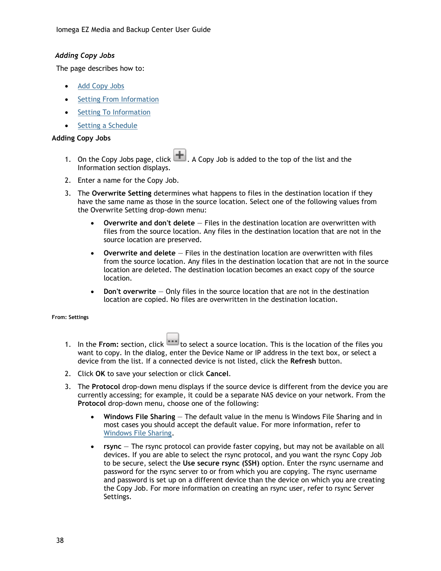Iomega EZ Media and Backup Center User Guide

#### <span id="page-47-0"></span>*Adding Copy Jobs*

The page describes how to:

- [Add Copy Jobs](#page-47-1)
- [Setting From Information](#page-47-2)
- [Setting To Information](#page-48-0)
- [Setting a Schedule](#page-49-0)

### <span id="page-47-1"></span>**Adding Copy Jobs**

- 1. On the Copy Jobs page, click **. A** Copy Job is added to the top of the list and the Information section displays.
- 2. Enter a name for the Copy Job.
- 3. The **Overwrite Setting** determines what happens to files in the destination location if they have the same name as those in the source location. Select one of the following values from the Overwrite Setting drop-down menu:
	- **Overwrite and don't delete** Files in the destination location are overwritten with files from the source location. Any files in the destination location that are not in the source location are preserved.
	- **Overwrite and delete** Files in the destination location are overwritten with files from the source location. Any files in the destination location that are not in the source location are deleted. The destination location becomes an exact copy of the source location.
	- **Don't overwrite** Only files in the source location that are not in the destination location are copied. No files are overwritten in the destination location.

<span id="page-47-2"></span>**From: Settings**

- 1. In the From: section, click **the select a** source location. This is the location of the files you want to copy. In the dialog, enter the Device Name or IP address in the text box, or select a device from the list. If a connected device is not listed, click the **Refresh** button.
- 2. Click **OK** to save your selection or click **Cancel**.
- 3. The **Protocol** drop-down menu displays if the source device is different from the device you are currently accessing; for example, it could be a separate NAS device on your network. From the **Protocol** drop-down menu, choose one of the following:
	- **Windows File Sharing** The default value in the menu is Windows File Sharing and in most cases you should accept the default value. For more information, refer to [Windows File Sharing.](#page-34-0)
	- **rsync** The rsync protocol can provide faster copying, but may not be available on all devices. If you are able to select the rsync protocol, and you want the rsync Copy Job to be secure, select the **Use secure rsync (SSH)** option. Enter the rsync username and password for the rsync server to or from which you are copying. The rsync username and password is set up on a different device than the device on which you are creating the Copy Job. For more information on creating an rsync user, refer to rsync Server Settings.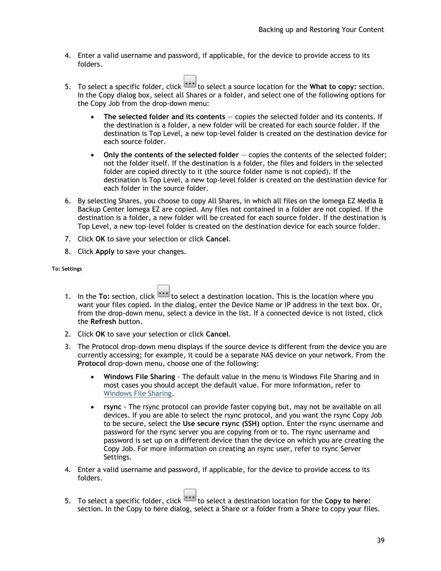- 4. Enter a valid username and password, if applicable, for the device to provide access to its folders.
- 5. To select a specific folder, click **the select a source location for the What to copy:** section. In the Copy dialog box, select all Shares or a folder, and select one of the following options for the Copy Job from the drop-down menu:
	- **The selected folder and its contents** copies the selected folder and its contents. If the destination is a folder, a new folder will be created for each source folder. If the destination is Top Level, a new top-level folder is created on the destination device for each source folder.
	- **Only the contents of the selected folder** copies the contents of the selected folder; not the folder itself. If the destination is a folder, the files and folders in the selected folder are copied directly to it (the source folder name is not copied). If the destination is Top Level, a new top-level folder is created on the destination device for each folder in the source folder.
- 6. By selecting Shares, you choose to copy All Shares, in which all files on the Iomega EZ Media & Backup Center Iomega EZ are copied. Any files not contained in a folder are not copied. If the destination is a folder, a new folder will be created for each source folder. If the destination is Top Level, a new top-level folder is created on the destination device for each source folder.
- 7. Click **OK** to save your selection or click **Cancel**.
- 8. Click **Apply** to save your changes.

<span id="page-48-0"></span>**To: Settings**

- 1. In the **To:** section, click the select a destination location. This is the location where you want your files copied. In the dialog, enter the Device Name or IP address in the text box. Or, from the drop-down menu, select a device in the list. If a connected device is not listed, click the **Refresh** button.
- 2. Click **OK** to save your selection or click **Cancel**.
- 3. The Protocol drop-down menu displays if the source device is different from the device you are currently accessing; for example, it could be a separate NAS device on your network. From the **Protocol** drop-down menu, choose one of the following:
	- **Windows File Sharing** The default value in the menu is Windows File Sharing and in most cases you should accept the default value. For more information, refer to [Windows File Sharing.](#page-34-0)
	- **rsync** The rsync protocol can provide faster copying but, may not be available on all devices. If you are able to select the rsync protocol, and you want the rsync Copy Job to be secure, select the **Use secure rsync (SSH)** option. Enter the rsync username and password for the rsync server you are copying from or to. The rsync username and password is set up on a different device than the device on which you are creating the Copy Job. For more information on creating an rsync user, refer to rsync Server Settings.
- 4. Enter a valid username and password, if applicable, for the device to provide access to its folders.
- 5. To select a specific folder, click **the limit of select a destination location for the Copy to here:** section. In the Copy to here dialog, select a Share or a folder from a Share to copy your files.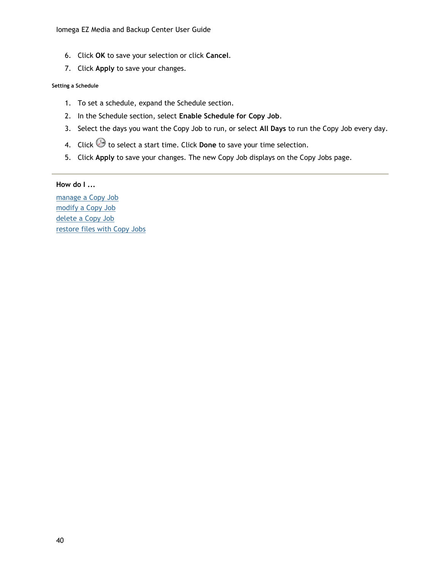- 6. Click **OK** to save your selection or click **Cancel**.
- 7. Click **Apply** to save your changes.

#### <span id="page-49-0"></span>**Setting a Schedule**

- 1. To set a schedule, expand the Schedule section.
- 2. In the Schedule section, select **Enable Schedule for Copy Job**.
- 3. Select the days you want the Copy Job to run, or select **All Days** to run the Copy Job every day.
- 4. Click  $\Theta$  to select a start time. Click **Done** to save your time selection.
- 5. Click **Apply** to save your changes. The new Copy Job displays on the Copy Jobs page.

### **How do I ...**

[manage a Copy Job](#page-50-0) [modify a Copy Job](#page-51-0) [delete a Copy Job](#page-52-0) [restore files with Copy Jobs](#page-53-0)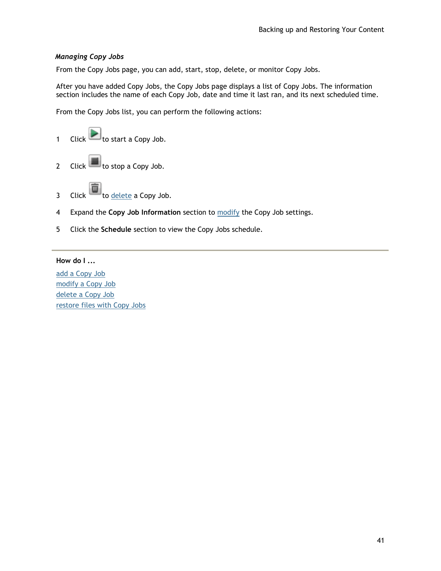### <span id="page-50-0"></span>*Managing Copy Jobs*

From the Copy Jobs page, you can add, start, stop, delete, or monitor Copy Jobs.

After you have added Copy Jobs, the Copy Jobs page displays a list of Copy Jobs. The information section includes the name of each Copy Job, date and time it last ran, and its next scheduled time.

From the Copy Jobs list, you can perform the following actions:



- 4 Expand the **Copy Job Information** section to [modify](#page-51-0) the Copy Job settings.
- 5 Click the **Schedule** section to view the Copy Jobs schedule.

#### **How do I ...**

[add a Copy Job](#page-47-0) [modify a Copy Job](#page-51-0) [delete a Copy Job](#page-52-0) [restore files with Copy Jobs](#page-53-0)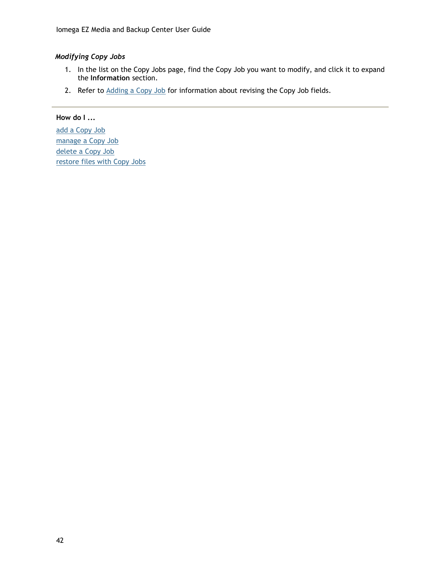## <span id="page-51-0"></span>*Modifying Copy Jobs*

- 1. In the list on the Copy Jobs page, find the Copy Job you want to modify, and click it to expand the **Information** section.
- 2. Refer to [Adding a Copy Job](#page-47-0) for information about revising the Copy Job fields.

### **How do I ...**

[add a Copy Job](#page-47-0) [manage a Copy Job](#page-50-0) [delete a Copy Job](#page-52-0) [restore files with Copy Jobs](#page-53-0)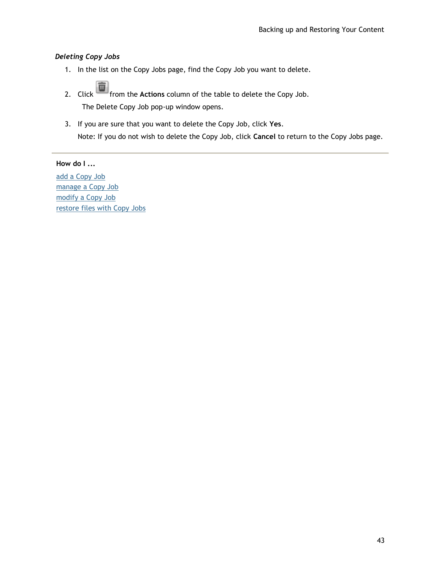### <span id="page-52-0"></span>*Deleting Copy Jobs*

- 1. In the list on the Copy Jobs page, find the Copy Job you want to delete.
- 2. Click **from** the **Actions** column of the table to delete the Copy Job. The Delete Copy Job pop-up window opens.
- 3. If you are sure that you want to delete the Copy Job, click **Yes**.

Note: If you do not wish to delete the Copy Job, click **Cancel** to return to the Copy Jobs page.

### **How do I ...**

[add a Copy Job](#page-47-0) [manage a Copy Job](#page-50-0) [modify a Copy Job](#page-51-0) [restore files with Copy Jobs](#page-53-0)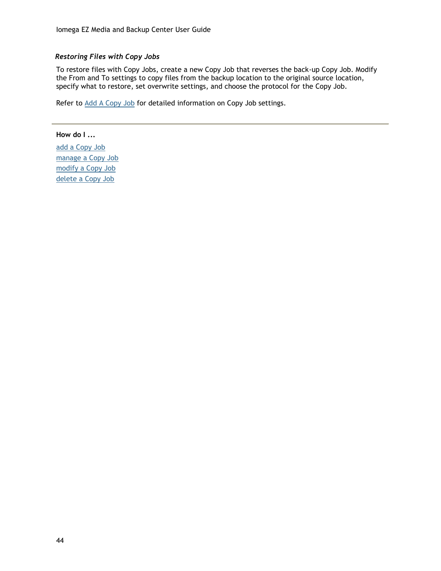### <span id="page-53-0"></span>*Restoring Files with Copy Jobs*

To restore files with Copy Jobs, create a new Copy Job that reverses the back-up Copy Job. Modify the From and To settings to copy files from the backup location to the original source location, specify what to restore, set overwrite settings, and choose the protocol for the Copy Job.

Refer to [Add A Copy Job](#page-47-0) for detailed information on Copy Job settings.

**How do I ...** [add a Copy Job](#page-47-0) [manage a Copy Job](#page-50-0) [modify a Copy Job](#page-51-0) [delete a Copy Job](#page-52-0)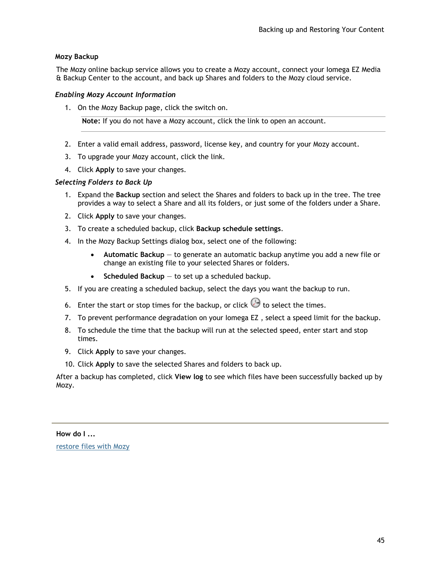### <span id="page-54-0"></span>**Mozy Backup**

The Mozy online backup service allows you to create a Mozy account, connect your Iomega EZ Media & Backup Center to the account, and back up Shares and folders to the Mozy cloud service.

#### *Enabling Mozy Account Information*

1. On the Mozy Backup page, click the switch on.

**Note:** If you do not have a Mozy account, click the link to open an account.

- 2. Enter a valid email address, password, license key, and country for your Mozy account.
- 3. To upgrade your Mozy account, click the link.
- 4. Click **Apply** to save your changes.

#### *Selecting Folders to Back Up*

- 1. Expand the **Backup** section and select the Shares and folders to back up in the tree. The tree provides a way to select a Share and all its folders, or just some of the folders under a Share.
- 2. Click **Apply** to save your changes.
- 3. To create a scheduled backup, click **Backup schedule settings**.
- 4. In the Mozy Backup Settings dialog box, select one of the following:
	- **Automatic Backup** to generate an automatic backup anytime you add a new file or change an existing file to your selected Shares or folders.
	- **Scheduled Backup** to set up a scheduled backup.
- 5. If you are creating a scheduled backup, select the days you want the backup to run.
- 6. Enter the start or stop times for the backup, or click  $\Theta$  to select the times.
- 7. To prevent performance degradation on your Iomega EZ , select a speed limit for the backup.
- 8. To schedule the time that the backup will run at the selected speed, enter start and stop times.
- 9. Click **Apply** to save your changes.
- 10. Click **Apply** to save the selected Shares and folders to back up.

After a backup has completed, click **View log** to see which files have been successfully backed up by Mozy.

## **How do I ...**

[restore files with Mozy](#page-55-0)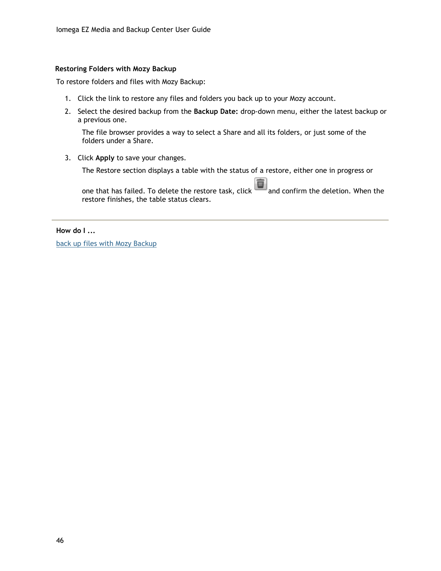#### <span id="page-55-0"></span>**Restoring Folders with Mozy Backup**

To restore folders and files with Mozy Backup:

- 1. Click the link to restore any files and folders you back up to your Mozy account.
- 2. Select the desired backup from the **Backup Date:** drop-down menu, either the latest backup or a previous one.

The file browser provides a way to select a Share and all its folders, or just some of the folders under a Share.

3. Click **Apply** to save your changes.

The Restore section displays a table with the status of a restore, either one in progress or

面 one that has failed. To delete the restore task, click and confirm the deletion. When the restore finishes, the table status clears.

**How do I ...**

[back up files with Mozy Backup](#page-54-0)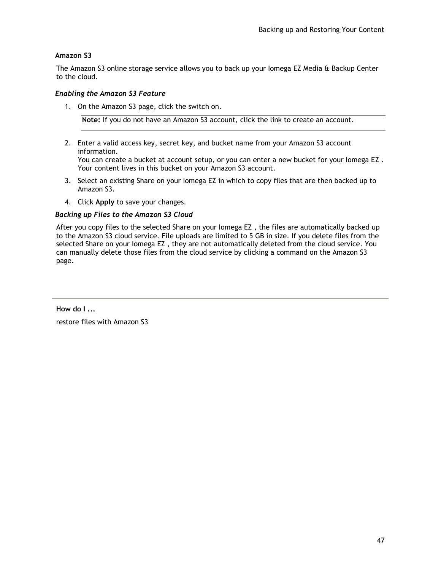### <span id="page-56-0"></span>**Amazon S3**

The Amazon S3 online storage service allows you to back up your Iomega EZ Media & Backup Center to the cloud.

#### *Enabling the Amazon S3 Feature*

1. On the Amazon S3 page, click the switch on.

**Note:** If you do not have an Amazon S3 account, click the link to create an account.

- 2. Enter a valid access key, secret key, and bucket name from your Amazon S3 account information. You can create a bucket at account setup, or you can enter a new bucket for your Iomega EZ . Your content lives in this bucket on your Amazon S3 account.
- 3. Select an existing Share on your Iomega EZ in which to copy files that are then backed up to Amazon S3.
- 4. Click **Apply** to save your changes.

#### *Backing up Files to the Amazon S3 Cloud*

After you copy files to the selected Share on your Iomega EZ , the files are automatically backed up to the Amazon S3 cloud service. File uploads are limited to 5 GB in size. If you delete files from the selected Share on your Iomega EZ , they are not automatically deleted from the cloud service. You can manually delete those files from the cloud service by clicking a command on the Amazon S3 page.

**How do I ...**

restore files with Amazon S3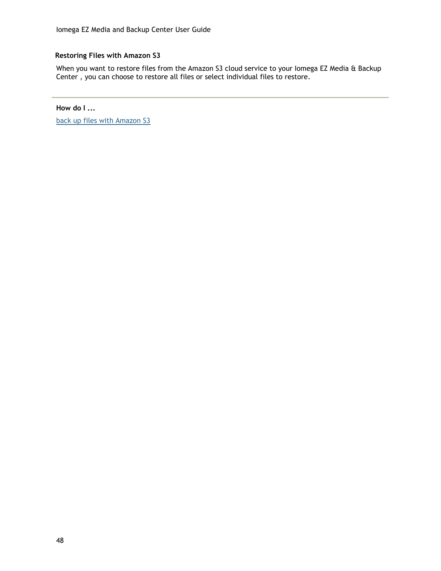### **Restoring Files with Amazon S3**

When you want to restore files from the Amazon S3 cloud service to your Iomega EZ Media & Backup Center , you can choose to restore all files or select individual files to restore.

**How do I ...**

[back up files with Amazon S3](#page-56-0)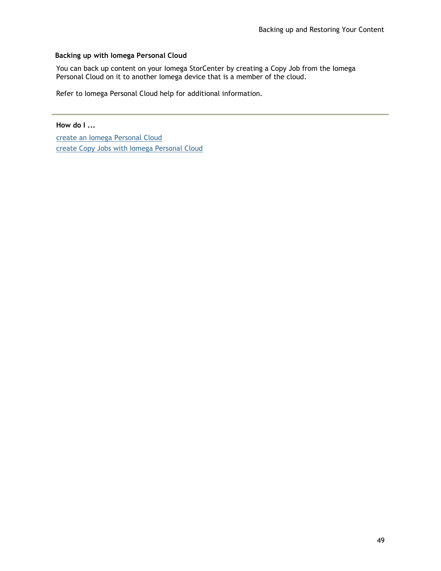### <span id="page-58-0"></span>**Backing up with Iomega Personal Cloud**

You can back up content on your Iomega StorCenter by creating a Copy Job from the Iomega Personal Cloud on it to another Iomega device that is a member of the cloud.

Refer to Iomega Personal Cloud help for additional information.

**How do I ...**

[create an Iomega Personal Cloud](#page-70-0)  [create Copy Jobs with Iomega Personal Cloud](#page-80-0)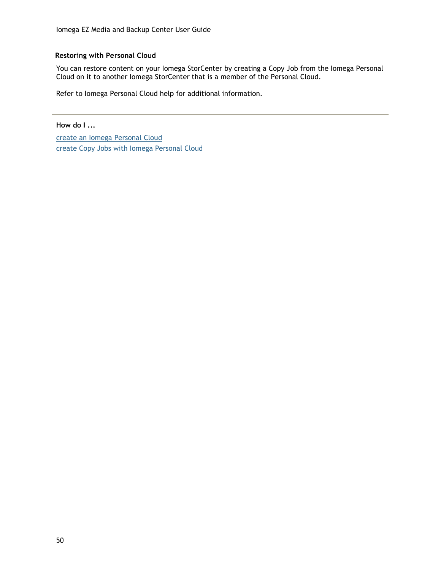### **Restoring with Personal Cloud**

You can restore content on your Iomega StorCenter by creating a Copy Job from the Iomega Personal Cloud on it to another Iomega StorCenter that is a member of the Personal Cloud.

Refer to Iomega Personal Cloud help for additional information.

**How do I ...**

[create an Iomega Personal Cloud](#page-70-0)  [create Copy Jobs with Iomega Personal Cloud](#page-80-0)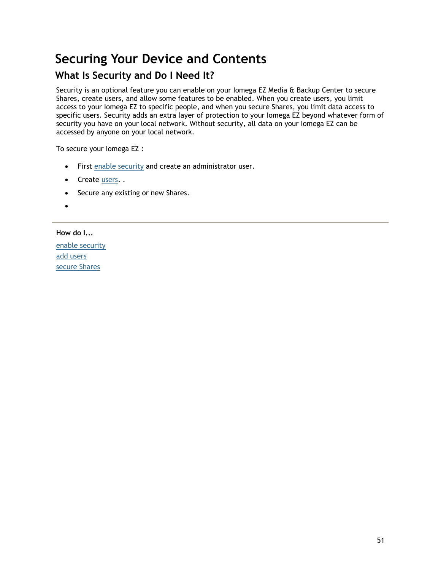# **Securing Your Device and Contents**

# **What Is Security and Do I Need It?**

Security is an optional feature you can enable on your Iomega EZ Media & Backup Center to secure Shares, create users, and allow some features to be enabled. When you create users, you limit access to your Iomega EZ to specific people, and when you secure Shares, you limit data access to specific users. Security adds an extra layer of protection to your Iomega EZ beyond whatever form of security you have on your local network. Without security, all data on your Iomega EZ can be accessed by anyone on your local network.

To secure your Iomega EZ :

- First enable [security](#page-61-0) and create an administrator user.
- Create [users.](#page-64-0).
- Secure any existing or new Shares.
- $\bullet$

**How do I...**

[enable security](#page-61-0) [add users](#page-65-0) [secure Shares](#page-25-2)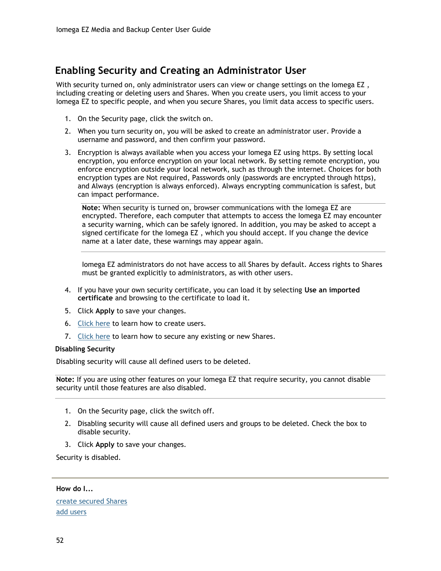# <span id="page-61-0"></span>**Enabling Security and Creating an Administrator User**

With security turned on, only administrator users can view or change settings on the Iomega EZ , including creating or deleting users and Shares. When you create users, you limit access to your Iomega EZ to specific people, and when you secure Shares, you limit data access to specific users.

- 1. On the Security page, click the switch on.
- 2. When you turn security on, you will be asked to create an administrator user. Provide a username and password, and then confirm your password.
- 3. Encryption is always available when you access your Iomega EZ using https. By setting local encryption, you enforce encryption on your local network. By setting remote encryption, you enforce encryption outside your local network, such as through the internet. Choices for both encryption types are Not required, Passwords only (passwords are encrypted through https), and Always (encryption is always enforced). Always encrypting communication is safest, but can impact performance.

**Note:** When security is turned on, browser communications with the Iomega EZ are encrypted. Therefore, each computer that attempts to access the Iomega EZ may encounter a security warning, which can be safely ignored. In addition, you may be asked to accept a signed certificate for the Iomega EZ , which you should accept. If you change the device name at a later date, these warnings may appear again.

Iomega EZ administrators do not have access to all Shares by default. Access rights to Shares must be granted explicitly to administrators, as with other users.

- 4. If you have your own security certificate, you can load it by selecting **Use an imported certificate** and browsing to the certificate to load it.
- 5. Click **Apply** to save your changes.
- 6. [Click here](#page-64-0) to learn how to create users.
- 7. [Click here](#page-25-0) to learn how to secure any existing or new Shares.

#### **Disabling Security**

Disabling security will cause all defined users to be deleted.

**Note:** If you are using other features on your Iomega EZ that require security, you cannot disable security until those features are also disabled.

- 1. On the Security page, click the switch off.
- 2. Disabling security will cause all defined users and groups to be deleted. Check the box to disable security.
- 3. Click **Apply** to save your changes.

Security is disabled.

**How do I...**

[create secured Shares](#page-25-0) [add users](#page-65-0)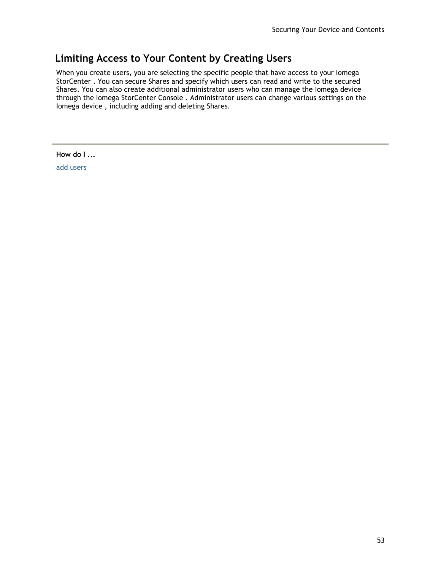# **Limiting Access to Your Content by Creating Users**

When you create users, you are selecting the specific people that have access to your Iomega StorCenter . You can secure Shares and specify which users can read and write to the secured Shares. You can also create additional administrator users who can manage the Iomega device through the Iomega StorCenter Console . Administrator users can change various settings on the Iomega device , including adding and deleting Shares.

**How do I ...**

[add users](#page-64-0)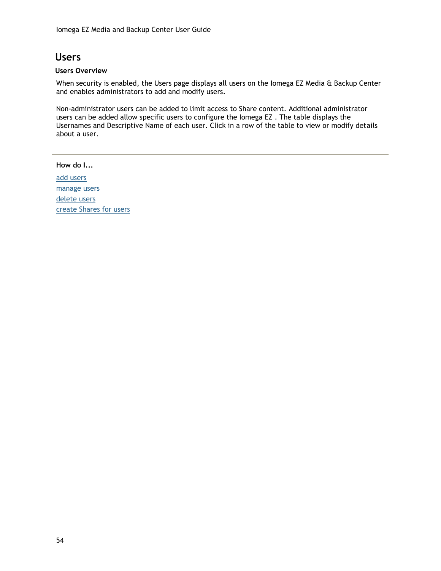# **Users**

#### **Users Overview**

When security is enabled, the Users page displays all users on the Iomega EZ Media & Backup Center and enables administrators to add and modify users.

Non-administrator users can be added to limit access to Share content. Additional administrator users can be added allow specific users to configure the Iomega EZ . The table displays the Usernames and Descriptive Name of each user. Click in a row of the table to view or modify details about a user.

#### **How do I...**

[add users](#page-64-0) [manage users](#page-65-0) [delete users](#page-67-0) [create Shares for users](#page-25-0)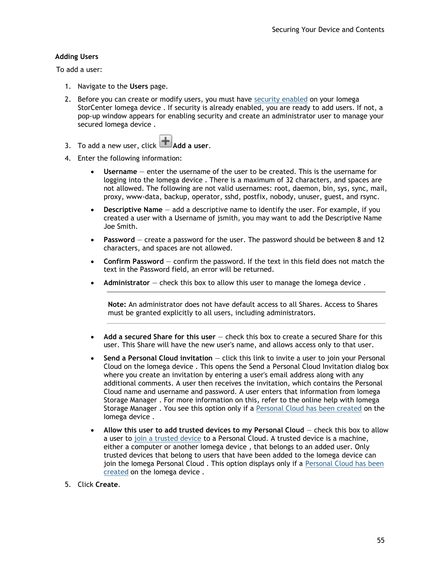#### <span id="page-64-0"></span>**Adding Users**

To add a user:

- 1. Navigate to the **Users** page.
- 2. Before you can create or modify users, you must have [security enabled](#page-61-0) on your Iomega StorCenter Iomega device . If security is already enabled, you are ready to add users. If not, a pop-up window appears for enabling security and create an administrator user to manage your secured Iomega device .
- 3. To add a new user, click **Add a user**.
- 4. Enter the following information:
	- **Username** enter the username of the user to be created. This is the username for logging into the Iomega device . There is a maximum of 32 characters, and spaces are not allowed. The following are not valid usernames: root, daemon, bin, sys, sync, mail, proxy, www-data, backup, operator, sshd, postfix, nobody, unuser, guest, and rsync.
	- **Descriptive Name** add a descriptive name to identify the user. For example, if you created a user with a Username of jsmith, you may want to add the Descriptive Name Joe Smith.
	- **Password** create a password for the user. The password should be between 8 and 12 characters, and spaces are not allowed.
	- **Confirm Password** confirm the password. If the text in this field does not match the text in the Password field, an error will be returned.
	- **Administrator** check this box to allow this user to manage the Iomega device .

**Note:** An administrator does not have default access to all Shares. Access to Shares must be granted explicitly to all users, including administrators.

- **Add a secured Share for this user** check this box to create a secured Share for this user. This Share will have the new user's name, and allows access only to that user.
- **Send a Personal Cloud invitation** click this link to invite a user to join your Personal Cloud on the Iomega device . This opens the Send a Personal Cloud Invitation dialog box where you create an invitation by entering a user's email address along with any additional comments. A user then receives the invitation, which contains the Personal Cloud name and username and password. A user enters that information from Iomega Storage Manager . For more information on this, refer to the online help with Iomega Storage Manager . You see this option only if a [Personal Cloud has been created](#page-73-0) on the Iomega device .
- **Allow this user to add trusted devices to my Personal Cloud** check this box to allow a user to [join a trusted device](#page-78-0) to a Personal Cloud. A trusted device is a machine, either a computer or another Iomega device , that belongs to an added user. Only trusted devices that belong to users that have been added to the Iomega device can join the Iomega Personal Cloud. This option displays only if a [Personal Cloud has been](#page-73-0) [created](#page-73-0) on the Iomega device .
- 5. Click **Create**.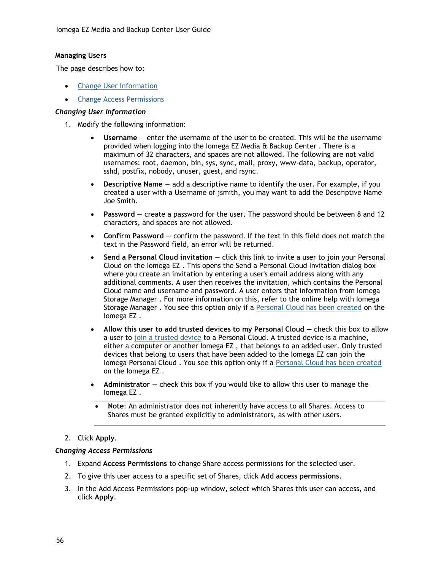#### <span id="page-65-0"></span>**Managing Users**

The page describes how to:

- [Change User Information](#page-65-1)
- [Change Access Permissions](#page-65-2)

#### <span id="page-65-1"></span>*Changing User Information*

- 1. Modify the following information:
	- **Username** enter the username of the user to be created. This will be the username provided when logging into the Iomega EZ Media & Backup Center . There is a maximum of 32 characters, and spaces are not allowed. The following are not valid usernames: root, daemon, bin, sys, sync, mail, proxy, www-data, backup, operator, sshd, postfix, nobody, unuser, guest, and rsync.
	- **Descriptive Name** add a descriptive name to identify the user. For example, if you created a user with a Username of jsmith, you may want to add the Descriptive Name Joe Smith.
	- **Password** create a password for the user. The password should be between 8 and 12 characters, and spaces are not allowed.
	- **Confirm Password** confirm the password. If the text in this field does not match the text in the Password field, an error will be returned.
	- **Send a Personal Cloud invitation** click this link to invite a user to join your Personal Cloud on the Iomega EZ . This opens the Send a Personal Cloud Invitation dialog box where you create an invitation by entering a user's email address along with any additional comments. A user then receives the invitation, which contains the Personal Cloud name and username and password. A user enters that information from Iomega Storage Manager . For more information on this, refer to the online help with Iomega Storage Manager . You see this option only if a [Personal Cloud has been created](#page-73-0) on the Iomega EZ .
	- **Allow this user to add trusted devices to my Personal Cloud check this box to allow** a user to [join a trusted device](#page-78-0) to a Personal Cloud. A trusted device is a machine, either a computer or another Iomega EZ , that belongs to an added user. Only trusted devices that belong to users that have been added to the Iomega EZ can join the Iomega Personal Cloud . You see this option only if a [Personal Cloud has been created](#page-73-0) on the Iomega EZ .
	- **Administrator** check this box if you would like to allow this user to manage the Iomega EZ .
		- **Note**: An administrator does not inherently have access to all Shares. Access to Shares must be granted explicitly to administrators, as with other users.

#### 2. Click **Apply**.

#### <span id="page-65-2"></span>*Changing Access Permissions*

- 1. Expand **Access Permissions** to change Share access permissions for the selected user.
- 2. To give this user access to a specific set of Shares, click **Add access permissions**.
- 3. In the Add Access Permissions pop-up window, select which Shares this user can access, and click **Apply**.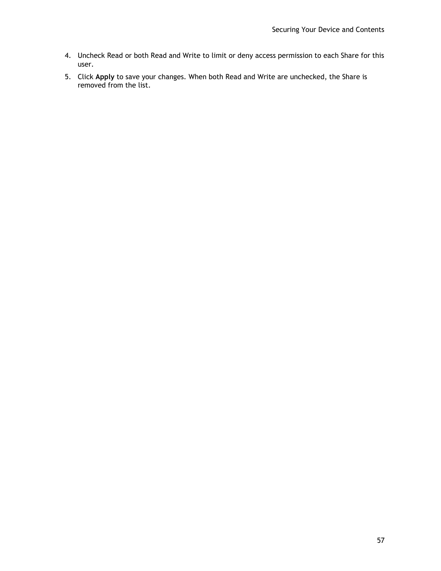- 4. Uncheck Read or both Read and Write to limit or deny access permission to each Share for this user.
- 5. Click **Apply** to save your changes. When both Read and Write are unchecked, the Share is removed from the list.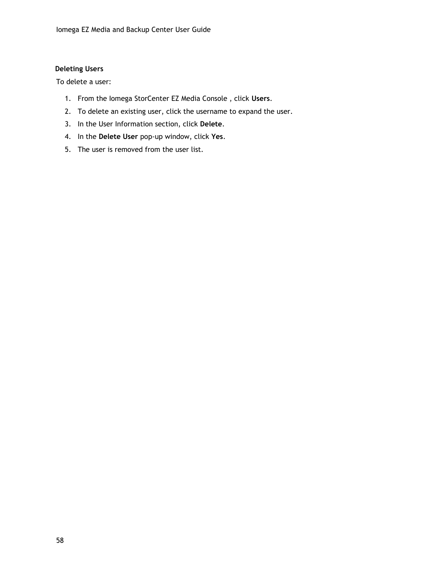### <span id="page-67-0"></span>**Deleting Users**

To delete a user:

- 1. From the Iomega StorCenter EZ Media Console , click **Users**.
- 2. To delete an existing user, click the username to expand the user.
- 3. In the User Information section, click **Delete**.
- 4. In the **Delete User** pop-up window, click **Yes**.
- 5. The user is removed from the user list.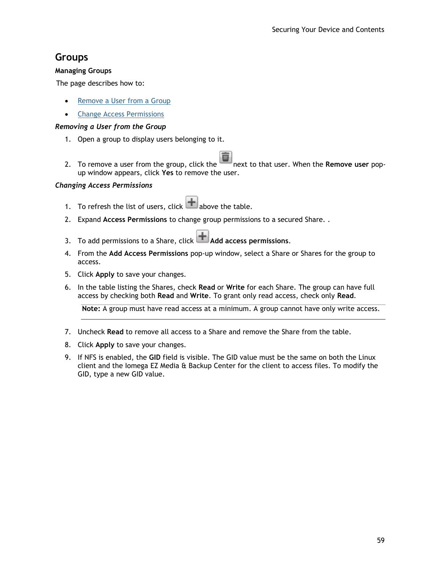## **Groups**

#### **Managing Groups**

The page describes how to:

- [Remove a User from a Group](#page-68-0)
- **•** [Change Access Permissions](#page-68-1)

### <span id="page-68-0"></span>*Removing a User from the Group*

- 1. Open a group to display users belonging to it.
- 2. To remove a user from the group, click the next to that user. When the **Remove user** popup window appears, click **Yes** to remove the user.

#### <span id="page-68-1"></span>*Changing Access Permissions*

- 1. To refresh the list of users, click  $\mathbf{H}$  above the table.
- 2. Expand **Access Permissions** to change group permissions to a secured Share. .
- 3. To add permissions to a Share, click **Add access permissions**.
- 4. From the **Add Access Permissions** pop-up window, select a Share or Shares for the group to access.
- 5. Click **Apply** to save your changes.
- 6. In the table listing the Shares, check **Read** or **Write** for each Share. The group can have full access by checking both **Read** and **Write**. To grant only read access, check only **Read**.

**Note:** A group must have read access at a minimum. A group cannot have only write access.

- 7. Uncheck **Read** to remove all access to a Share and remove the Share from the table.
- 8. Click **Apply** to save your changes.
- 9. If NFS is enabled, the **GID** field is visible. The GID value must be the same on both the Linux client and the Iomega EZ Media & Backup Center for the client to access files. To modify the GID, type a new GID value.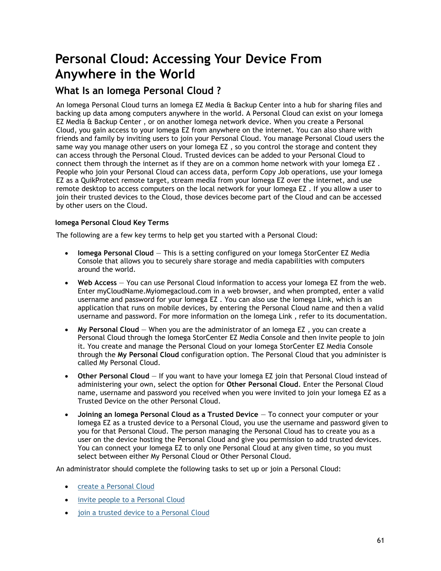# **Personal Cloud: Accessing Your Device From Anywhere in the World**

## <span id="page-70-0"></span>**What Is an Iomega Personal Cloud ?**

An Iomega Personal Cloud turns an Iomega EZ Media & Backup Center into a hub for sharing files and backing up data among computers anywhere in the world. A Personal Cloud can exist on your Iomega EZ Media & Backup Center , or on another Iomega network device. When you create a Personal Cloud, you gain access to your Iomega EZ from anywhere on the internet. You can also share with friends and family by inviting users to join your Personal Cloud. You manage Personal Cloud users the same way you manage other users on your lomega EZ, so you control the storage and content they can access through the Personal Cloud. Trusted devices can be added to your Personal Cloud to connect them through the internet as if they are on a common home network with your Iomega EZ . People who join your Personal Cloud can access data, perform Copy Job operations, use your Iomega EZ as a QuikProtect remote target, stream media from your Iomega EZ over the internet, and use remote desktop to access computers on the local network for your Iomega EZ . If you allow a user to join their trusted devices to the Cloud, those devices become part of the Cloud and can be accessed by other users on the Cloud.

### **Iomega Personal Cloud Key Terms**

The following are a few key terms to help get you started with a Personal Cloud:

- **Iomega Personal Cloud**  This is a setting configured on your Iomega StorCenter EZ Media Console that allows you to securely share storage and media capabilities with computers around the world.
- **Web Access** You can use Personal Cloud information to access your Iomega EZ from the web. Enter myCloudName.Myiomegacloud.com in a web browser, and when prompted, enter a valid username and password for your Iomega EZ . You can also use the Iomega Link, which is an application that runs on mobile devices, by entering the Personal Cloud name and then a valid username and password. For more information on the Iomega Link , refer to its documentation.
- **My Personal Cloud** When you are the administrator of an Iomega EZ , you can create a Personal Cloud through the Iomega StorCenter EZ Media Console and then invite people to join it. You create and manage the Personal Cloud on your Iomega StorCenter EZ Media Console through the **My Personal Cloud** configuration option. The Personal Cloud that you administer is called My Personal Cloud.
- **Other Personal Cloud** If you want to have your Iomega EZ join that Personal Cloud instead of administering your own, select the option for **Other Personal Cloud**. Enter the Personal Cloud name, username and password you received when you were invited to join your Iomega EZ as a Trusted Device on the other Personal Cloud.
- **Joining an Iomega Personal Cloud as a Trusted Device** To connect your computer or your Iomega EZ as a trusted device to a Personal Cloud, you use the username and password given to you for that Personal Cloud. The person managing the Personal Cloud has to create you as a user on the device hosting the Personal Cloud and give you permission to add trusted devices. You can connect your Iomega EZ to only one Personal Cloud at any given time, so you must select between either My Personal Cloud or Other Personal Cloud.

An administrator should complete the following tasks to set up or join a Personal Cloud:

- **•** [create a Personal Cloud](#page-73-0)
- **•** [invite people to a Personal Cloud](#page-77-0)
- [join a trusted device to a Personal Cloud](#page-78-0)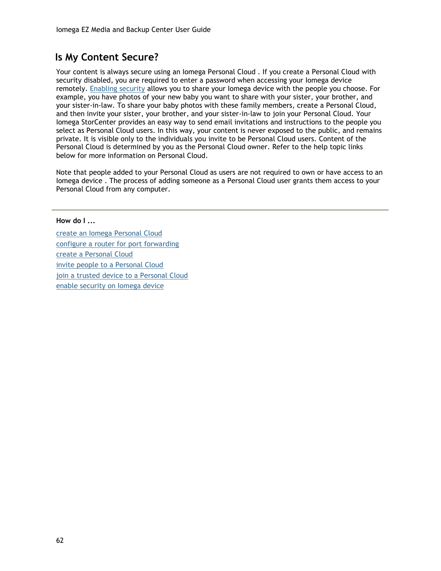# **Is My Content Secure?**

Your content is always secure using an Iomega Personal Cloud . If you create a Personal Cloud with security disabled, you are required to enter a password when accessing your Iomega device remotely. [Enabling security](#page-61-0) allows you to share your Iomega device with the people you choose. For example, you have photos of your new baby you want to share with your sister, your brother, and your sister-in-law. To share your baby photos with these family members, create a Personal Cloud, and then invite your sister, your brother, and your sister-in-law to join your Personal Cloud. Your Iomega StorCenter provides an easy way to send email invitations and instructions to the people you select as Personal Cloud users. In this way, your content is never exposed to the public, and remains private. It is visible only to the individuals you invite to be Personal Cloud users. Content of the Personal Cloud is determined by you as the Personal Cloud owner. Refer to the help topic links below for more information on Personal Cloud.

Note that people added to your Personal Cloud as users are not required to own or have access to an Iomega device . The process of adding someone as a Personal Cloud user grants them access to your Personal Cloud from any computer.

[create an Iomega Personal Cloud](#page-73-0)  [configure a router for port forwarding](#page-74-0) [create a Personal Cloud](#page-73-0) [invite people to a Personal Cloud](#page-77-0) [join a trusted device to a Personal Cloud](#page-78-0) [enable security on Iomega device](#page-61-0) 

**How do I ...**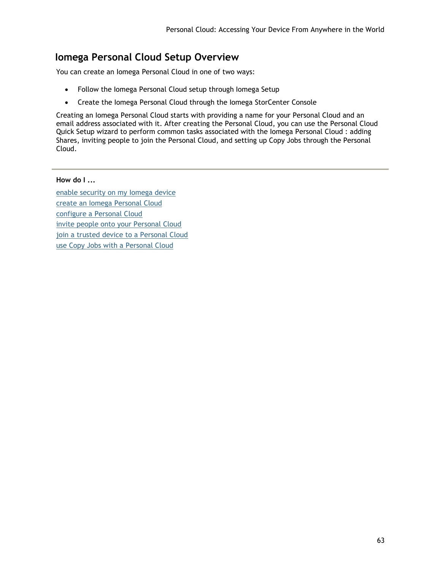# **Iomega Personal Cloud Setup Overview**

You can create an Iomega Personal Cloud in one of two ways:

- Follow the Iomega Personal Cloud setup through Iomega Setup
- Create the Iomega Personal Cloud through the Iomega StorCenter Console

Creating an Iomega Personal Cloud starts with providing a name for your Personal Cloud and an email address associated with it. After creating the Personal Cloud, you can use the Personal Cloud Quick Setup wizard to perform common tasks associated with the Iomega Personal Cloud : adding Shares, inviting people to join the Personal Cloud, and setting up Copy Jobs through the Personal Cloud.

### **How do I ...**

[enable security on my Iomega device](#page-61-0)  [create an Iomega Personal Cloud](#page-73-0)  [configure a Personal Cloud](#page-76-0) [invite people onto your Personal Cloud](#page-77-0) [join a trusted device to a Personal Cloud](#page-78-0) [use Copy Jobs with a Personal Cloud](#page-80-0)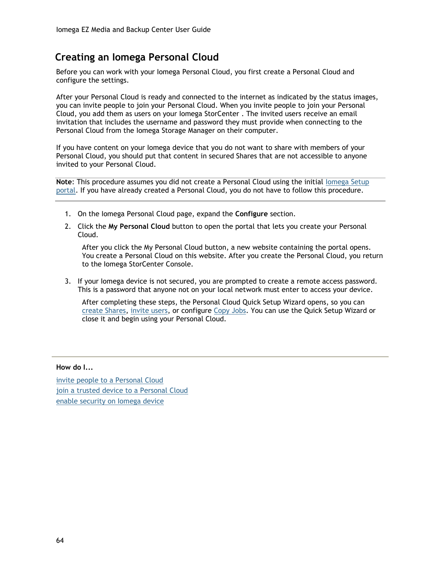# <span id="page-73-0"></span>**Creating an Iomega Personal Cloud**

Before you can work with your Iomega Personal Cloud, you first create a Personal Cloud and configure the settings.

After your Personal Cloud is ready and connected to the internet as indicated by the status images, you can invite people to join your Personal Cloud. When you invite people to join your Personal Cloud, you add them as users on your Iomega StorCenter . The invited users receive an email invitation that includes the username and password they must provide when connecting to the Personal Cloud from the Iomega Storage Manager on their computer.

If you have content on your Iomega device that you do not want to share with members of your Personal Cloud, you should put that content in secured Shares that are not accessible to anyone invited to your Personal Cloud.

**Note:** This procedure assumes you did not create a Personal Cloud using the initial lomega Setup [portal.](#page-10-0) If you have already created a Personal Cloud, you do not have to follow this procedure.

- 1. On the Iomega Personal Cloud page, expand the **Configure** section.
- 2. Click the **My Personal Cloud** button to open the portal that lets you create your Personal Cloud.

After you click the My Personal Cloud button, a new website containing the portal opens. You create a Personal Cloud on this website. After you create the Personal Cloud, you return to the Iomega StorCenter Console.

3. If your Iomega device is not secured, you are prompted to create a remote access password. This is a password that anyone not on your local network must enter to access your device.

After completing these steps, the Personal Cloud Quick Setup Wizard opens, so you can [create Shares,](#page-24-0) [invite users,](#page-77-0) or configure [Copy Jobs.](#page-39-0) You can use the Quick Setup Wizard or close it and begin using your Personal Cloud.

#### **How do I...**

[invite people to a Personal Cloud](#page-77-0) [join a trusted device to a Personal Cloud](#page-78-0) [enable security on Iomega device](#page-61-0)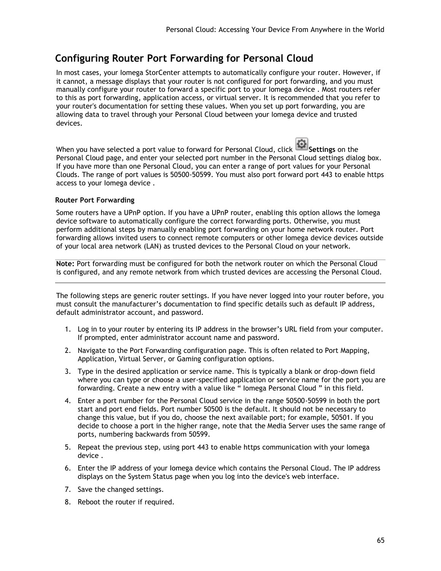# <span id="page-74-0"></span>**Configuring Router Port Forwarding for Personal Cloud**

In most cases, your Iomega StorCenter attempts to automatically configure your router. However, if it cannot, a message displays that your router is not configured for port forwarding, and you must manually configure your router to forward a specific port to your Iomega device . Most routers refer to this as port forwarding, application access, or virtual server. It is recommended that you refer to your router's documentation for setting these values. When you set up port forwarding, you are allowing data to travel through your Personal Cloud between your Iomega device and trusted devices.

When you have selected a port value to forward for Personal Cloud, click **Settings** on the Personal Cloud page, and enter your selected port number in the Personal Cloud settings dialog box. If you have more than one Personal Cloud, you can enter a range of port values for your Personal Clouds. The range of port values is 50500-50599. You must also port forward port 443 to enable https access to your Iomega device .

### **Router Port Forwarding**

Some routers have a UPnP option. If you have a UPnP router, enabling this option allows the Iomega device software to automatically configure the correct forwarding ports. Otherwise, you must perform additional steps by manually enabling port forwarding on your home network router. Port forwarding allows invited users to connect remote computers or other Iomega device devices outside of your local area network (LAN) as trusted devices to the Personal Cloud on your network.

**Note:** Port forwarding must be configured for both the network router on which the Personal Cloud is configured, and any remote network from which trusted devices are accessing the Personal Cloud.

The following steps are generic router settings. If you have never logged into your router before, you must consult the manufacturer's documentation to find specific details such as default IP address, default administrator account, and password.

- 1. Log in to your router by entering its IP address in the browser's URL field from your computer. If prompted, enter administrator account name and password.
- 2. Navigate to the Port Forwarding configuration page. This is often related to Port Mapping, Application, Virtual Server, or Gaming configuration options.
- 3. Type in the desired application or service name. This is typically a blank or drop-down field where you can type or choose a user-specified application or service name for the port you are forwarding. Create a new entry with a value like " Iomega Personal Cloud " in this field.
- 4. Enter a port number for the Personal Cloud service in the range 50500-50599 in both the port start and port end fields. Port number 50500 is the default. It should not be necessary to change this value, but if you do, choose the next available port; for example, 50501. If you decide to choose a port in the higher range, note that the Media Server uses the same range of ports, numbering backwards from 50599.
- 5. Repeat the previous step, using port 443 to enable https communication with your Iomega device .
- 6. Enter the IP address of your Iomega device which contains the Personal Cloud. The IP address displays on the System Status page when you log into the device's web interface.
- 7. Save the changed settings.
- 8. Reboot the router if required.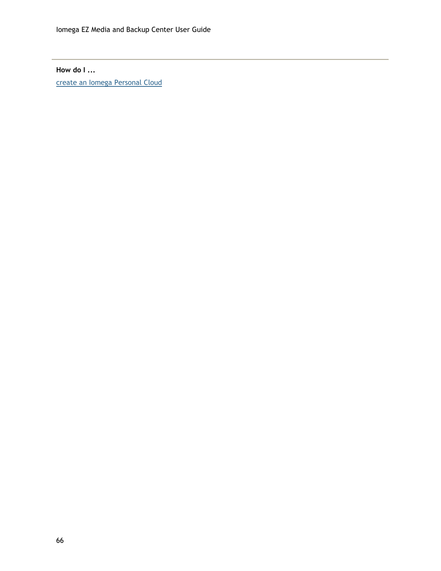# **How do I ...**

[create an Iomega Personal Cloud](#page-73-0)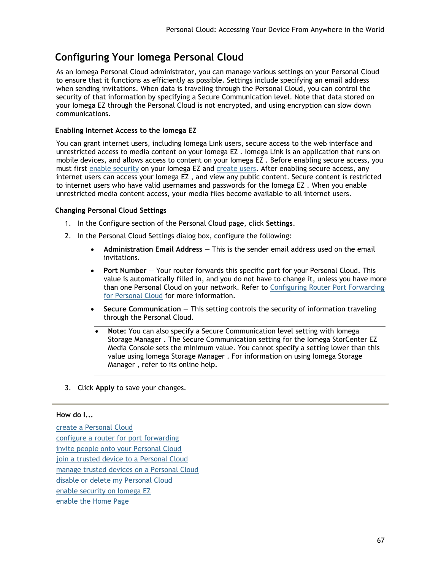# <span id="page-76-0"></span>**Configuring Your Iomega Personal Cloud**

As an Iomega Personal Cloud administrator, you can manage various settings on your Personal Cloud to ensure that it functions as efficiently as possible. Settings include specifying an email address when sending invitations. When data is traveling through the Personal Cloud, you can control the security of that information by specifying a Secure Communication level. Note that data stored on your Iomega EZ through the Personal Cloud is not encrypted, and using encryption can slow down communications.

### **Enabling Internet Access to the Iomega EZ**

You can grant internet users, including Iomega Link users, secure access to the web interface and unrestricted access to media content on your Iomega EZ . Iomega Link is an application that runs on mobile devices, and allows access to content on your Iomega EZ . Before enabling secure access, you must first [enable security](#page-61-0) on your Iomega EZ and [create users.](#page-64-0) After enabling secure access, any internet users can access your Iomega EZ , and view any public content. Secure content is restricted to internet users who have valid usernames and passwords for the Iomega EZ . When you enable unrestricted media content access, your media files become available to all internet users.

### **Changing Personal Cloud Settings**

- 1. In the Configure section of the Personal Cloud page, click **Settings**.
- 2. In the Personal Cloud Settings dialog box, configure the following:
	- **Administration Email Address** This is the sender email address used on the email invitations.
	- **Port Number** Your router forwards this specific port for your Personal Cloud. This value is automatically filled in, and you do not have to change it, unless you have more than one Personal Cloud on your network. Refer to [Configuring Router Port Forwarding](#page-74-0)  [for Personal Cloud](#page-74-0) for more information.
	- **Secure Communication** This setting controls the security of information traveling through the Personal Cloud.
	- **Note:** You can also specify a Secure Communication level setting with Iomega Storage Manager . The Secure Communication setting for the Iomega StorCenter EZ Media Console sets the minimum value. You cannot specify a setting lower than this value using Iomega Storage Manager . For information on using Iomega Storage Manager , refer to its online help.
- 3. Click **Apply** to save your changes.

#### **How do I...**

[create a Personal Cloud](#page-73-0) [configure a router for port forwarding](#page-74-0) [invite people onto your Personal Cloud](#page-77-0) [join a trusted device to a Personal Cloud](#page-78-0) [manage trusted devices on a Personal Cloud](#page-79-0) [disable or delete my Personal Cloud](#page-81-0) [enable security on Iomega EZ](#page-61-0)  [enable the Home Page](#page-35-0)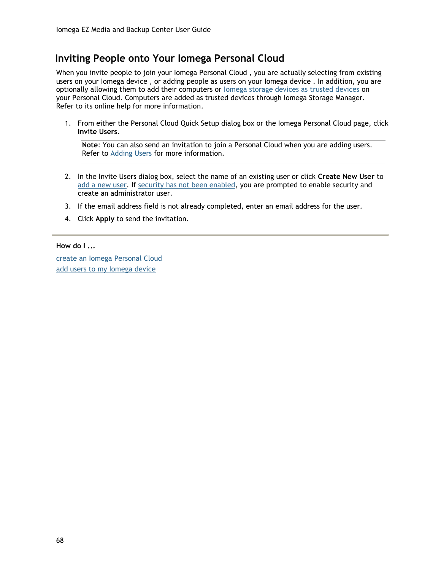# <span id="page-77-0"></span>**Inviting People onto Your Iomega Personal Cloud**

When you invite people to join your lomega Personal Cloud, you are actually selecting from existing users on your Iomega device , or adding people as users on your Iomega device . In addition, you are optionally allowing them to add their computers or [Iomega storage devices as trusted devices](#page-78-0) on your Personal Cloud. Computers are added as trusted devices through Iomega Storage Manager. Refer to its online help for more information.

1. From either the Personal Cloud Quick Setup dialog box or the Iomega Personal Cloud page, click **Invite Users**.

**Note**: You can also send an invitation to join a Personal Cloud when you are adding users. Refer to [Adding Users](#page-64-0) for more information.

- 2. In the Invite Users dialog box, select the name of an existing user or click **Create New User** to [add a new user.](#page-64-0) If [security has not been enabled,](#page-61-0) you are prompted to enable security and create an administrator user.
- 3. If the email address field is not already completed, enter an email address for the user.
- 4. Click **Apply** to send the invitation.

#### **How do I ...**

[create an Iomega Personal Cloud](#page-73-0)  [add users to my Iomega device](#page-64-0)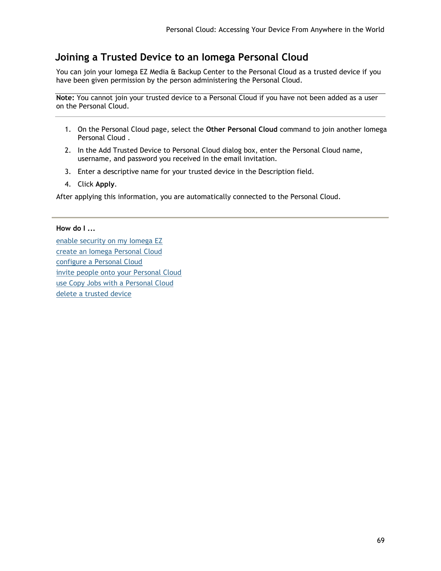# <span id="page-78-0"></span>**Joining a Trusted Device to an Iomega Personal Cloud**

You can join your Iomega EZ Media & Backup Center to the Personal Cloud as a trusted device if you have been given permission by the person administering the Personal Cloud.

**Note:** You cannot join your trusted device to a Personal Cloud if you have not been added as a user on the Personal Cloud.

- 1. On the Personal Cloud page, select the **Other Personal Cloud** command to join another Iomega Personal Cloud .
- 2. In the Add Trusted Device to Personal Cloud dialog box, enter the Personal Cloud name, username, and password you received in the email invitation.
- 3. Enter a descriptive name for your trusted device in the Description field.
- 4. Click **Apply**.

After applying this information, you are automatically connected to the Personal Cloud.

#### **How do I ...**

[enable security on my Iomega EZ](#page-61-0)  [create an Iomega Personal Cloud](#page-73-0)  [configure a Personal Cloud](#page-76-0) [invite people onto your Personal Cloud](#page-77-0) [use Copy Jobs with a Personal Cloud](#page-80-0) [delete a trusted device](#page-79-0)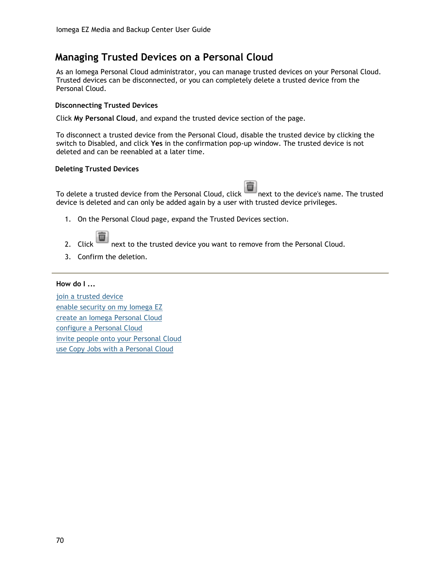# <span id="page-79-0"></span>**Managing Trusted Devices on a Personal Cloud**

As an Iomega Personal Cloud administrator, you can manage trusted devices on your Personal Cloud. Trusted devices can be disconnected, or you can completely delete a trusted device from the Personal Cloud.

### **Disconnecting Trusted Devices**

Click **My Personal Cloud**, and expand the trusted device section of the page.

To disconnect a trusted device from the Personal Cloud, disable the trusted device by clicking the switch to Disabled, and click **Yes** in the confirmation pop-up window. The trusted device is not deleted and can be reenabled at a later time.

#### **Deleting Trusted Devices**

To delete a trusted device from the Personal Cloud, click **next to the device's name.** The trusted device is deleted and can only be added again by a user with trusted device privileges.

- 1. On the Personal Cloud page, expand the Trusted Devices section.
- 2. Click  $\Box$  next to the trusted device you want to remove from the Personal Cloud.
- 3. Confirm the deletion.

#### **How do I ...**

[join a trusted device](#page-78-0) [enable security on my Iomega EZ](#page-61-0)  [create an Iomega Personal Cloud](#page-73-0)  [configure a Personal Cloud](#page-76-0) [invite people onto your Personal Cloud](#page-77-0) [use Copy Jobs with a Personal Cloud](#page-80-0)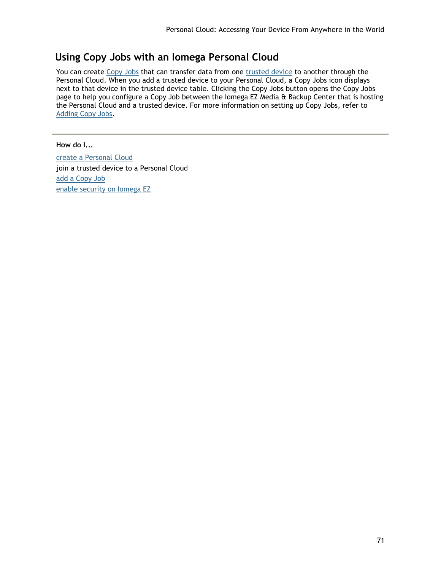# <span id="page-80-0"></span>**Using Copy Jobs with an Iomega Personal Cloud**

You can create [Copy Jobs](#page-39-0) that can transfer data from one [trusted device](#page-78-0) to another through the Personal Cloud. When you add a trusted device to your Personal Cloud, a Copy Jobs icon displays next to that device in the trusted device table. Clicking the Copy Jobs button opens the Copy Jobs page to help you configure a Copy Job between the Iomega EZ Media & Backup Center that is hosting the Personal Cloud and a trusted device. For more information on setting up Copy Jobs, refer to [Adding Copy Jobs.](#page-47-0)

## **How do I...**

[create a Personal Cloud](#page-73-0) join a trusted device to a Personal Cloud [add a Copy Job](#page-47-0) [enable security on Iomega EZ](#page-61-0)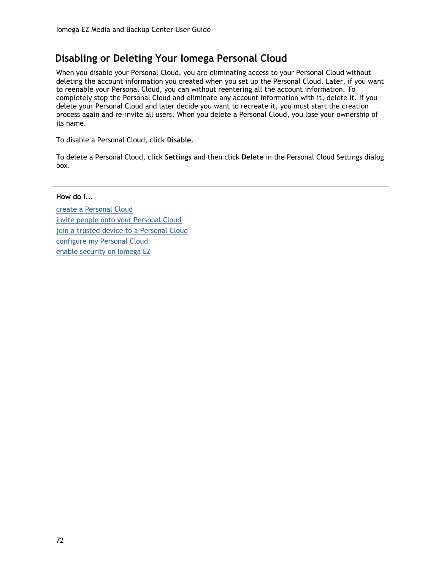# <span id="page-81-0"></span>**Disabling or Deleting Your Iomega Personal Cloud**

When you disable your Personal Cloud, you are eliminating access to your Personal Cloud without deleting the account information you created when you set up the Personal Cloud. Later, if you want to reenable your Personal Cloud, you can without reentering all the account information. To completely stop the Personal Cloud and eliminate any account information with it, delete it. If you delete your Personal Cloud and later decide you want to recreate it, you must start the creation process again and re-invite all users. When you delete a Personal Cloud, you lose your ownership of its name.

To disable a Personal Cloud, click **Disable**.

To delete a Personal Cloud, click **Settings** and then click **Delete** in the Personal Cloud Settings dialog box.

**How do I...**

[create a Personal Cloud](#page-73-0) [invite people onto your Personal Cloud](#page-77-0) [join a trusted device to a Personal Cloud](#page-78-0) [configure my Personal Cloud](#page-76-0) [enable security on Iomega EZ](#page-61-0)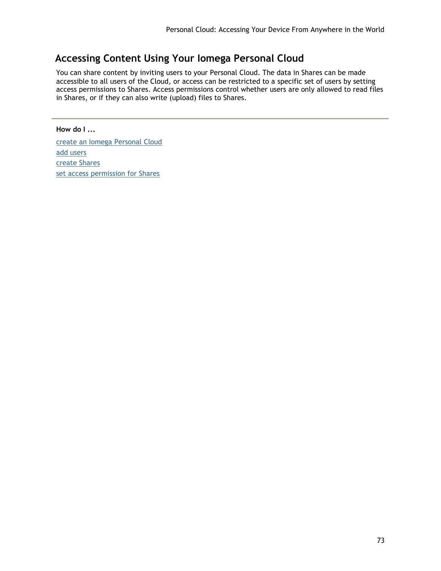# **Accessing Content Using Your Iomega Personal Cloud**

You can share content by inviting users to your Personal Cloud. The data in Shares can be made accessible to all users of the Cloud, or access can be restricted to a specific set of users by setting access permissions to Shares. Access permissions control whether users are only allowed to read files in Shares, or if they can also write (upload) files to Shares.

# **How do I ...**

[create an Iomega Personal Cloud](#page-73-0)  [add users](#page-64-0) [create Shares](#page-24-0) [set access permission for Shares](#page-25-0)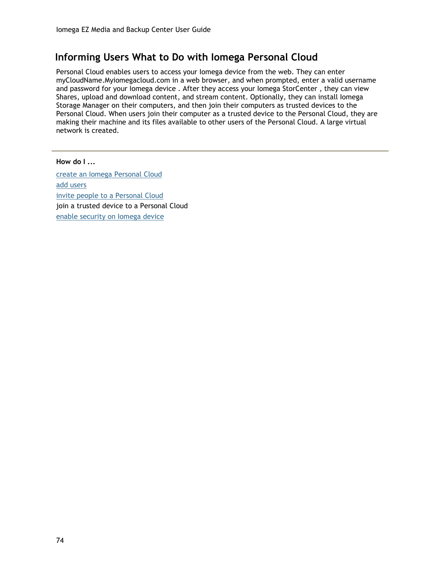# **Informing Users What to Do with Iomega Personal Cloud**

Personal Cloud enables users to access your Iomega device from the web. They can enter myCloudName.Myiomegacloud.com in a web browser, and when prompted, enter a valid username and password for your Iomega device . After they access your Iomega StorCenter , they can view Shares, upload and download content, and stream content. Optionally, they can install Iomega Storage Manager on their computers, and then join their computers as trusted devices to the Personal Cloud. When users join their computer as a trusted device to the Personal Cloud, they are making their machine and its files available to other users of the Personal Cloud. A large virtual network is created.

**How do I ...** [create an Iomega Personal Cloud](#page-73-0)  [add users](#page-64-0) [invite people to a Personal Cloud](#page-77-0) join a trusted device to a Personal Cloud [enable security on Iomega device](#page-61-0)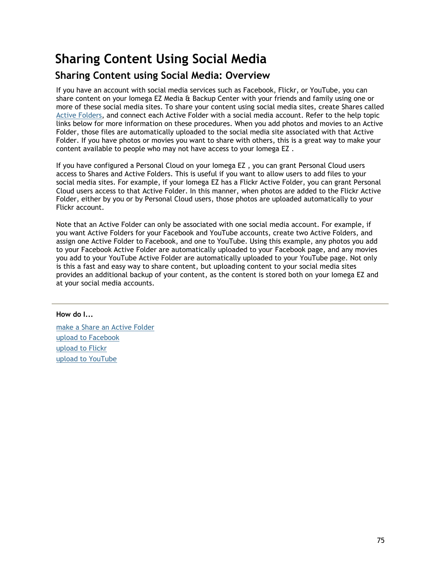# **Sharing Content Using Social Media**

# **Sharing Content using Social Media: Overview**

If you have an account with social media services such as Facebook, Flickr, or YouTube, you can share content on your Iomega EZ Media & Backup Center with your friends and family using one or more of these social media sites. To share your content using social media sites, create Shares called [Active Folders,](#page-25-1) and connect each Active Folder with a social media account. Refer to the help topic links below for more information on these procedures. When you add photos and movies to an Active Folder, those files are automatically uploaded to the social media site associated with that Active Folder. If you have photos or movies you want to share with others, this is a great way to make your content available to people who may not have access to your Iomega EZ .

If you have configured a Personal Cloud on your Iomega EZ , you can grant Personal Cloud users access to Shares and Active Folders. This is useful if you want to allow users to add files to your social media sites. For example, if your Iomega EZ has a Flickr Active Folder, you can grant Personal Cloud users access to that Active Folder. In this manner, when photos are added to the Flickr Active Folder, either by you or by Personal Cloud users, those photos are uploaded automatically to your Flickr account.

Note that an Active Folder can only be associated with one social media account. For example, if you want Active Folders for your Facebook and YouTube accounts, create two Active Folders, and assign one Active Folder to Facebook, and one to YouTube. Using this example, any photos you add to your Facebook Active Folder are automatically uploaded to your Facebook page, and any movies you add to your YouTube Active Folder are automatically uploaded to your YouTube page. Not only is this a fast and easy way to share content, but uploading content to your social media sites provides an additional backup of your content, as the content is stored both on your Iomega EZ and at your social media accounts.

**How do I...**

[make a Share an Active Folder](#page-25-1) [upload to Facebook](#page-85-0) [upload to Flickr](#page-86-0) [upload to YouTube](#page-87-0)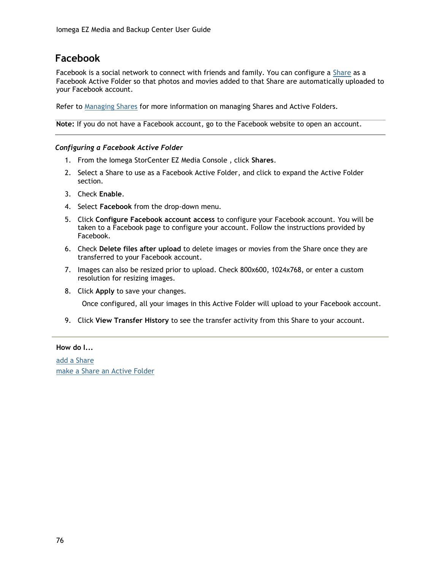# <span id="page-85-0"></span>**Facebook**

Facebook is a social network to connect with friends and family. You can configure a [Share](#page-23-0) as a Facebook Active Folder so that photos and movies added to that Share are automatically uploaded to your Facebook account.

Refer to [Managing Shares](#page-25-2) for more information on managing Shares and Active Folders.

**Note:** If you do not have a Facebook account, go to the Facebook website to open an account.

#### *Configuring a Facebook Active Folder*

- 1. From the Iomega StorCenter EZ Media Console , click **Shares**.
- 2. Select a Share to use as a Facebook Active Folder, and click to expand the Active Folder section.
- 3. Check **Enable**.
- 4. Select **Facebook** from the drop-down menu.
- 5. Click **Configure Facebook account access** to configure your Facebook account. You will be taken to a Facebook page to configure your account. Follow the instructions provided by Facebook.
- 6. Check **Delete files after upload** to delete images or movies from the Share once they are transferred to your Facebook account.
- 7. Images can also be resized prior to upload. Check 800x600, 1024x768, or enter a custom resolution for resizing images.
- 8. Click **Apply** to save your changes.

Once configured, all your images in this Active Folder will upload to your Facebook account.

9. Click **View Transfer History** to see the transfer activity from this Share to your account.

#### **How do I...**

[add a Share](#page-24-0) [make a Share an Active Folder](#page-25-1)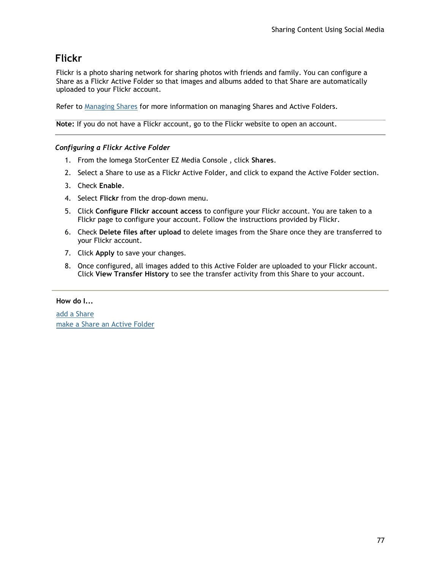# <span id="page-86-0"></span>**Flickr**

Flickr is a photo sharing network for sharing photos with friends and family. You can configure a Share as a Flickr Active Folder so that images and albums added to that Share are automatically uploaded to your Flickr account.

Refer to [Managing Shares](#page-25-2) for more information on managing Shares and Active Folders.

**Note:** If you do not have a Flickr account, go to the Flickr website to open an account.

### *Configuring a Flickr Active Folder*

- 1. From the Iomega StorCenter EZ Media Console , click **Shares**.
- 2. Select a Share to use as a Flickr Active Folder, and click to expand the Active Folder section.
- 3. Check **Enable**.
- 4. Select **Flickr** from the drop-down menu.
- 5. Click **Configure Flickr account access** to configure your Flickr account. You are taken to a Flickr page to configure your account. Follow the instructions provided by Flickr.
- 6. Check **Delete files after upload** to delete images from the Share once they are transferred to your Flickr account.
- 7. Click **Apply** to save your changes.
- 8. Once configured, all images added to this Active Folder are uploaded to your Flickr account. Click **View Transfer History** to see the transfer activity from this Share to your account.

### **How do I...**

[add a Share](#page-24-0) [make a Share an Active Folder](#page-25-1)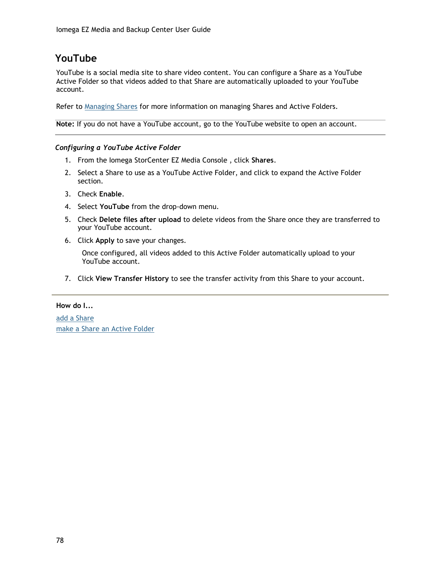# <span id="page-87-0"></span>**YouTube**

YouTube is a social media site to share video content. You can configure a Share as a YouTube Active Folder so that videos added to that Share are automatically uploaded to your YouTube account.

Refer to [Managing Shares](#page-25-2) for more information on managing Shares and Active Folders.

**Note:** If you do not have a YouTube account, go to the YouTube website to open an account.

### *Configuring a YouTube Active Folder*

- 1. From the Iomega StorCenter EZ Media Console , click **Shares**.
- 2. Select a Share to use as a YouTube Active Folder, and click to expand the Active Folder section.
- 3. Check **Enable**.
- 4. Select **YouTube** from the drop-down menu.
- 5. Check **Delete files after upload** to delete videos from the Share once they are transferred to your YouTube account.
- 6. Click **Apply** to save your changes.

Once configured, all videos added to this Active Folder automatically upload to your YouTube account.

7. Click **View Transfer History** to see the transfer activity from this Share to your account.

**How do I...**

[add a Share](#page-24-0) [make a Share an Active Folder](#page-25-1)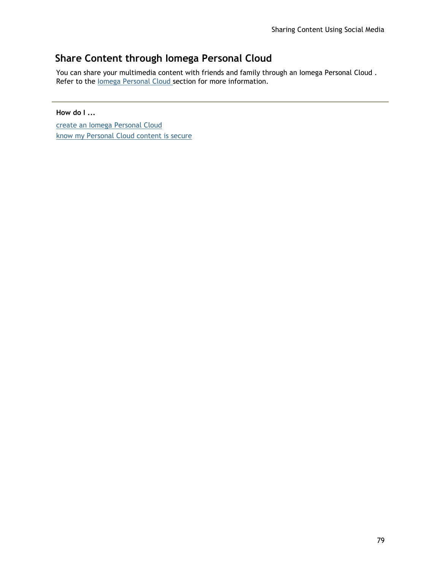# **Share Content through Iomega Personal Cloud**

You can share your multimedia content with friends and family through an Iomega Personal Cloud. Refer to the lomega Personal Cloud section for more information.

# **How do I ...**

[create an Iomega Personal Cloud](#page-73-0)  [know my Personal Cloud content is secure](#page-71-0)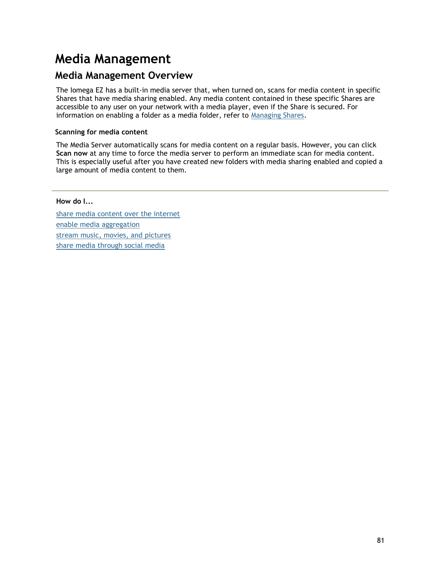# **Media Management**

# <span id="page-90-0"></span>**Media Management Overview**

The Iomega EZ has a built-in media server that, when turned on, scans for media content in specific Shares that have media sharing enabled. Any media content contained in these specific Shares are accessible to any user on your network with a media player, even if the Share is secured. For information on enabling a folder as a media folder, refer to [Managing Shares.](#page-25-2)

# **Scanning for media content**

The Media Server automatically scans for media content on a regular basis. However, you can click **Scan now** at any time to force the media server to perform an immediate scan for media content. This is especially useful after you have created new folders with media sharing enabled and copied a large amount of media content to them.

# **How do I...**

[share media content over the internet](#page-92-0) [enable media aggregation](#page-93-0) [stream music, movies, and pictures](#page-95-0) [share media through social media](#page-94-0)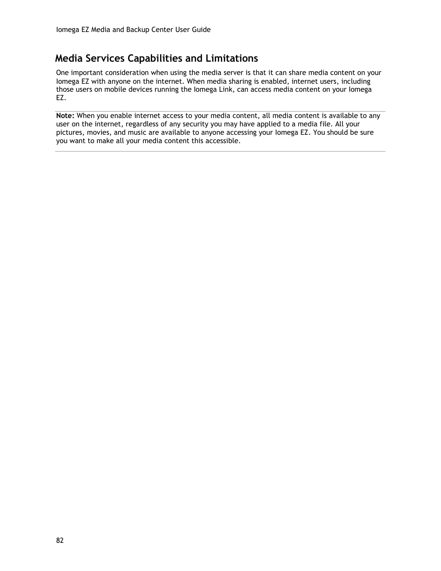# <span id="page-91-0"></span>**Media Services Capabilities and Limitations**

One important consideration when using the media server is that it can share media content on your Iomega EZ with anyone on the internet. When media sharing is enabled, internet users, including those users on mobile devices running the Iomega Link, can access media content on your Iomega EZ.

**Note:** When you enable internet access to your media content, all media content is available to any user on the internet, regardless of any security you may have applied to a media file. All your pictures, movies, and music are available to anyone accessing your Iomega EZ. You should be sure you want to make all your media content this accessible.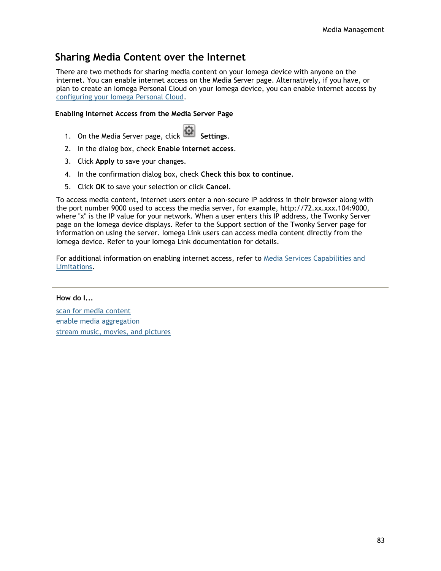# <span id="page-92-0"></span>**Sharing Media Content over the Internet**

There are two methods for sharing media content on your Iomega device with anyone on the internet. You can enable internet access on the Media Server page. Alternatively, if you have, or plan to create an Iomega Personal Cloud on your Iomega device, you can enable internet access by [configuring your Iomega Personal Cloud.](#page-76-0)

# **Enabling Internet Access from the Media Server Page**

- 1. On the Media Server page, click **Settings.**
- 2. In the dialog box, check **Enable internet access**.
- 3. Click **Apply** to save your changes.
- 4. In the confirmation dialog box, check **Check this box to continue**.
- 5. Click **OK** to save your selection or click **Cancel**.

To access media content, internet users enter a non-secure IP address in their browser along with the port number 9000 used to access the media server, for example, http://72.xx.xxx.104:9000, where "x" is the IP value for your network. When a user enters this IP address, the Twonky Server page on the Iomega device displays. Refer to the Support section of the Twonky Server page for information on using the server. Iomega Link users can access media content directly from the Iomega device. Refer to your Iomega Link documentation for details.

For additional information on enabling internet access, refer to [Media Services Capabilities and](#page-91-0)  [Limitations.](#page-91-0)

#### **How do I...**

[scan for media content](#page-90-0) [enable media aggregation](#page-93-0) [stream music, movies, and pictures](#page-95-0)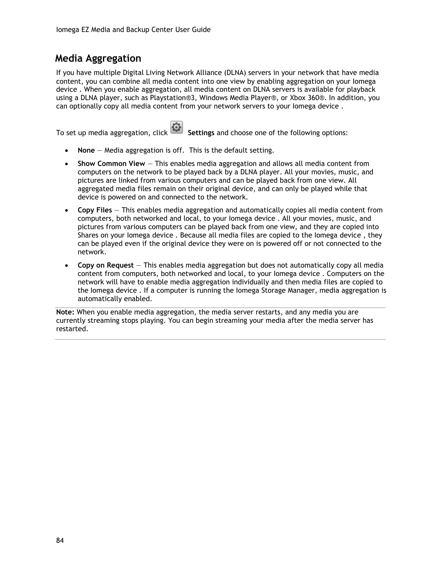# <span id="page-93-0"></span>**Media Aggregation**

If you have multiple Digital Living Network Alliance (DLNA) servers in your network that have media content, you can combine all media content into one view by enabling aggregation on your Iomega device . When you enable aggregation, all media content on DLNA servers is available for playback using a DLNA player, such as Playstation®3, Windows Media Player®, or Xbox 360®. In addition, you can optionally copy all media content from your network servers to your Iomega device .

To set up media aggregation, click **Settings** and choose one of the following options:

- **None** Media aggregation is off. This is the default setting.
- **Show Common View** This enables media aggregation and allows all media content from computers on the network to be played back by a DLNA player. All your movies, music, and pictures are linked from various computers and can be played back from one view. All aggregated media files remain on their original device, and can only be played while that device is powered on and connected to the network.
- **Copy Files** This enables media aggregation and automatically copies all media content from computers, both networked and local, to your Iomega device . All your movies, music, and pictures from various computers can be played back from one view, and they are copied into Shares on your Iomega device . Because all media files are copied to the Iomega device , they can be played even if the original device they were on is powered off or not connected to the network.
- **Copy on Request** This enables media aggregation but does not automatically copy all media content from computers, both networked and local, to your Iomega device . Computers on the network will have to enable media aggregation individually and then media files are copied to the Iomega device . If a computer is running the Iomega Storage Manager, media aggregation is automatically enabled.

**Note:** When you enable media aggregation, the media server restarts, and any media you are currently streaming stops playing. You can begin streaming your media after the media server has restarted.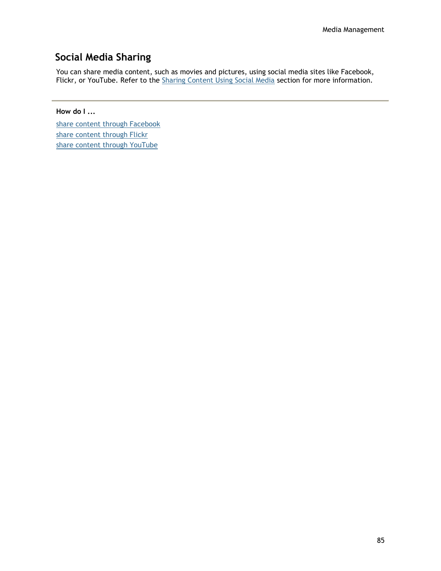# <span id="page-94-0"></span>**Social Media Sharing**

You can share media content, such as movies and pictures, using social media sites like Facebook, Flickr, or YouTube. Refer to the [Sharing Content Using Social Media](#page-37-0) section for more information.

**How do I ...**

[share content through Facebook](#page-85-0) [share content through Flickr](#page-86-0) [share content through YouTube](#page-87-0)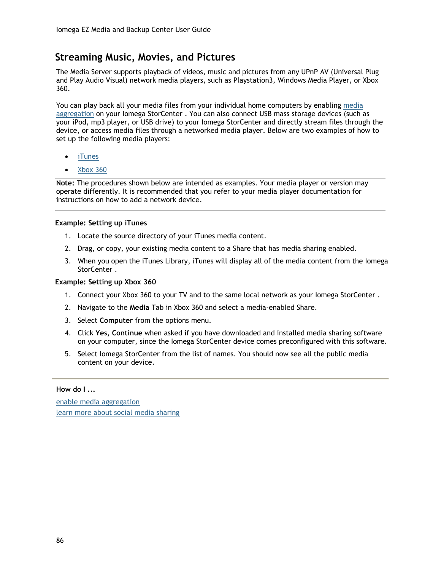# <span id="page-95-0"></span>**Streaming Music, Movies, and Pictures**

The Media Server supports playback of videos, music and pictures from any UPnP AV (Universal Plug and Play Audio Visual) network media players, such as Playstation3, Windows Media Player, or Xbox 360.

You can play back all your media files from your individual home computers by enabling [media](#page-93-0)  [aggregation](#page-93-0) on your Iomega StorCenter . You can also connect USB mass storage devices (such as your iPod, mp3 player, or USB drive) to your Iomega StorCenter and directly stream files through the device, or access media files through a networked media player. Below are two examples of how to set up the following media players:

- [iTunes](#page-95-1)
- [Xbox 360](#page-95-2)

**Note:** The procedures shown below are intended as examples. Your media player or version may operate differently. It is recommended that you refer to your media player documentation for instructions on how to add a network device.

#### <span id="page-95-1"></span>**Example: Setting up iTunes**

- 1. Locate the source directory of your iTunes media content.
- 2. Drag, or copy, your existing media content to a Share that has media sharing enabled.
- 3. When you open the iTunes Library, iTunes will display all of the media content from the Iomega StorCenter .

#### <span id="page-95-2"></span>**Example: Setting up Xbox 360**

- 1. Connect your Xbox 360 to your TV and to the same local network as your Iomega StorCenter .
- 2. Navigate to the **Media** Tab in Xbox 360 and select a media-enabled Share.
- 3. Select **Computer** from the options menu.
- 4. Click **Yes, Continue** when asked if you have downloaded and installed media sharing software on your computer, since the Iomega StorCenter device comes preconfigured with this software.
- 5. Select Iomega StorCenter from the list of names. You should now see all the public media content on your device.

#### **How do I ...**

[enable media aggregation](#page-93-0) [learn more about social media sharing](#page-37-0)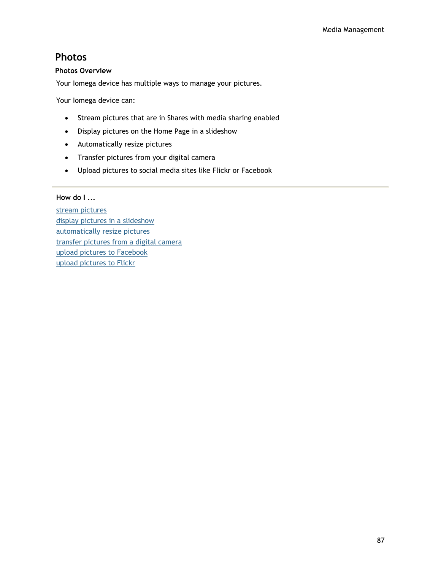# **Photos**

### **Photos Overview**

Your Iomega device has multiple ways to manage your pictures.

Your Iomega device can:

- Stream pictures that are in Shares with media sharing enabled
- Display pictures on the Home Page in a slideshow
- Automatically resize pictures
- Transfer pictures from your digital camera
- Upload pictures to social media sites like Flickr or Facebook

### **How do I ...**

[stream pictures](#page-97-0) [display pictures in a slideshow](#page-35-0) [automatically resize pictures](#page-99-0) [transfer pictures from a digital camera](#page-100-0) [upload pictures to Facebook](#page-85-0) [upload pictures to Flickr](#page-86-0)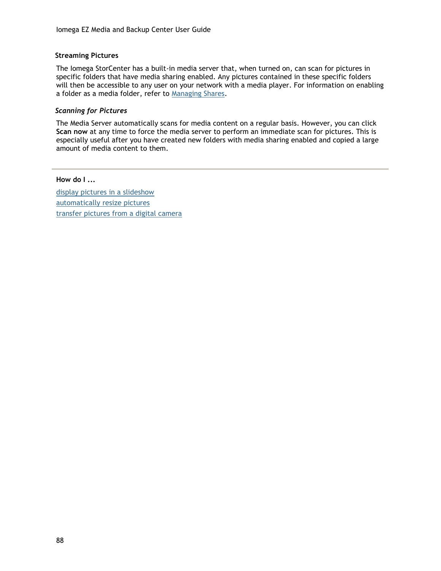### <span id="page-97-0"></span>**Streaming Pictures**

The Iomega StorCenter has a built-in media server that, when turned on, can scan for pictures in specific folders that have media sharing enabled. Any pictures contained in these specific folders will then be accessible to any user on your network with a media player. For information on enabling a folder as a media folder, refer to [Managing Shares.](#page-25-2)

#### *Scanning for Pictures*

The Media Server automatically scans for media content on a regular basis. However, you can click **Scan now** at any time to force the media server to perform an immediate scan for pictures. This is especially useful after you have created new folders with media sharing enabled and copied a large amount of media content to them.

#### **How do I ...**

[display pictures in a slideshow](#page-35-0) [automatically resize pictures](#page-99-0) [transfer pictures from a digital camera](#page-100-0)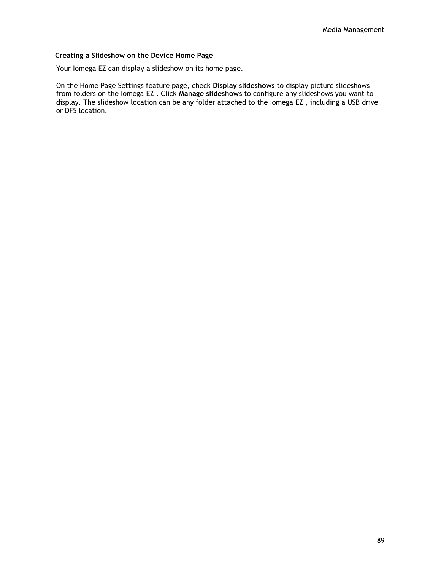### **Creating a Slideshow on the Device Home Page**

Your Iomega EZ can display a slideshow on its home page.

On the Home Page Settings feature page, check **Display slideshows** to display picture slideshows from folders on the Iomega EZ . Click **Manage slideshows** to configure any slideshows you want to display. The slideshow location can be any folder attached to the Iomega EZ , including a USB drive or DFS location.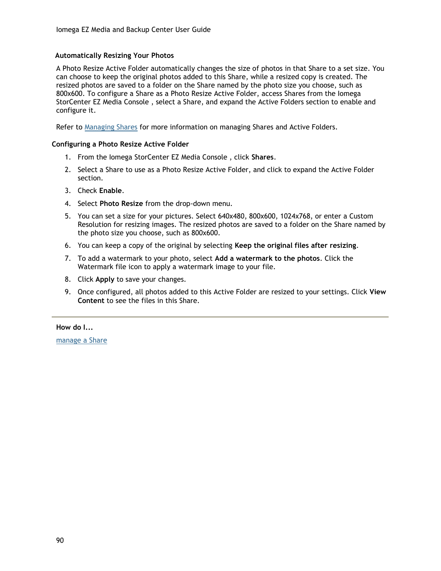### <span id="page-99-0"></span>**Automatically Resizing Your Photos**

A Photo Resize Active Folder automatically changes the size of photos in that Share to a set size. You can choose to keep the original photos added to this Share, while a resized copy is created. The resized photos are saved to a folder on the Share named by the photo size you choose, such as 800x600. To configure a Share as a Photo Resize Active Folder, access Shares from the Iomega StorCenter EZ Media Console , select a Share, and expand the Active Folders section to enable and configure it.

Refer to [Managing Shares](#page-25-2) for more information on managing Shares and Active Folders.

#### **Configuring a Photo Resize Active Folder**

- 1. From the Iomega StorCenter EZ Media Console , click **Shares**.
- 2. Select a Share to use as a Photo Resize Active Folder, and click to expand the Active Folder section.
- 3. Check **Enable**.
- 4. Select **Photo Resize** from the drop-down menu.
- 5. You can set a size for your pictures. Select 640x480, 800x600, 1024x768, or enter a Custom Resolution for resizing images. The resized photos are saved to a folder on the Share named by the photo size you choose, such as 800x600.
- 6. You can keep a copy of the original by selecting **Keep the original files after resizing**.
- 7. To add a watermark to your photo, select **Add a watermark to the photos**. Click the Watermark file icon to apply a watermark image to your file.
- 8. Click **Apply** to save your changes.
- 9. Once configured, all photos added to this Active Folder are resized to your settings. Click **View Content** to see the files in this Share.

**How do I...**

[manage a Share](#page-25-2)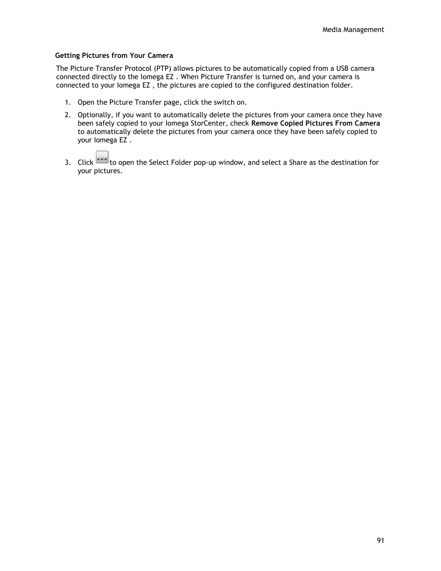#### <span id="page-100-0"></span>**Getting Pictures from Your Camera**

The Picture Transfer Protocol (PTP) allows pictures to be automatically copied from a USB camera connected directly to the Iomega EZ . When Picture Transfer is turned on, and your camera is connected to your Iomega EZ , the pictures are copied to the configured destination folder.

- 1. Open the Picture Transfer page, click the switch on.
- 2. Optionally, if you want to automatically delete the pictures from your camera once they have been safely copied to your Iomega StorCenter, check **Remove Copied Pictures From Camera** to automatically delete the pictures from your camera once they have been safely copied to your Iomega EZ .
- 3. Click to open the Select Folder pop-up window, and select a Share as the destination for your pictures.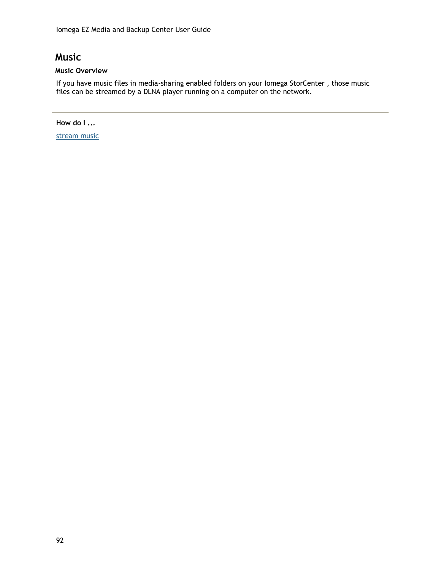# **Music**

# **Music Overview**

If you have music files in media-sharing enabled folders on your Iomega StorCenter , those music files can be streamed by a DLNA player running on a computer on the network.

**How do I ...**

[stream music](#page-102-0)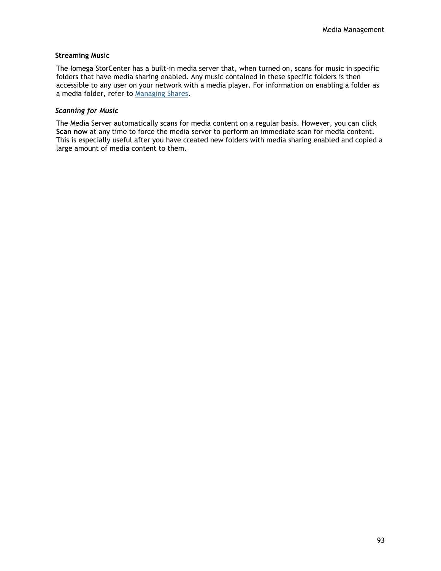#### <span id="page-102-0"></span>**Streaming Music**

The Iomega StorCenter has a built-in media server that, when turned on, scans for music in specific folders that have media sharing enabled. Any music contained in these specific folders is then accessible to any user on your network with a media player. For information on enabling a folder as a media folder, refer to [Managing Shares.](#page-25-2)

#### *Scanning for Music*

The Media Server automatically scans for media content on a regular basis. However, you can click **Scan now** at any time to force the media server to perform an immediate scan for media content. This is especially useful after you have created new folders with media sharing enabled and copied a large amount of media content to them.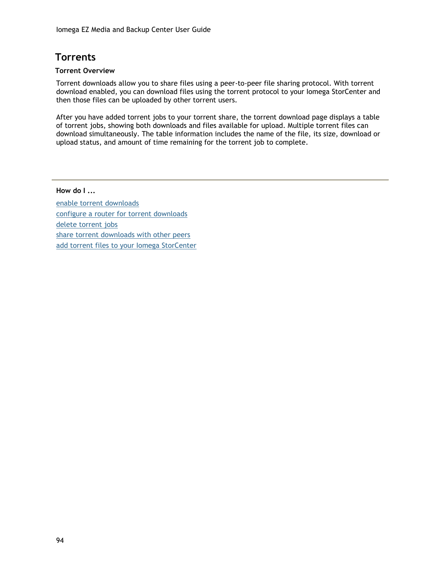# **Torrents**

### **Torrent Overview**

Torrent downloads allow you to share files using a peer-to-peer file sharing protocol. With torrent download enabled, you can download files using the torrent protocol to your Iomega StorCenter and then those files can be uploaded by other torrent users.

After you have added torrent jobs to your torrent share, the torrent download page displays a table of torrent jobs, showing both downloads and files available for upload. Multiple torrent files can download simultaneously. The table information includes the name of the file, its size, download or upload status, and amount of time remaining for the torrent job to complete.

### **How do I ...**

[enable torrent downloads](#page-104-0) [configure a router for torrent downloads](#page-106-0) [delete torrent jobs](#page-105-0) [share torrent downloads with other peers](#page-107-0) [add torrent files to your Iomega StorCenter](#page-108-0)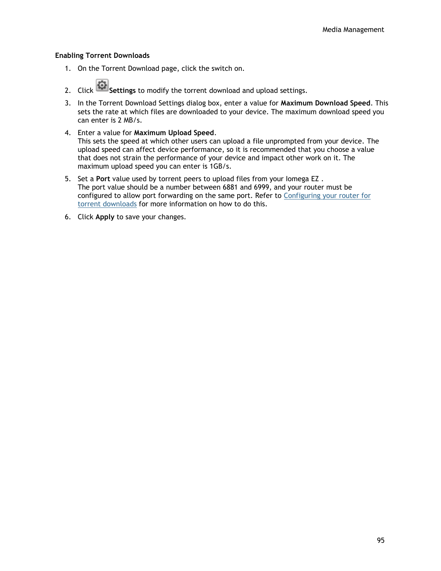#### <span id="page-104-0"></span>**Enabling Torrent Downloads**

- 1. On the Torrent Download page, click the switch on.
- 2. Click **Settings** to modify the torrent download and upload settings.
- 3. In the Torrent Download Settings dialog box, enter a value for **Maximum Download Speed**. This sets the rate at which files are downloaded to your device. The maximum download speed you can enter is 2 MB/s.
- 4. Enter a value for **Maximum Upload Speed**. This sets the speed at which other users can upload a file unprompted from your device. The upload speed can affect device performance, so it is recommended that you choose a value that does not strain the performance of your device and impact other work on it. The maximum upload speed you can enter is 1GB/s.
- 5. Set a **Port** value used by torrent peers to upload files from your Iomega EZ . The port value should be a number between 6881 and 6999, and your router must be configured to allow port forwarding on the same port. Refer to [Configuring your router for](#page-106-0)  [torrent downloads](#page-106-0) for more information on how to do this.
- 6. Click **Apply** to save your changes.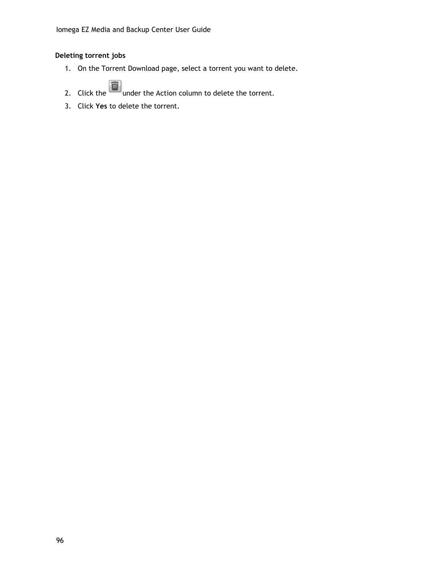# <span id="page-105-0"></span>**Deleting torrent jobs**

- 1. On the Torrent Download page, select a torrent you want to delete.
- 2. Click the  $\Box$  under the Action column to delete the torrent.
- 3. Click **Yes** to delete the torrent.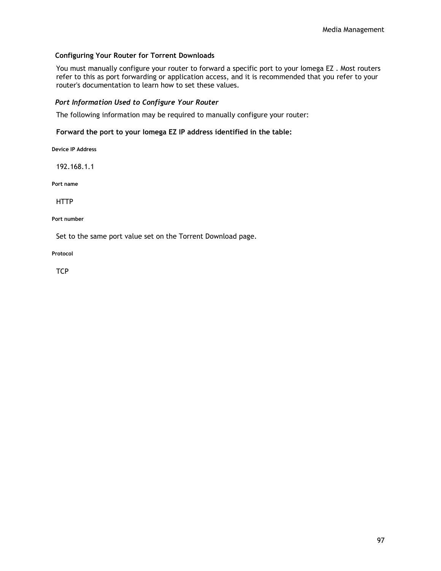### <span id="page-106-0"></span>**Configuring Your Router for Torrent Downloads**

You must manually configure your router to forward a specific port to your Iomega EZ . Most routers refer to this as port forwarding or application access, and it is recommended that you refer to your router's documentation to learn how to set these values.

#### *Port Information Used to Configure Your Router*

The following information may be required to manually configure your router:

#### **Forward the port to your Iomega EZ IP address identified in the table:**

**Device IP Address**

192.168.1.1

**Port name**

**HTTP** 

**Port number**

Set to the same port value set on the Torrent Download page.

**Protocol**

**TCP**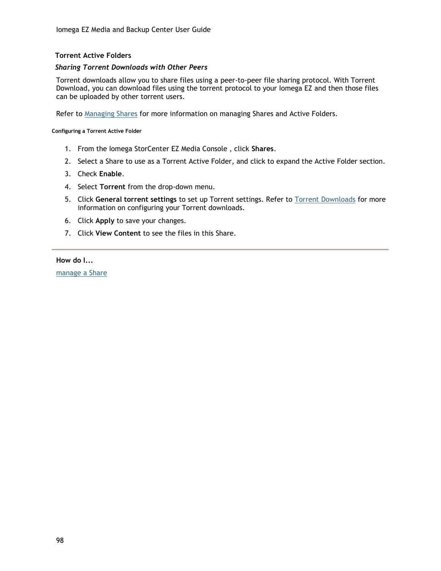# **Torrent Active Folders**

### <span id="page-107-0"></span>*Sharing Torrent Downloads with Other Peers*

Torrent downloads allow you to share files using a peer-to-peer file sharing protocol. With Torrent Download, you can download files using the torrent protocol to your Iomega EZ and then those files can be uploaded by other torrent users.

Refer to [Managing Shares](#page-25-2) for more information on managing Shares and Active Folders.

**Configuring a Torrent Active Folder**

- 1. From the Iomega StorCenter EZ Media Console , click **Shares**.
- 2. Select a Share to use as a Torrent Active Folder, and click to expand the Active Folder section.
- 3. Check **Enable**.
- 4. Select **Torrent** from the drop-down menu.
- 5. Click **General torrent settings** to set up Torrent settings. Refer to [Torrent Downloads](#page-104-0) for more information on configuring your Torrent downloads.
- 6. Click **Apply** to save your changes.
- 7. Click **View Content** to see the files in this Share.

#### **How do I...**

[manage a Share](#page-25-2)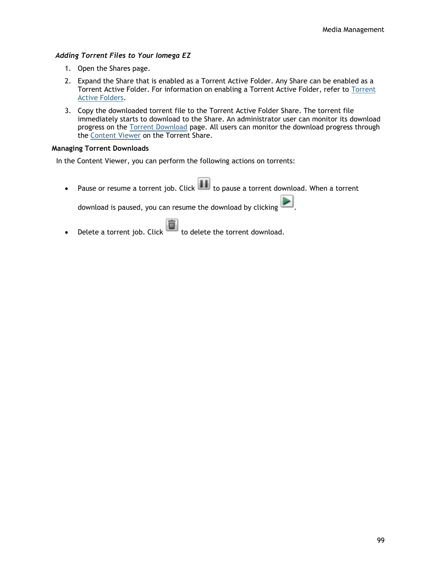### *Adding Torrent Files to Your Iomega EZ*

- 1. Open the Shares page.
- 2. Expand the Share that is enabled as a Torrent Active Folder. Any Share can be enabled as a Torrent Active Folder. For information on enabling a Torrent Active Folder, refer to [Torrent](#page-107-0)  [Active Folders.](#page-107-0)
- 3. Copy the downloaded torrent file to the Torrent Active Folder Share. The torrent file immediately starts to download to the Share. An administrator user can monitor its download progress on the [Torrent Download](#page-104-0) page. All users can monitor the download progress through the [Content Viewer](#page-38-0) on the Torrent Share.

### **Managing Torrent Downloads**

In the Content Viewer, you can perform the following actions on torrents:

• Pause or resume a torrent job. Click  $\Box$  to pause a torrent download. When a torrent

download is paused, you can resume the download by clicking

• Delete a torrent job. Click  $\overline{\mathbb{D}}$  to delete the torrent download.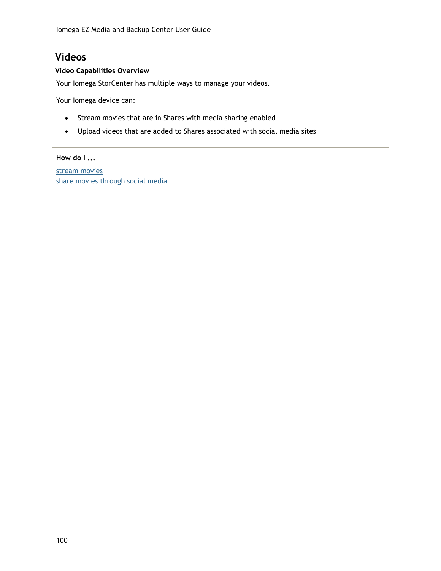## **Videos**

### **Video Capabilities Overview**

Your Iomega StorCenter has multiple ways to manage your videos.

Your Iomega device can:

- Stream movies that are in Shares with media sharing enabled
- Upload videos that are added to Shares associated with social media sites

### **How do I ...**

[stream movies](#page-110-0) [share movies through social media](#page-94-0)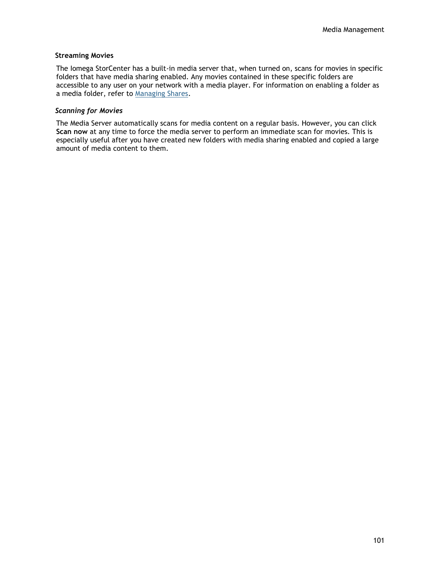#### <span id="page-110-0"></span>**Streaming Movies**

The Iomega StorCenter has a built-in media server that, when turned on, scans for movies in specific folders that have media sharing enabled. Any movies contained in these specific folders are accessible to any user on your network with a media player. For information on enabling a folder as a media folder, refer to [Managing Shares.](#page-25-0)

#### *Scanning for Movies*

The Media Server automatically scans for media content on a regular basis. However, you can click **Scan now** at any time to force the media server to perform an immediate scan for movies. This is especially useful after you have created new folders with media sharing enabled and copied a large amount of media content to them.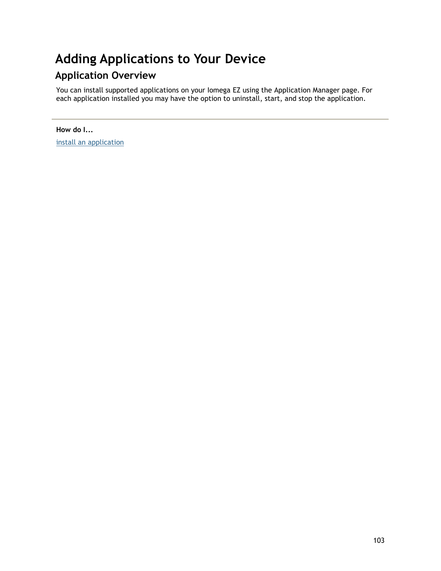# **Adding Applications to Your Device**

# **Application Overview**

You can install supported applications on your Iomega EZ using the Application Manager page. For each application installed you may have the option to uninstall, start, and stop the application.

**How do I...** [install an application](#page-113-0)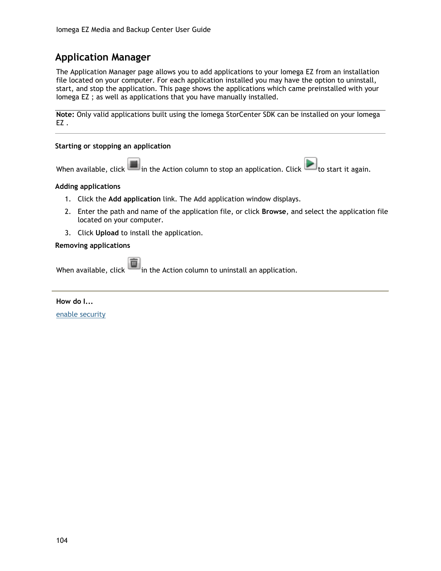## <span id="page-113-0"></span>**Application Manager**

The Application Manager page allows you to add applications to your Iomega EZ from an installation file located on your computer. For each application installed you may have the option to uninstall, start, and stop the application. This page shows the applications which came preinstalled with your Iomega EZ ; as well as applications that you have manually installed.

**Note:** Only valid applications built using the Iomega StorCenter SDK can be installed on your Iomega EZ .

### **Starting or stopping an application**

When available, click in the Action column to stop an application. Click to start it again.

#### **Adding applications**

- 1. Click the **Add application** link. The Add application window displays.
- 2. Enter the path and name of the application file, or click **Browse**, and select the application file located on your computer.
- 3. Click **Upload** to install the application.

#### **Removing applications**

When available, click in the Action column to uninstall an application.

**How do I...**

[enable security](#page-61-0)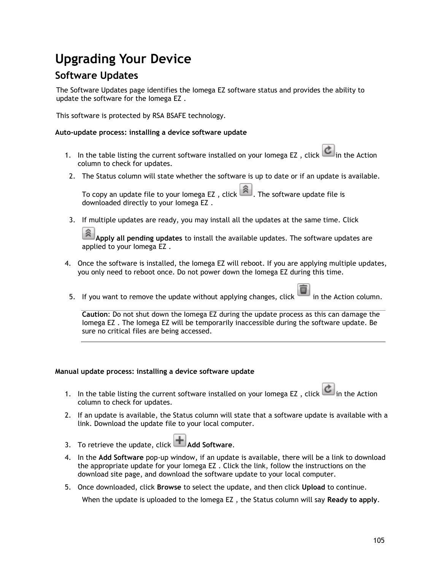# **Upgrading Your Device**

## **Software Updates**

The Software Updates page identifies the Iomega EZ software status and provides the ability to update the software for the Iomega EZ .

This software is protected by RSA BSAFE technology.

### **Auto-update process: installing a device software update**

- 1. In the table listing the current software installed on your Iomega EZ, click in the Action column to check for updates.
- 2. The Status column will state whether the software is up to date or if an update is available.

To copy an update file to your lomega EZ, click  $\boxed{\widehat{a}}$ . The software update file is downloaded directly to your Iomega EZ .

3. If multiple updates are ready, you may install all the updates at the same time. Click

**Apply all pending updates** to install the available updates. The software updates are applied to your Iomega EZ .

- 4. Once the software is installed, the Iomega EZ will reboot. If you are applying multiple updates, you only need to reboot once. Do not power down the Iomega EZ during this time.
- 5. If you want to remove the update without applying changes, click  $\Box$  in the Action column.

**Caution**: Do not shut down the Iomega EZ during the update process as this can damage the Iomega EZ . The Iomega EZ will be temporarily inaccessible during the software update. Be sure no critical files are being accessed.

### **Manual update process: installing a device software update**

- 1. In the table listing the current software installed on your Iomega EZ, click  $\vert c \vert$  in the Action column to check for updates.
- 2. If an update is available, the Status column will state that a software update is available with a link. Download the update file to your local computer.
- 3. To retrieve the update, click **Add Software**.
- 4. In the **Add Software** pop-up window, if an update is available, there will be a link to download the appropriate update for your Iomega EZ . Click the link, follow the instructions on the download site page, and download the software update to your local computer.
- 5. Once downloaded, click **Browse** to select the update, and then click **Upload** to continue.

When the update is uploaded to the Iomega EZ , the Status column will say **Ready to apply**.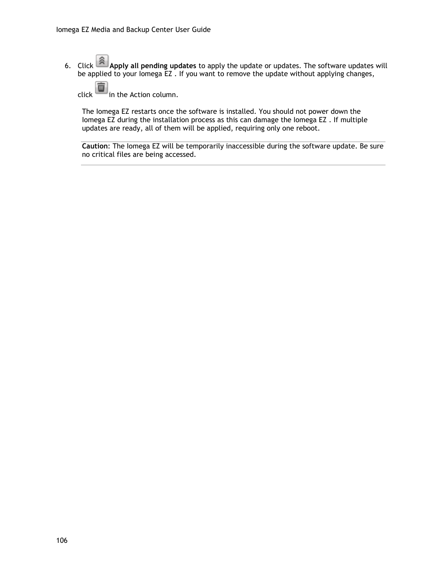6. Click **Apply all pending updates** to apply the update or updates. The software updates will be applied to your Iomega EZ . If you want to remove the update without applying changes,

click in the Action column.

The Iomega EZ restarts once the software is installed. You should not power down the Iomega EZ during the installation process as this can damage the Iomega EZ . If multiple updates are ready, all of them will be applied, requiring only one reboot.

**Caution**: The Iomega EZ will be temporarily inaccessible during the software update. Be sure no critical files are being accessed.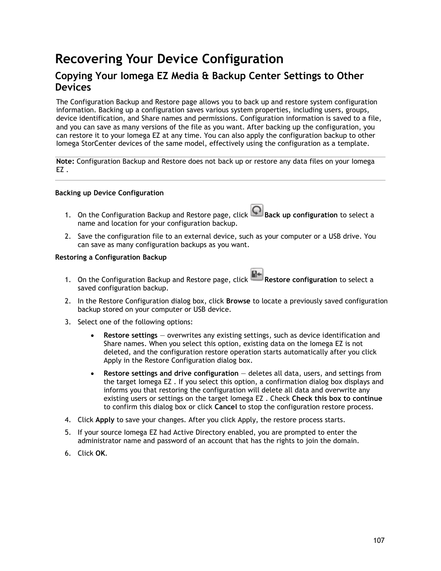# **Recovering Your Device Configuration**

### **Copying Your Iomega EZ Media & Backup Center Settings to Other Devices**

The Configuration Backup and Restore page allows you to back up and restore system configuration information. Backing up a configuration saves various system properties, including users, groups, device identification, and Share names and permissions. Configuration information is saved to a file, and you can save as many versions of the file as you want. After backing up the configuration, you can restore it to your Iomega EZ at any time. You can also apply the configuration backup to other Iomega StorCenter devices of the same model, effectively using the configuration as a template.

**Note:** Configuration Backup and Restore does not back up or restore any data files on your Iomega EZ .

### **Backing up Device Configuration**

- 1. On the Configuration Backup and Restore page, click **Q** Back up configuration to select a name and location for your configuration backup.
- 2. Save the configuration file to an external device, such as your computer or a USB drive. You can save as many configuration backups as you want.

### **Restoring a Configuration Backup**

- 1. On the Configuration Backup and Restore page, click **Restore configuration** to select a saved configuration backup.
- 2. In the Restore Configuration dialog box, click **Browse** to locate a previously saved configuration backup stored on your computer or USB device.
- 3. Select one of the following options:
	- **Restore settings** overwrites any existing settings, such as device identification and Share names. When you select this option, existing data on the Iomega EZ is not deleted, and the configuration restore operation starts automatically after you click Apply in the Restore Configuration dialog box.
	- **Restore settings and drive configuration** deletes all data, users, and settings from the target Iomega EZ . If you select this option, a confirmation dialog box displays and informs you that restoring the configuration will delete all data and overwrite any existing users or settings on the target Iomega EZ . Check **Check this box to continue** to confirm this dialog box or click **Cancel** to stop the configuration restore process.
- 4. Click **Apply** to save your changes. After you click Apply, the restore process starts.
- 5. If your source Iomega EZ had Active Directory enabled, you are prompted to enter the administrator name and password of an account that has the rights to join the domain.
- 6. Click **OK**.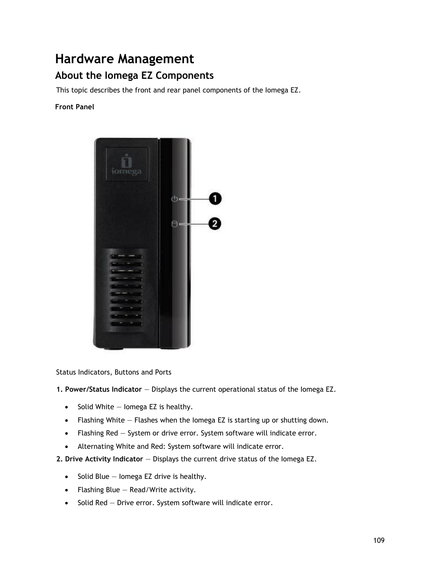## **Hardware Management**

### **About the Iomega EZ Components**

This topic describes the front and rear panel components of the Iomega EZ.

### **Front Panel**



Status Indicators, Buttons and Ports

- **1. Power/Status Indicator** Displays the current operational status of the Iomega EZ.
	- $\bullet$  Solid White  $-$  lomega EZ is healthy.
	- Flashing White Flashes when the Iomega EZ is starting up or shutting down.
	- Flashing Red System or drive error. System software will indicate error.
	- Alternating White and Red: System software will indicate error.
- **2. Drive Activity Indicator** Displays the current drive status of the Iomega EZ.
	- $\bullet$  Solid Blue Iomega EZ drive is healthy.
	- Flashing Blue Read/Write activity.
	- $\bullet$  Solid Red Drive error. System software will indicate error.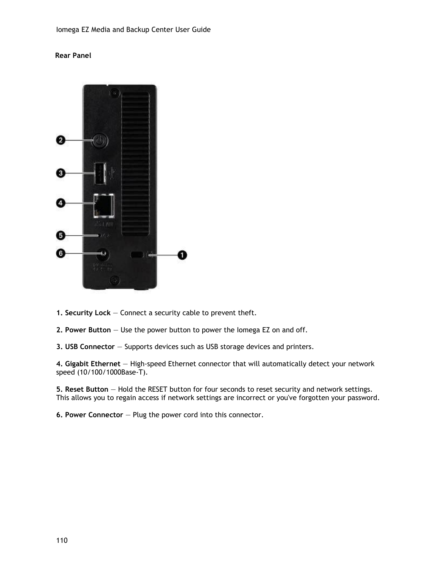### **Rear Panel**



- **1. Security Lock** Connect a security cable to prevent theft.
- **2. Power Button** Use the power button to power the Iomega EZ on and off.
- **3. USB Connector** Supports devices such as USB storage devices and printers.

**4. Gigabit Ethernet** — High-speed Ethernet connector that will automatically detect your network speed (10/100/1000Base-T).

**5. Reset Button** — Hold the RESET button for four seconds to reset security and network settings. This allows you to regain access if network settings are incorrect or you've forgotten your password.

**6. Power Connector** — Plug the power cord into this connector.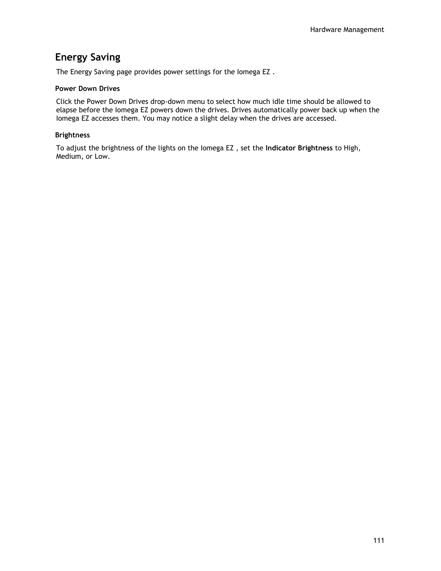## **Energy Saving**

The Energy Saving page provides power settings for the Iomega EZ .

#### **Power Down Drives**

Click the Power Down Drives drop-down menu to select how much idle time should be allowed to elapse before the Iomega EZ powers down the drives. Drives automatically power back up when the Iomega EZ accesses them. You may notice a slight delay when the drives are accessed.

### **Brightness**

To adjust the brightness of the lights on the Iomega EZ , set the **Indicator Brightness** to High, Medium, or Low.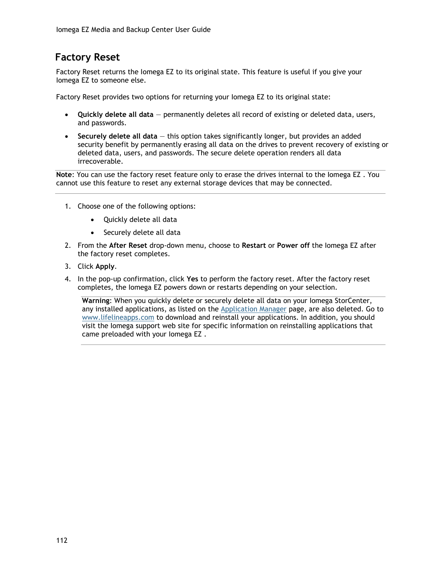## **Factory Reset**

Factory Reset returns the Iomega EZ to its original state. This feature is useful if you give your Iomega EZ to someone else.

Factory Reset provides two options for returning your Iomega EZ to its original state:

- **Quickly delete all data** permanently deletes all record of existing or deleted data, users, and passwords.
- **Securely delete all data** this option takes significantly longer, but provides an added security benefit by permanently erasing all data on the drives to prevent recovery of existing or deleted data, users, and passwords. The secure delete operation renders all data irrecoverable.

**Note**: You can use the factory reset feature only to erase the drives internal to the Iomega EZ . You cannot use this feature to reset any external storage devices that may be connected.

- 1. Choose one of the following options:
	- Quickly delete all data
	- Securely delete all data
- 2. From the **After Reset** drop-down menu, choose to **Restart** or **Power off** the Iomega EZ after the factory reset completes.
- 3. Click **Apply**.
- 4. In the pop-up confirmation, click **Yes** to perform the factory reset. After the factory reset completes, the Iomega EZ powers down or restarts depending on your selection.

**Warning**: When you quickly delete or securely delete all data on your Iomega StorCenter, any installed applications, as listed on the [Application Manager](#page-113-0) page, are also deleted. Go to [www.lifelineapps.com](http://www.lifelineapps.com/) to download and reinstall your applications. In addition, you should visit the Iomega support web site for specific information on reinstalling applications that came preloaded with your Iomega EZ .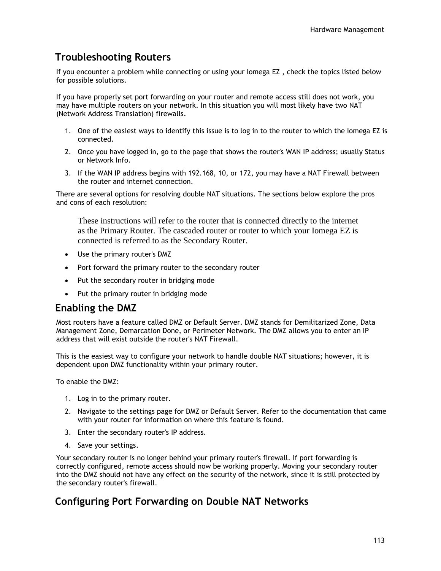## **Troubleshooting Routers**

If you encounter a problem while connecting or using your Iomega EZ , check the topics listed below for possible solutions.

If you have properly set port forwarding on your router and remote access still does not work, you may have multiple routers on your network. In this situation you will most likely have two NAT (Network Address Translation) firewalls.

- 1. One of the easiest ways to identify this issue is to log in to the router to which the Iomega EZ is connected.
- 2. Once you have logged in, go to the page that shows the router's WAN IP address; usually Status or Network Info.
- 3. If the WAN IP address begins with 192.168, 10, or 172, you may have a NAT Firewall between the router and internet connection.

There are several options for resolving double NAT situations. The sections below explore the pros and cons of each resolution:

These instructions will refer to the router that is connected directly to the internet as the Primary Router. The cascaded router or router to which your Iomega EZ is connected is referred to as the Secondary Router.

- Use the primary router's DMZ
- Port forward the primary router to the secondary router
- Put the secondary router in bridging mode
- Put the primary router in bridging mode

### **Enabling the DMZ**

Most routers have a feature called DMZ or Default Server. DMZ stands for Demilitarized Zone, Data Management Zone, Demarcation Done, or Perimeter Network. The DMZ allows you to enter an IP address that will exist outside the router's NAT Firewall.

This is the easiest way to configure your network to handle double NAT situations; however, it is dependent upon DMZ functionality within your primary router.

To enable the DMZ:

- 1. Log in to the primary router.
- 2. Navigate to the settings page for DMZ or Default Server. Refer to the documentation that came with your router for information on where this feature is found.
- 3. Enter the secondary router's IP address.
- 4. Save your settings.

Your secondary router is no longer behind your primary router's firewall. If port forwarding is correctly configured, remote access should now be working properly. Moving your secondary router into the DMZ should not have any effect on the security of the network, since it is still protected by the secondary router's firewall.

### **Configuring Port Forwarding on Double NAT Networks**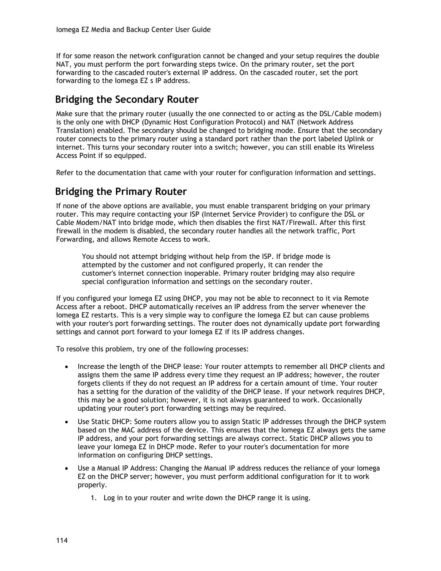If for some reason the network configuration cannot be changed and your setup requires the double NAT, you must perform the port forwarding steps twice. On the primary router, set the port forwarding to the cascaded router's external IP address. On the cascaded router, set the port forwarding to the Iomega EZ s IP address.

### **Bridging the Secondary Router**

Make sure that the primary router (usually the one connected to or acting as the DSL/Cable modem) is the only one with DHCP (Dynamic Host Configuration Protocol) and NAT (Network Address Translation) enabled. The secondary should be changed to bridging mode. Ensure that the secondary router connects to the primary router using a standard port rather than the port labeled Uplink or internet. This turns your secondary router into a switch; however, you can still enable its Wireless Access Point if so equipped.

Refer to the documentation that came with your router for configuration information and settings.

### **Bridging the Primary Router**

If none of the above options are available, you must enable transparent bridging on your primary router. This may require contacting your ISP (Internet Service Provider) to configure the DSL or Cable Modem/NAT into bridge mode, which then disables the first NAT/Firewall. After this first firewall in the modem is disabled, the secondary router handles all the network traffic, Port Forwarding, and allows Remote Access to work.

You should not attempt bridging without help from the ISP. If bridge mode is attempted by the customer and not configured properly, it can render the customer's internet connection inoperable. Primary router bridging may also require special configuration information and settings on the secondary router.

If you configured your Iomega EZ using DHCP, you may not be able to reconnect to it via Remote Access after a reboot. DHCP automatically receives an IP address from the server whenever the Iomega EZ restarts. This is a very simple way to configure the Iomega EZ but can cause problems with your router's port forwarding settings. The router does not dynamically update port forwarding settings and cannot port forward to your Iomega EZ if its IP address changes.

To resolve this problem, try one of the following processes:

- Increase the length of the DHCP lease: Your router attempts to remember all DHCP clients and assigns them the same IP address every time they request an IP address; however, the router forgets clients if they do not request an IP address for a certain amount of time. Your router has a setting for the duration of the validity of the DHCP lease. If your network requires DHCP, this may be a good solution; however, it is not always guaranteed to work. Occasionally updating your router's port forwarding settings may be required.
- Use Static DHCP: Some routers allow you to assign Static IP addresses through the DHCP system based on the MAC address of the device. This ensures that the Iomega EZ always gets the same IP address, and your port forwarding settings are always correct. Static DHCP allows you to leave your Iomega EZ in DHCP mode. Refer to your router's documentation for more information on configuring DHCP settings.
- Use a Manual IP Address: Changing the Manual IP address reduces the reliance of your Iomega EZ on the DHCP server; however, you must perform additional configuration for it to work properly.
	- 1. Log in to your router and write down the DHCP range it is using.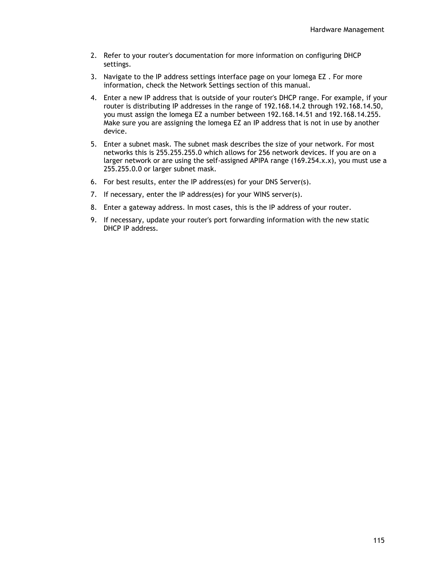- 2. Refer to your router's documentation for more information on configuring DHCP settings.
- 3. Navigate to the IP address settings interface page on your Iomega EZ . For more information, check the Network Settings section of this manual.
- 4. Enter a new IP address that is outside of your router's DHCP range. For example, if your router is distributing IP addresses in the range of 192.168.14.2 through 192.168.14.50, you must assign the Iomega EZ a number between 192.168.14.51 and 192.168.14.255. Make sure you are assigning the Iomega EZ an IP address that is not in use by another device.
- 5. Enter a subnet mask. The subnet mask describes the size of your network. For most networks this is 255.255.255.0 which allows for 256 network devices. If you are on a larger network or are using the self-assigned APIPA range (169.254.x.x), you must use a 255.255.0.0 or larger subnet mask.
- 6. For best results, enter the IP address(es) for your DNS Server(s).
- 7. If necessary, enter the IP address(es) for your WINS server(s).
- 8. Enter a gateway address. In most cases, this is the IP address of your router.
- 9. If necessary, update your router's port forwarding information with the new static DHCP IP address.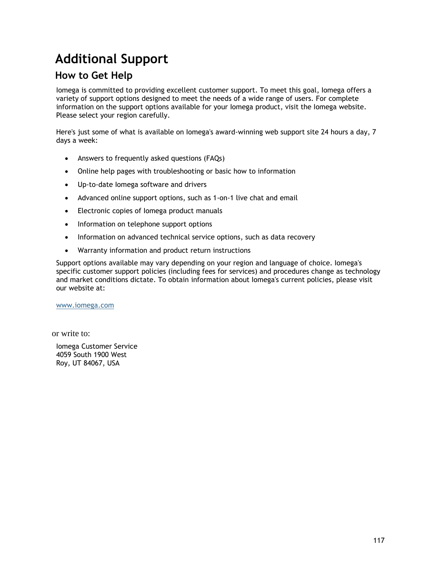# **Additional Support**

### **How to Get Help**

Iomega is committed to providing excellent customer support. To meet this goal, Iomega offers a variety of support options designed to meet the needs of a wide range of users. For complete information on the support options available for your Iomega product, visit the Iomega website. Please select your region carefully.

Here's just some of what is available on Iomega's award-winning web support site 24 hours a day, 7 days a week:

- Answers to frequently asked questions (FAQs)
- Online help pages with troubleshooting or basic how to information
- Up-to-date Iomega software and drivers
- Advanced online support options, such as 1-on-1 live chat and email
- Electronic copies of Iomega product manuals
- Information on telephone support options
- Information on advanced technical service options, such as data recovery
- Warranty information and product return instructions

Support options available may vary depending on your region and language of choice. Iomega's specific customer support policies (including fees for services) and procedures change as technology and market conditions dictate. To obtain information about Iomega's current policies, please visit our website at:

[www.iomega.com](http://www.iomega.com/)

or write to:

Iomega Customer Service 4059 South 1900 West Roy, UT 84067, USA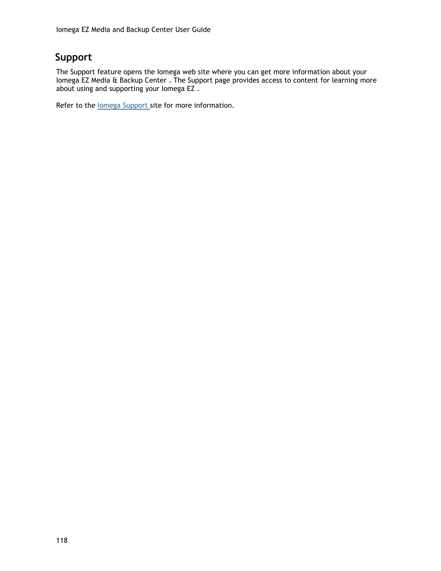## **Support**

The Support feature opens the Iomega web site where you can get more information about your Iomega EZ Media & Backup Center . The Support page provides access to content for learning more about using and supporting your Iomega EZ .

Refer to the lomega Support site for more information.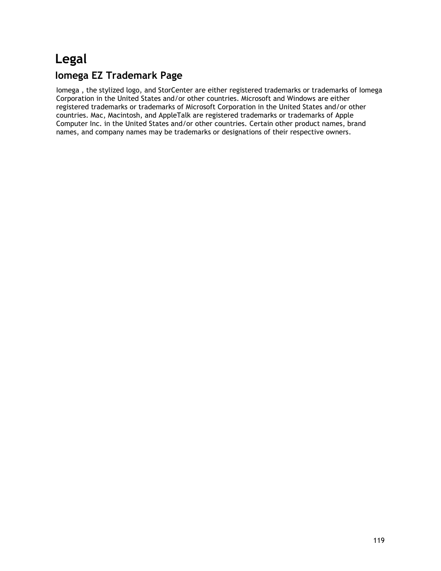# **Legal**

### **Iomega EZ Trademark Page**

Iomega , the stylized logo, and StorCenter are either registered trademarks or trademarks of Iomega Corporation in the United States and/or other countries. Microsoft and Windows are either registered trademarks or trademarks of Microsoft Corporation in the United States and/or other countries. Mac, Macintosh, and AppleTalk are registered trademarks or trademarks of Apple Computer Inc. in the United States and/or other countries. Certain other product names, brand names, and company names may be trademarks or designations of their respective owners.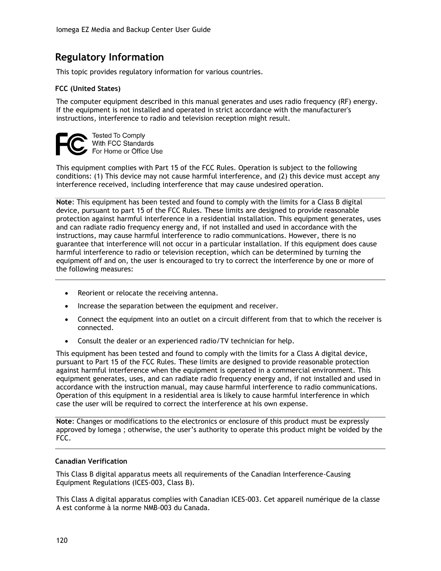## **Regulatory Information**

This topic provides regulatory information for various countries.

### **FCC (United States)**

The computer equipment described in this manual generates and uses radio frequency (RF) energy. If the equipment is not installed and operated in strict accordance with the manufacturer's instructions, interference to radio and television reception might result.



This equipment complies with Part 15 of the FCC Rules. Operation is subject to the following conditions: (1) This device may not cause harmful interference, and (2) this device must accept any interference received, including interference that may cause undesired operation.

**Note**: This equipment has been tested and found to comply with the limits for a Class B digital device, pursuant to part 15 of the FCC Rules. These limits are designed to provide reasonable protection against harmful interference in a residential installation. This equipment generates, uses and can radiate radio frequency energy and, if not installed and used in accordance with the instructions, may cause harmful interference to radio communications. However, there is no guarantee that interference will not occur in a particular installation. If this equipment does cause harmful interference to radio or television reception, which can be determined by turning the equipment off and on, the user is encouraged to try to correct the interference by one or more of the following measures:

- Reorient or relocate the receiving antenna.
- Increase the separation between the equipment and receiver.
- Connect the equipment into an outlet on a circuit different from that to which the receiver is connected.
- Consult the dealer or an experienced radio/TV technician for help.

This equipment has been tested and found to comply with the limits for a Class A digital device, pursuant to Part 15 of the FCC Rules. These limits are designed to provide reasonable protection against harmful interference when the equipment is operated in a commercial environment. This equipment generates, uses, and can radiate radio frequency energy and, if not installed and used in accordance with the instruction manual, may cause harmful interference to radio communications. Operation of this equipment in a residential area is likely to cause harmful interference in which case the user will be required to correct the interference at his own expense.

**Note**: Changes or modifications to the electronics or enclosure of this product must be expressly approved by Iomega ; otherwise, the user's authority to operate this product might be voided by the FCC.

### **Canadian Verification**

This Class B digital apparatus meets all requirements of the Canadian Interference-Causing Equipment Regulations (ICES-003, Class B).

This Class A digital apparatus complies with Canadian ICES-003. Cet appareil numérique de la classe A est conforme à la norme NMB-003 du Canada.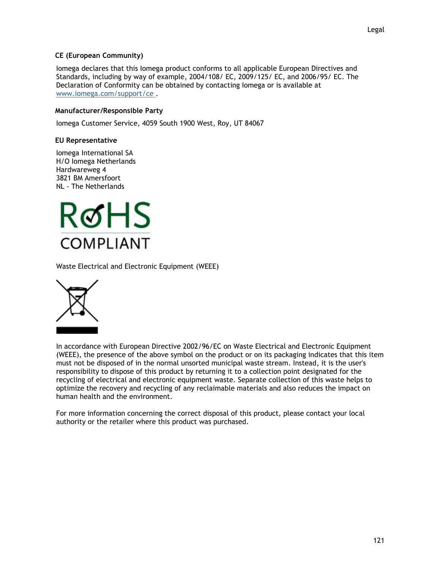### **CE (European Community)**

Iomega declares that this Iomega product conforms to all applicable European Directives and Standards, including by way of example, 2004/108/ EC, 2009/125/ EC, and 2006/95/ EC. The Declaration of Conformity can be obtained by contacting Iomega or is available at [www.iomega.com/support/ce .](http://www.iomega.com/support/ce)

#### **Manufacturer/Responsible Party**

Iomega Customer Service, 4059 South 1900 West, Roy, UT 84067

### **EU Representative**

Iomega International SA H/O Iomega Netherlands Hardwareweg 4 3821 BM Amersfoort NL - The Netherlands



Waste Electrical and Electronic Equipment (WEEE)



In accordance with European Directive 2002/96/EC on Waste Electrical and Electronic Equipment (WEEE), the presence of the above symbol on the product or on its packaging indicates that this item must not be disposed of in the normal unsorted municipal waste stream. Instead, it is the user's responsibility to dispose of this product by returning it to a collection point designated for the recycling of electrical and electronic equipment waste. Separate collection of this waste helps to optimize the recovery and recycling of any reclaimable materials and also reduces the impact on human health and the environment.

For more information concerning the correct disposal of this product, please contact your local authority or the retailer where this product was purchased.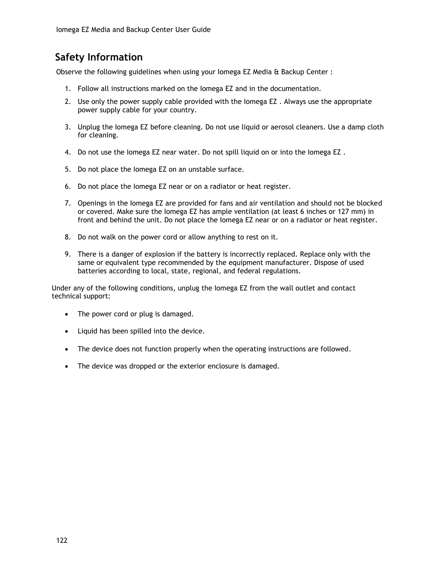## **Safety Information**

Observe the following guidelines when using your Iomega EZ Media & Backup Center :

- 1. Follow all instructions marked on the Iomega EZ and in the documentation.
- 2. Use only the power supply cable provided with the Iomega EZ . Always use the appropriate power supply cable for your country.
- 3. Unplug the Iomega EZ before cleaning. Do not use liquid or aerosol cleaners. Use a damp cloth for cleaning.
- 4. Do not use the Iomega EZ near water. Do not spill liquid on or into the Iomega EZ .
- 5. Do not place the Iomega EZ on an unstable surface.
- 6. Do not place the Iomega EZ near or on a radiator or heat register.
- 7. Openings in the Iomega EZ are provided for fans and air ventilation and should not be blocked or covered. Make sure the Iomega EZ has ample ventilation (at least 6 inches or 127 mm) in front and behind the unit. Do not place the Iomega EZ near or on a radiator or heat register.
- 8. Do not walk on the power cord or allow anything to rest on it.
- 9. There is a danger of explosion if the battery is incorrectly replaced. Replace only with the same or equivalent type recommended by the equipment manufacturer. Dispose of used batteries according to local, state, regional, and federal regulations.

Under any of the following conditions, unplug the Iomega EZ from the wall outlet and contact technical support:

- The power cord or plug is damaged.
- Liquid has been spilled into the device.
- The device does not function properly when the operating instructions are followed.
- The device was dropped or the exterior enclosure is damaged.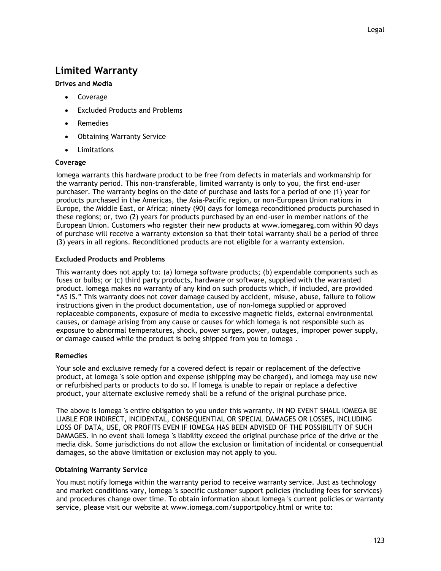### **Limited Warranty**

### **Drives and Media**

- Coverage
- Excluded Products and Problems
- Remedies
- Obtaining Warranty Service
- Limitations

### **Coverage**

Iomega warrants this hardware product to be free from defects in materials and workmanship for the warranty period. This non-transferable, limited warranty is only to you, the first end-user purchaser. The warranty begins on the date of purchase and lasts for a period of one (1) year for products purchased in the Americas, the Asia-Pacific region, or non-European Union nations in Europe, the Middle East, or Africa; ninety (90) days for Iomega reconditioned products purchased in these regions; or, two (2) years for products purchased by an end-user in member nations of the European Union. Customers who register their new products at www.iomegareg.com within 90 days of purchase will receive a warranty extension so that their total warranty shall be a period of three (3) years in all regions. Reconditioned products are not eligible for a warranty extension.

### **Excluded Products and Problems**

This warranty does not apply to: (a) Iomega software products; (b) expendable components such as fuses or bulbs; or (c) third party products, hardware or software, supplied with the warranted product. Iomega makes no warranty of any kind on such products which, if included, are provided "AS IS." This warranty does not cover damage caused by accident, misuse, abuse, failure to follow instructions given in the product documentation, use of non-Iomega supplied or approved replaceable components, exposure of media to excessive magnetic fields, external environmental causes, or damage arising from any cause or causes for which Iomega is not responsible such as exposure to abnormal temperatures, shock, power surges, power, outages, improper power supply, or damage caused while the product is being shipped from you to Iomega .

### **Remedies**

Your sole and exclusive remedy for a covered defect is repair or replacement of the defective product, at Iomega 's sole option and expense (shipping may be charged), and Iomega may use new or refurbished parts or products to do so. If Iomega is unable to repair or replace a defective product, your alternate exclusive remedy shall be a refund of the original purchase price.

The above is Iomega 's entire obligation to you under this warranty. IN NO EVENT SHALL IOMEGA BE LIABLE FOR INDIRECT, INCIDENTAL, CONSEQUENTIAL OR SPECIAL DAMAGES OR LOSSES, INCLUDING LOSS OF DATA, USE, OR PROFITS EVEN IF IOMEGA HAS BEEN ADVISED OF THE POSSIBILITY OF SUCH DAMAGES. In no event shall Iomega 's liability exceed the original purchase price of the drive or the media disk. Some jurisdictions do not allow the exclusion or limitation of incidental or consequential damages, so the above limitation or exclusion may not apply to you.

### **Obtaining Warranty Service**

You must notify Iomega within the warranty period to receive warranty service. Just as technology and market conditions vary, Iomega 's specific customer support policies (including fees for services) and procedures change over time. To obtain information about Iomega 's current policies or warranty service, please visit our website at www.iomega.com/supportpolicy.html or write to: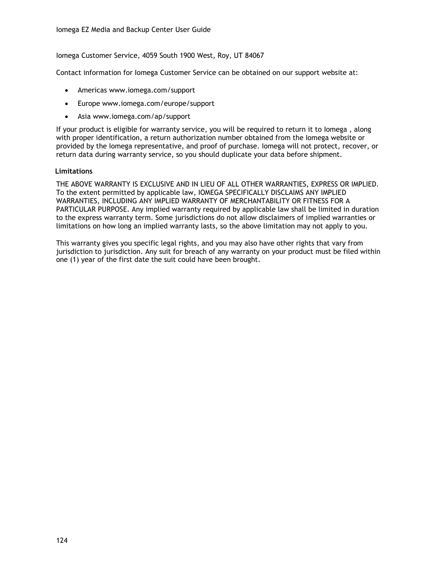Iomega Customer Service, 4059 South 1900 West, Roy, UT 84067

Contact information for Iomega Customer Service can be obtained on our support website at:

- Americas www.iomega.com/support
- Europe www.iomega.com/europe/support
- Asia www.iomega.com/ap/support

If your product is eligible for warranty service, you will be required to return it to Iomega , along with proper identification, a return authorization number obtained from the Iomega website or provided by the Iomega representative, and proof of purchase. Iomega will not protect, recover, or return data during warranty service, so you should duplicate your data before shipment.

#### **Limitations**

THE ABOVE WARRANTY IS EXCLUSIVE AND IN LIEU OF ALL OTHER WARRANTIES, EXPRESS OR IMPLIED. To the extent permitted by applicable law, IOMEGA SPECIFICALLY DISCLAIMS ANY IMPLIED WARRANTIES, INCLUDING ANY IMPLIED WARRANTY OF MERCHANTABILITY OR FITNESS FOR A PARTICULAR PURPOSE. Any implied warranty required by applicable law shall be limited in duration to the express warranty term. Some jurisdictions do not allow disclaimers of implied warranties or limitations on how long an implied warranty lasts, so the above limitation may not apply to you.

This warranty gives you specific legal rights, and you may also have other rights that vary from jurisdiction to jurisdiction. Any suit for breach of any warranty on your product must be filed within one (1) year of the first date the suit could have been brought.